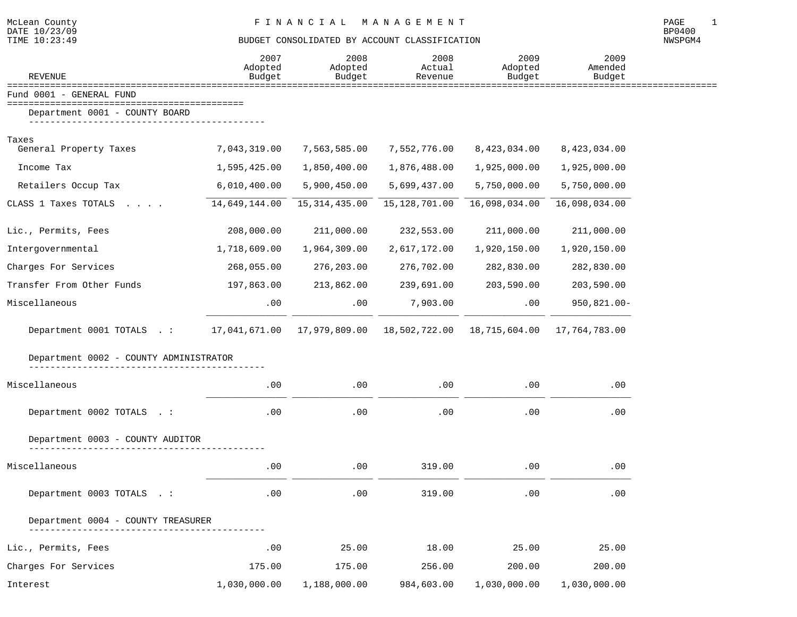| <b>REVENUE</b>                                                                                  | 2007<br>Adopted<br>Budget | 2008<br>Adopted<br>Budget | 2008<br>Actual<br>Revenue | 2009<br>Adopted<br>Budget | 2009<br>Amended<br>Budget |  |
|-------------------------------------------------------------------------------------------------|---------------------------|---------------------------|---------------------------|---------------------------|---------------------------|--|
| Fund 0001 - GENERAL FUND                                                                        |                           |                           |                           |                           |                           |  |
| Department 0001 - COUNTY BOARD                                                                  |                           |                           |                           |                           |                           |  |
|                                                                                                 |                           |                           |                           |                           |                           |  |
| Taxes<br>General Property Taxes                                                                 | 7,043,319.00              | 7,563,585.00              | 7,552,776.00              | 8,423,034.00              | 8,423,034.00              |  |
| Income Tax                                                                                      | 1,595,425.00              | 1,850,400.00              | 1,876,488.00              | 1,925,000.00              | 1,925,000.00              |  |
| Retailers Occup Tax                                                                             | 6,010,400.00              | 5,900,450.00              | 5,699,437.00              | 5,750,000.00              | 5,750,000.00              |  |
| CLASS 1 Taxes TOTALS                                                                            | 14,649,144.00             | 15, 314, 435.00           | 15, 128, 701.00           | 16,098,034.00             | 16,098,034.00             |  |
| Lic., Permits, Fees                                                                             | 208,000.00                | 211,000.00                | 232,553.00                | 211,000.00                | 211,000.00                |  |
| Intergovernmental                                                                               | 1,718,609.00              | 1,964,309.00              | 2,617,172.00              | 1,920,150.00              | 1,920,150.00              |  |
| Charges For Services                                                                            | 268,055.00                | 276,203.00                | 276,702.00                | 282,830.00                | 282,830.00                |  |
| Transfer From Other Funds                                                                       | 197,863.00                | 213,862.00                | 239,691.00                | 203,590.00                | 203,590.00                |  |
| Miscellaneous                                                                                   | .00                       | .00                       | 7,903.00                  | .00                       | $950,821.00 -$            |  |
| Department 0001 TOTALS .: 17,041,671.00 17,979,809.00 18,502,722.00 18,715,604.00 17,764,783.00 |                           |                           |                           |                           |                           |  |
| Department 0002 - COUNTY ADMINISTRATOR                                                          |                           |                           |                           |                           |                           |  |
| Miscellaneous                                                                                   | .00                       | $.00 \,$                  | $.00 \,$                  | $.00 \,$                  | .00                       |  |
| Department 0002 TOTALS . :                                                                      | .00                       | .00                       | .00                       | .00                       | .00                       |  |
| Department 0003 - COUNTY AUDITOR                                                                |                           |                           |                           |                           |                           |  |
| Miscellaneous                                                                                   | .00                       | .00                       | 319.00                    | .00                       | .00                       |  |
| Department 0003 TOTALS . :                                                                      | .00                       | .00                       | 319.00                    | .00                       | .00                       |  |
| Department 0004 - COUNTY TREASURER                                                              |                           |                           |                           |                           |                           |  |
| Lic., Permits, Fees                                                                             | .00                       | 25.00                     | 18.00                     | 25.00                     | 25.00                     |  |
| Charges For Services                                                                            | 175.00                    | 175.00                    | 256.00                    | 200.00                    | 200.00                    |  |
| Interest                                                                                        | 1,030,000.00              | 1,188,000.00              | 984,603.00                | 1,030,000.00              | 1,030,000.00              |  |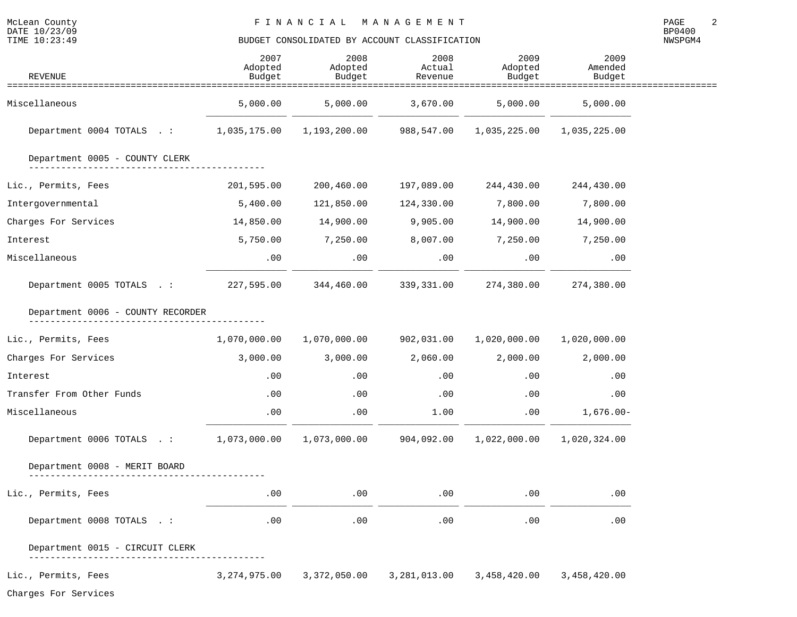| <b>REVENUE</b>                         | 2007<br>Adopted<br>Budget | 2008<br>Adopted<br>Budget | 2008<br>Actual<br>Revenue | 2009<br>Adopted<br>Budget | 2009<br>Amended<br>Budget |  |
|----------------------------------------|---------------------------|---------------------------|---------------------------|---------------------------|---------------------------|--|
|                                        |                           |                           |                           |                           |                           |  |
| Miscellaneous                          | 5,000.00                  | 5,000.00                  | 3,670.00                  | 5,000.00                  | 5,000.00                  |  |
| Department 0004 TOTALS .: 1,035,175.00 |                           | 1,193,200.00              | 988,547.00                | 1,035,225.00              | 1,035,225.00              |  |
| Department 0005 - COUNTY CLERK         |                           |                           |                           |                           |                           |  |
| Lic., Permits, Fees                    | 201,595.00                | 200,460.00                | 197,089.00                | 244,430.00                | 244,430.00                |  |
| Intergovernmental                      | 5,400.00                  | 121,850.00                | 124,330.00                | 7,800.00                  | 7,800.00                  |  |
| Charges For Services                   | 14,850.00                 | 14,900.00                 | 9,905.00                  | 14,900.00                 | 14,900.00                 |  |
| Interest                               | 5,750.00                  | 7,250.00                  | 8,007.00                  | 7,250.00                  | 7,250.00                  |  |
| Miscellaneous                          | $.00 \,$                  | .00                       | $.00 \,$                  | .00                       | .00                       |  |
| Department 0005 TOTALS .:              | 227,595.00                | 344,460.00                | 339,331.00                | 274,380.00                | 274,380.00                |  |
| Department 0006 - COUNTY RECORDER      |                           |                           |                           |                           |                           |  |
| Lic., Permits, Fees                    | 1,070,000.00              | 1,070,000.00              | 902,031.00                | 1,020,000.00              | 1,020,000.00              |  |
| Charges For Services                   | 3,000.00                  | 3,000.00                  | 2,060.00                  | 2,000.00                  | 2,000.00                  |  |
| Interest                               | .00                       | .00                       | .00                       | $.00 \,$                  | .00                       |  |
| Transfer From Other Funds              | .00                       | .00                       | .00                       | .00                       | .00                       |  |
| Miscellaneous                          | .00                       | .00                       | 1.00                      | .00                       | $1,676.00 -$              |  |
| Department 0006 TOTALS .: 1,073,000.00 |                           | 1,073,000.00              | 904,092.00                | 1,022,000.00              | 1,020,324.00              |  |
| Department 0008 - MERIT BOARD          |                           |                           |                           |                           |                           |  |
| Lic., Permits, Fees                    | .00                       | .00                       | .00                       | .00                       | .00                       |  |
| Department 0008 TOTALS . :             | .00                       | .00                       | .00                       | .00                       | .00                       |  |
| Department 0015 - CIRCUIT CLERK        |                           |                           |                           |                           |                           |  |
| Lic., Permits, Fees                    | 3,274,975.00              | 3,372,050.00              | 3,281,013.00              | 3,458,420.00              | 3,458,420.00              |  |
| Charges For Services                   |                           |                           |                           |                           |                           |  |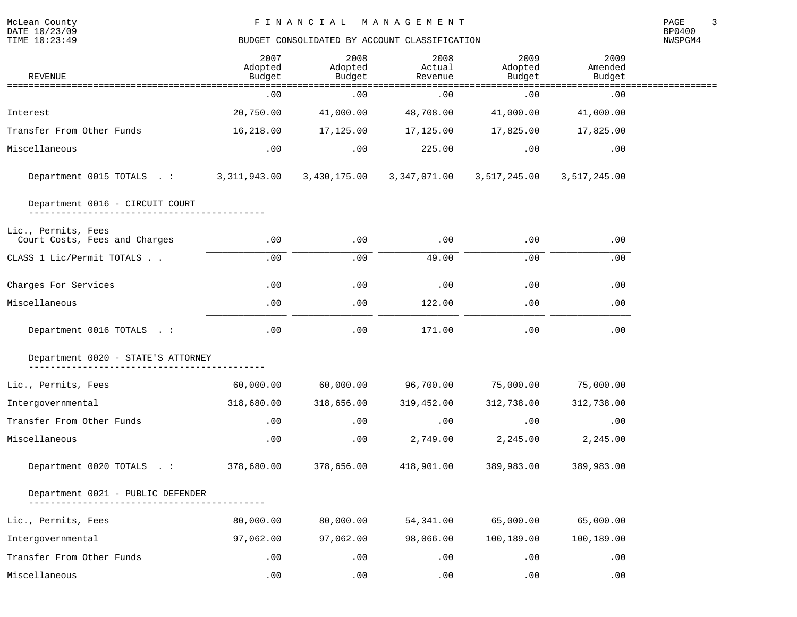McLean County<br>DATE 10/23/09<br>TIME 10:23:49

| REVENUE                                              | 2007<br>Adopted<br>Budget | 2008<br>Adopted<br>Budget | 2008<br>Actual<br>Revenue | 2009<br>Adopted<br>Budget | 2009<br>Amended<br>Budget             |  |
|------------------------------------------------------|---------------------------|---------------------------|---------------------------|---------------------------|---------------------------------------|--|
|                                                      | .00                       | .00                       | .00                       | .00                       | ==============================<br>.00 |  |
| Interest                                             | 20,750.00                 | 41,000.00                 | 48,708.00                 | 41,000.00                 | 41,000.00                             |  |
| Transfer From Other Funds                            | 16,218.00                 | 17,125.00                 | 17,125.00                 | 17,825.00                 | 17,825.00                             |  |
| Miscellaneous                                        | .00                       | .00                       | 225.00                    | .00                       | .00                                   |  |
| Department 0015 TOTALS .: 3,311,943.00 3,430,175.00  |                           |                           | 3,347,071.00              | 3,517,245.00              | 3,517,245.00                          |  |
| Department 0016 - CIRCUIT COURT                      |                           |                           |                           |                           |                                       |  |
| Lic., Permits, Fees<br>Court Costs, Fees and Charges | .00                       | .00                       | .00                       | .00                       | .00                                   |  |
| CLASS 1 Lic/Permit TOTALS                            | .00                       | .00                       | 49.00                     | .00                       | .00                                   |  |
| Charges For Services                                 | .00                       | .00                       | .00                       | .00                       | .00                                   |  |
| Miscellaneous                                        | .00                       | .00                       | 122.00                    | .00                       | .00                                   |  |
| Department 0016 TOTALS . :                           | .00                       | .00                       | 171.00                    | .00                       | .00                                   |  |
| Department 0020 - STATE'S ATTORNEY                   |                           |                           |                           |                           |                                       |  |
| Lic., Permits, Fees                                  | 60,000.00                 | 60,000.00                 | 96,700.00                 | 75,000.00                 | 75,000.00                             |  |
| Intergovernmental                                    | 318,680.00                | 318,656.00                | 319,452.00                | 312,738.00                | 312,738.00                            |  |
| Transfer From Other Funds                            | .00                       | .00                       | .00                       | .00                       | .00                                   |  |
| Miscellaneous                                        | .00                       | .00                       | 2,749.00                  | 2,245.00                  | 2,245.00                              |  |
| Department 0020 TOTALS .:                            | 378,680.00                | 378,656.00                | 418,901.00                | 389,983.00                | 389,983.00                            |  |
| Department 0021 - PUBLIC DEFENDER                    |                           |                           |                           |                           |                                       |  |
| Lic., Permits, Fees                                  | 80,000.00                 | 80,000.00                 | 54, 341.00                | 65,000.00                 | 65,000.00                             |  |
| Intergovernmental                                    | 97,062.00                 | 97,062.00                 | 98,066.00                 | 100,189.00                | 100,189.00                            |  |
| Transfer From Other Funds                            | .00                       | .00                       | .00                       | .00                       | .00                                   |  |
| Miscellaneous                                        | .00                       | .00                       | .00                       | .00                       | .00                                   |  |

\_\_\_\_\_\_\_\_\_\_\_\_\_\_\_ \_\_\_\_\_\_\_\_\_\_\_\_\_\_\_ \_\_\_\_\_\_\_\_\_\_\_\_\_\_\_ \_\_\_\_\_\_\_\_\_\_\_\_\_\_\_ \_\_\_\_\_\_\_\_\_\_\_\_\_\_\_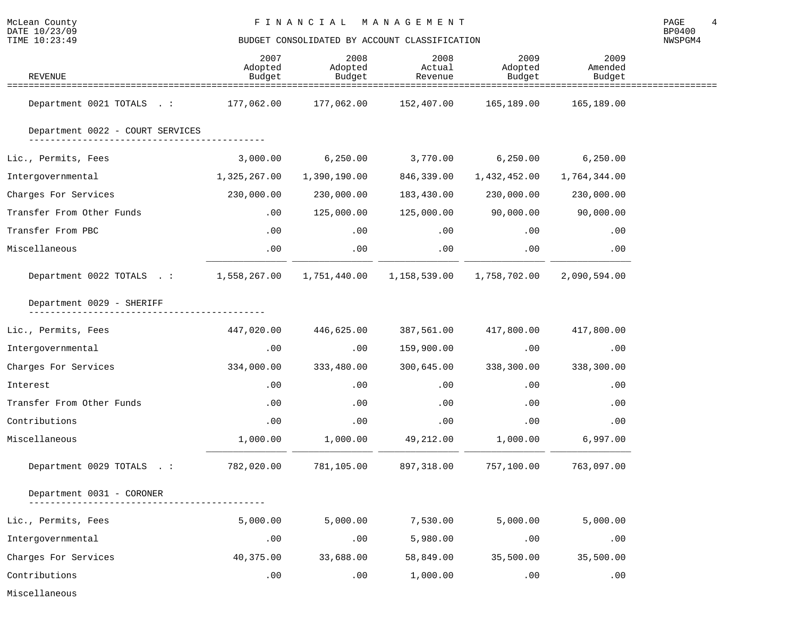NWSPGM4

| REVENUE                                                                       | 2007<br>Adopted<br>Budget | 2008<br>Adopted<br>Budget | 2008<br>Actual<br>Revenue | 2009<br>Adopted<br>Budget | 2009<br>Amended<br>Budget |  |
|-------------------------------------------------------------------------------|---------------------------|---------------------------|---------------------------|---------------------------|---------------------------|--|
| Department 0021 TOTALS .: 177,062.00 177,062.00 152,407.00 165,189.00         |                           |                           |                           |                           | 165,189.00                |  |
| Department 0022 - COURT SERVICES                                              |                           |                           |                           |                           |                           |  |
| Lic., Permits, Fees                                                           | 3,000.00                  | 6, 250.00                 |                           | 3,770.00 6,250.00         | 6, 250.00                 |  |
| Intergovernmental                                                             | 1,325,267.00              | 1,390,190.00              | 846,339.00                | 1,432,452.00              | 1,764,344.00              |  |
| Charges For Services                                                          | 230,000.00                | 230,000.00                | 183,430.00                | 230,000.00                | 230,000.00                |  |
| Transfer From Other Funds                                                     | .00                       | 125,000.00                |                           | 125,000.00 90,000.00      | 90,000.00                 |  |
| Transfer From PBC                                                             | .00                       | .00                       | $.00\,$                   | .00                       | .00                       |  |
| Miscellaneous                                                                 | $.00 \,$                  | .00                       | $.00 \,$                  | .00                       | .00                       |  |
| Department 0022 TOTALS .: 1,558,267.00 1,751,440.00 1,158,539.00 1,758,702.00 |                           |                           |                           |                           | 2,090,594.00              |  |
| Department 0029 - SHERIFF                                                     |                           |                           |                           |                           |                           |  |
| Lic., Permits, Fees                                                           |                           | 447,020.00 446,625.00     |                           | 387,561.00 417,800.00     | 417,800.00                |  |
| Intergovernmental                                                             | .00                       | .00                       | 159,900.00                | .00                       | .00                       |  |
| Charges For Services                                                          | 334,000.00                | 333,480.00                | 300,645.00                | 338,300.00                | 338,300.00                |  |
| Interest                                                                      | .00                       | .00                       | .00                       | .00                       | .00                       |  |
| Transfer From Other Funds                                                     | $.00\,$                   | .00                       | $.00\,$                   | .00                       | .00                       |  |
| Contributions                                                                 | .00                       | .00                       | .00                       | .00                       | .00                       |  |
| Miscellaneous                                                                 | 1,000.00                  | 1,000.00                  | 49,212.00                 | 1,000.00                  | 6,997.00                  |  |
| Department 0029 TOTALS .:                                                     | 782,020.00                | 781,105.00                | 897,318.00                | 757,100.00                | 763,097.00                |  |
| Department 0031 - CORONER                                                     |                           |                           |                           |                           |                           |  |
| Lic., Permits, Fees                                                           | 5,000.00                  | 5,000.00                  | 7,530.00                  | 5,000.00                  | 5,000.00                  |  |
| Intergovernmental                                                             | .00                       | .00                       | 5,980.00                  | .00                       | .00                       |  |
| Charges For Services                                                          | 40,375.00                 | 33,688.00                 | 58,849.00                 | 35,500.00                 | 35,500.00                 |  |
| Contributions                                                                 | .00                       | .00                       | 1,000.00                  | .00                       | .00                       |  |

Miscellaneous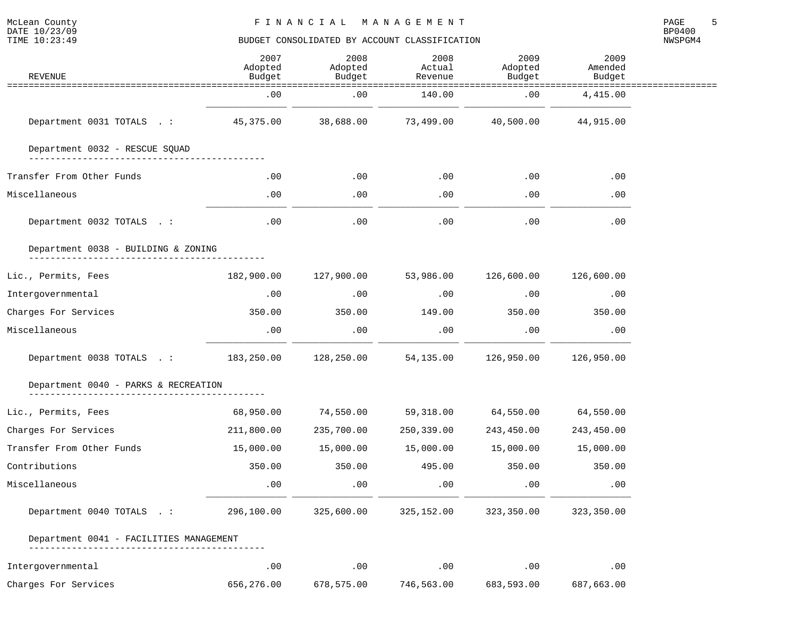| <b>REVENUE</b>                          | 2007<br>Adopted<br>Budget | 2008<br>Adopted<br>Budget | 2008<br>Actual<br>Revenue | 2009<br>Adopted<br>Budget | 2009<br>Amended<br>Budget |  |
|-----------------------------------------|---------------------------|---------------------------|---------------------------|---------------------------|---------------------------|--|
|                                         | .00                       | .00                       | 140.00                    | .00                       | 4,415.00                  |  |
| Department 0031 TOTALS .:               | 45,375.00                 | 38,688.00                 | 73,499.00                 | 40,500.00                 | 44,915.00                 |  |
| Department 0032 - RESCUE SQUAD          |                           |                           |                           |                           |                           |  |
| Transfer From Other Funds               | $.00 \,$                  | .00                       | .00                       | .00                       | .00                       |  |
| Miscellaneous                           | .00                       | .00                       | .00                       | .00                       | .00                       |  |
| Department 0032 TOTALS . :              | .00                       | .00                       | .00                       | .00                       | .00                       |  |
| Department 0038 - BUILDING & ZONING     |                           |                           |                           |                           |                           |  |
| Lic., Permits, Fees                     | 182,900.00                | 127,900.00                | 53,986.00                 | 126,600.00                | 126,600.00                |  |
| Intergovernmental                       | .00                       | .00                       | .00                       | .00                       | .00                       |  |
| Charges For Services                    | 350.00                    | 350.00                    | 149.00                    | 350.00                    | 350.00                    |  |
| Miscellaneous                           | .00                       | .00                       | .00                       | .00                       | .00                       |  |
| Department 0038 TOTALS .:               | 183,250.00                | 128,250.00                | 54,135.00                 | 126,950.00                | 126,950.00                |  |
| Department 0040 - PARKS & RECREATION    |                           |                           |                           |                           |                           |  |
| Lic., Permits, Fees                     | 68,950.00                 | 74,550.00                 | 59,318.00                 | 64,550.00                 | 64,550.00                 |  |
| Charges For Services                    | 211,800.00                | 235,700.00                | 250,339.00                | 243,450.00                | 243,450.00                |  |
| Transfer From Other Funds               | 15,000.00                 | 15,000.00                 | 15,000.00                 | 15,000.00                 | 15,000.00                 |  |
| Contributions                           | 350.00                    | 350.00                    | 495.00                    | 350.00                    | 350.00                    |  |
| Miscellaneous                           | .00                       | .00                       | .00                       | .00                       | .00                       |  |
| Department 0040 TOTALS .:               | 296,100.00                | 325,600.00                | 325,152.00                | 323,350.00                | 323,350.00                |  |
| Department 0041 - FACILITIES MANAGEMENT |                           |                           |                           |                           |                           |  |
| Intergovernmental                       | .00                       | .00                       | .00                       | .00                       | .00                       |  |
| Charges For Services                    | 656,276.00                | 678,575.00                | 746,563.00                | 683,593.00                | 687,663.00                |  |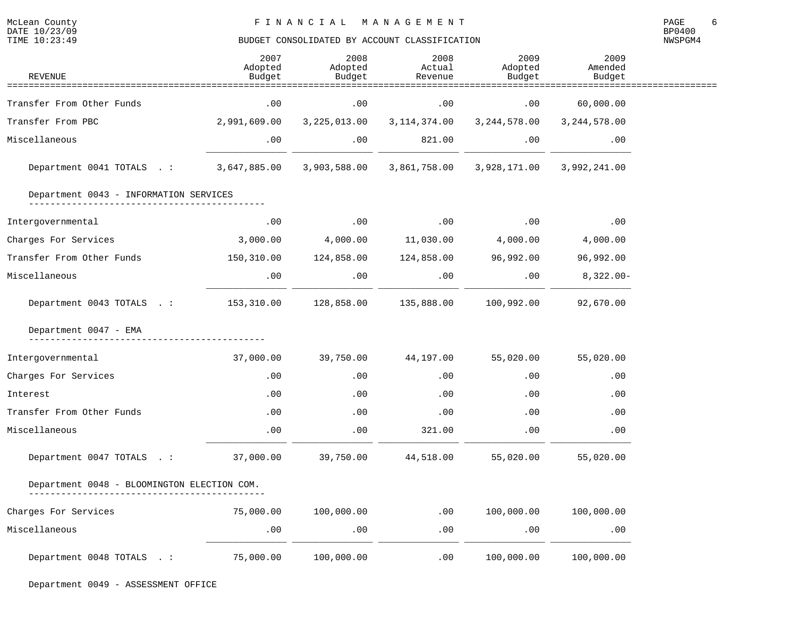NWSPGM4

| REVENUE                                             | 2007<br>Adopted<br>Budget | 2008<br>Adopted<br>Budget | 2008<br>Actual<br>Revenue                     | 2009<br>Adopted<br>Budget | 2009<br>Amended<br>Budget |  |
|-----------------------------------------------------|---------------------------|---------------------------|-----------------------------------------------|---------------------------|---------------------------|--|
|                                                     |                           | =================         |                                               | ==============            |                           |  |
| Transfer From Other Funds                           | .00                       | .00                       | .00                                           | .00                       | 60,000.00                 |  |
| Transfer From PBC                                   | 2,991,609.00              | 3,225,013.00              | 3,114,374.00                                  | 3,244,578.00              | 3,244,578.00              |  |
| Miscellaneous                                       | .00                       | .00                       | 821.00                                        | .00                       | .00                       |  |
| Department 0041 TOTALS .: 3,647,885.00 3,903,588.00 |                           |                           | 3,861,758.00                                  |                           | 3,928,171.00 3,992,241.00 |  |
| Department 0043 - INFORMATION SERVICES              |                           |                           |                                               |                           |                           |  |
| Intergovernmental                                   | .00                       | .00                       | .00                                           | .00                       | .00                       |  |
| Charges For Services                                | 3,000.00                  | 4,000.00                  | $11,030.00$ $4,000.00$                        |                           | 4,000.00                  |  |
| Transfer From Other Funds                           |                           |                           | 150,310.00  124,858.00  124,858.00  96,992.00 |                           | 96,992.00                 |  |
| Miscellaneous                                       | .00                       | .00                       | .00                                           | .00                       | $8,322.00-$               |  |
| Department 0043 TOTALS .: 153,310.00 128,858.00     |                           |                           | 135,888.00                                    | 100,992.00                | 92,670.00                 |  |
| Department 0047 - EMA                               |                           |                           |                                               |                           |                           |  |
| Intergovernmental                                   | 37,000.00                 | 39,750.00                 | 44,197.00                                     | 55,020.00                 | 55,020.00                 |  |
| Charges For Services                                | .00                       | .00                       | .00                                           | .00                       | .00                       |  |
| Interest                                            | .00                       | $.00 \,$                  | .00                                           | .00                       | .00                       |  |
| Transfer From Other Funds                           | .00                       | .00                       | .00                                           | .00                       | .00                       |  |
| Miscellaneous                                       | .00                       | .00                       | 321.00                                        | .00                       | .00                       |  |
| Department 0047 TOTALS .:                           | 37,000.00 39,750.00       |                           | 44,518.00                                     | 55,020.00                 | 55,020.00                 |  |
| Department 0048 - BLOOMINGTON ELECTION COM.         |                           |                           |                                               |                           |                           |  |
| Charges For Services                                | 75,000.00                 | 100,000.00                | .00                                           | 100,000.00                | 100,000.00                |  |
| Miscellaneous                                       | .00                       | .00                       | .00                                           | .00                       | .00                       |  |
| Department 0048 TOTALS .:                           | 75,000.00                 | 100,000.00                | .00                                           | 100,000.00                | 100,000.00                |  |

McLean County<br>DATE 10/23/09<br>TIME 10:23:49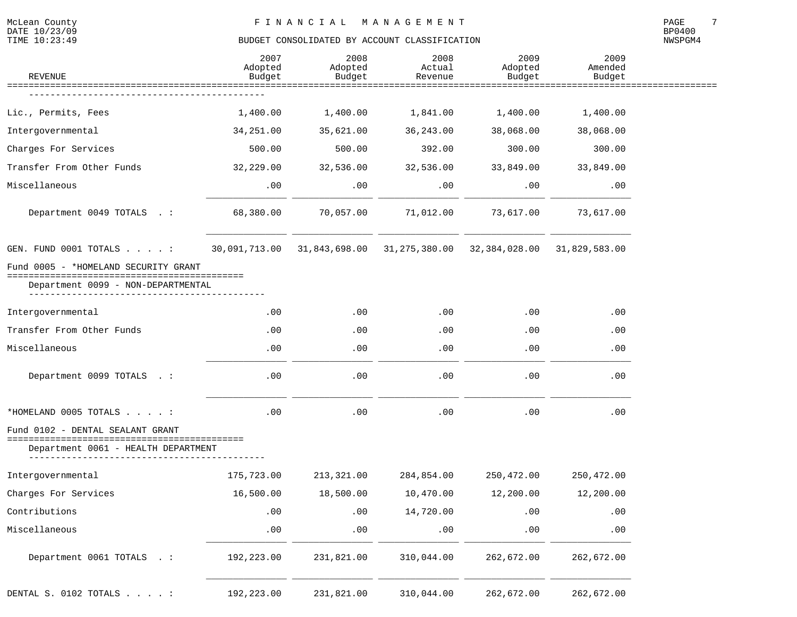McLean County<br>DATE 10/23/09<br>TIME 10:23:49

# BUDGET CONSOLIDATED BY ACCOUNT CLASSIFICATION

| REVENUE                                                | 2007<br>Adopted<br>Budget   | 2008<br>Adopted<br>Budget | 2008<br>Actual<br>Revenue | 2009<br>Adopted<br>Budget                                             | 2009<br>Amended<br>Budget |  |
|--------------------------------------------------------|-----------------------------|---------------------------|---------------------------|-----------------------------------------------------------------------|---------------------------|--|
| ==================                                     |                             |                           |                           |                                                                       |                           |  |
| Lic., Permits, Fees                                    | 1,400.00                    | 1,400.00                  | 1,841.00                  | 1,400.00                                                              | 1,400.00                  |  |
| Intergovernmental                                      | 34,251.00                   | 35,621.00                 | 36, 243.00                | 38,068.00                                                             | 38,068.00                 |  |
| Charges For Services                                   | 500.00                      | 500.00                    | 392.00                    | 300.00                                                                | 300.00                    |  |
| Transfer From Other Funds                              | 32,229.00                   | 32,536.00                 | 32,536.00                 | 33,849.00                                                             | 33,849.00                 |  |
| Miscellaneous                                          | .00                         | .00                       | $.00 \,$                  | .00                                                                   | .00                       |  |
| Department 0049 TOTALS . :                             | 68,380.00                   | 70,057.00                 | 71,012.00                 | 73,617.00                                                             | 73,617.00                 |  |
| GEN. FUND 0001 TOTALS :                                |                             |                           |                           | 30,091,713.00 31,843,698.00 31,275,380.00 32,384,028.00 31,829,583.00 |                           |  |
| Fund 0005 - *HOMELAND SECURITY GRANT                   |                             |                           |                           |                                                                       |                           |  |
| Department 0099 - NON-DEPARTMENTAL                     |                             |                           |                           |                                                                       |                           |  |
| Intergovernmental                                      | .00                         | $.00 \,$                  | $.00 \,$                  | .00                                                                   | .00                       |  |
| Transfer From Other Funds                              | .00                         | .00                       | $.00 \,$                  | .00                                                                   | .00                       |  |
| Miscellaneous                                          | .00                         | .00                       | .00                       | .00                                                                   | .00                       |  |
| Department 0099 TOTALS . :                             | .00                         | .00                       | .00                       | .00                                                                   | .00                       |  |
| *HOMELAND 0005 TOTALS :                                | .00                         | .00                       | .00                       | .00                                                                   | .00                       |  |
| Fund 0102 - DENTAL SEALANT GRANT<br>================== |                             |                           |                           |                                                                       |                           |  |
| Department 0061 - HEALTH DEPARTMENT                    |                             |                           |                           |                                                                       |                           |  |
| Intergovernmental                                      | 175,723.00                  | 213,321.00                | 284,854.00                | 250,472.00                                                            | 250,472.00                |  |
| Charges For Services                                   | 16,500.00                   | 18,500.00                 | 10,470.00                 | 12,200.00                                                             | 12,200.00                 |  |
| Contributions                                          | .00                         | .00                       | 14,720.00                 | .00                                                                   | .00                       |  |
| Miscellaneous                                          | $\boldsymbol{\mathsf{.00}}$ | .00                       | .00                       | .00                                                                   | .00                       |  |
| Department 0061 TOTALS . :                             | 192,223.00                  | 231,821.00                | 310,044.00                | 262,672.00                                                            | 262,672.00                |  |
| DENTAL S. 0102 TOTALS :                                | 192,223.00                  | 231,821.00                | 310,044.00                | 262,672.00                                                            | 262,672.00                |  |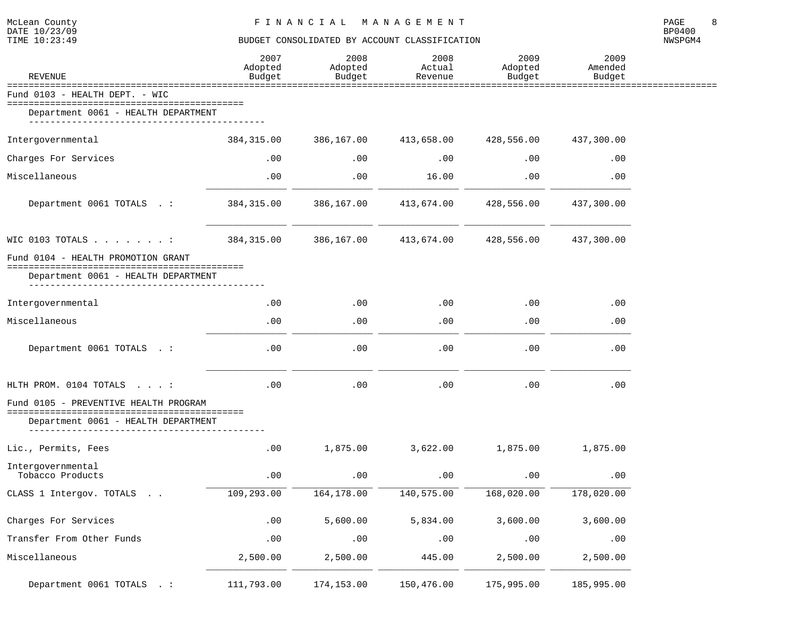| McLean County<br>DATE 10/23/09<br>TIME 10:23:49                              | FINANCIAL MANAGEMENT<br>BUDGET CONSOLIDATED BY ACCOUNT CLASSIFICATION |                           |                           |                           |                           |         |  |
|------------------------------------------------------------------------------|-----------------------------------------------------------------------|---------------------------|---------------------------|---------------------------|---------------------------|---------|--|
| <b>REVENUE</b>                                                               | 2007<br>Adopted<br>Budget                                             | 2008<br>Adopted<br>Budget | 2008<br>Actual<br>Revenue | 2009<br>Adopted<br>Budget | 2009<br>Amended<br>Budget | NWSPGM4 |  |
| Fund 0103 - HEALTH DEPT. - WIC                                               |                                                                       |                           |                           |                           |                           |         |  |
| Department 0061 - HEALTH DEPARTMENT<br>_______________________________       |                                                                       |                           |                           |                           |                           |         |  |
| Intergovernmental                                                            |                                                                       | 384,315.00 386,167.00     | 413,658.00                | 428,556.00                | 437,300.00                |         |  |
| Charges For Services                                                         | $.00 \,$                                                              | .00                       | .00                       | .00                       | .00                       |         |  |
| Miscellaneous                                                                | .00                                                                   | .00                       | 16.00                     | .00                       | .00                       |         |  |
| Department 0061 TOTALS .:                                                    | 384,315.00                                                            | 386,167.00                | 413,674.00                | 428,556.00                | 437,300.00                |         |  |
| WIC 0103 TOTALS $\ldots$ $\ldots$ $\ldots$                                   | 384,315.00                                                            | 386,167.00                | 413,674.00                | 428,556.00                | 437,300.00                |         |  |
| Fund 0104 - HEALTH PROMOTION GRANT<br>Department 0061 - HEALTH DEPARTMENT    |                                                                       |                           |                           |                           |                           |         |  |
| Intergovernmental                                                            | .00                                                                   | $.00 \,$                  | .00                       | .00                       | .00                       |         |  |
| Miscellaneous                                                                | .00                                                                   | .00                       | .00                       | .00                       | .00                       |         |  |
| Department 0061 TOTALS . :                                                   | $.00 \,$                                                              | .00                       | .00                       | .00                       | .00                       |         |  |
| HLTH PROM. 0104 TOTALS :                                                     | .00                                                                   | .00                       | .00                       | .00                       | .00                       |         |  |
| Fund 0105 - PREVENTIVE HEALTH PROGRAM<br>Department 0061 - HEALTH DEPARTMENT |                                                                       |                           |                           |                           |                           |         |  |
| Lic., Permits, Fees                                                          | .00                                                                   | 1,875.00                  | 3,622.00                  | 1,875.00                  | 1,875.00                  |         |  |
| Intergovernmental<br>Tobacco Products                                        | .00                                                                   | .00                       | .00                       | .00                       | .00                       |         |  |
| CLASS 1 Intergov. TOTALS                                                     | 109,293.00                                                            | 164,178.00                | 140,575.00                | 168,020.00                | 178,020.00                |         |  |
| Charges For Services                                                         | .00                                                                   | 5,600.00                  | 5,834.00                  | 3,600.00                  | 3,600.00                  |         |  |
| Transfer From Other Funds                                                    | .00                                                                   | .00                       | .00                       | .00                       | .00                       |         |  |
| Miscellaneous                                                                | 2,500.00                                                              | 2,500.00                  | 445.00                    | 2,500.00                  | 2,500.00                  |         |  |
| Department 0061 TOTALS . :                                                   | 111,793.00                                                            | 174,153.00                | 150,476.00                | 175,995.00                | 185,995.00                |         |  |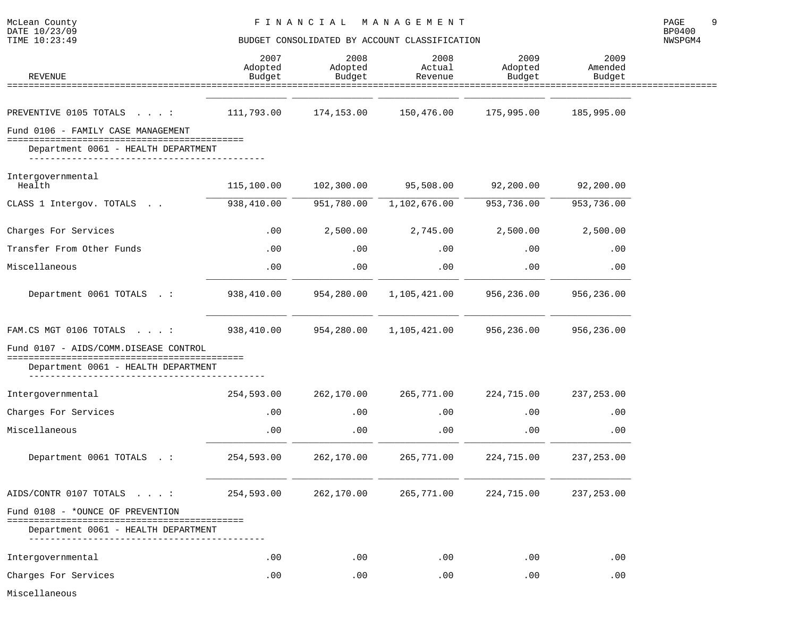NWSPGM4

| <b>REVENUE</b>                                                            | 2007<br>Adopted<br>Budget | 2008<br>Adopted<br>Budget | 2008<br>Actual<br>Revenue | 2009<br>Adopted<br>Budget | 2009<br>Amended<br>Budget |
|---------------------------------------------------------------------------|---------------------------|---------------------------|---------------------------|---------------------------|---------------------------|
|                                                                           |                           |                           |                           |                           |                           |
| PREVENTIVE 0105 TOTALS :                                                  | 111,793.00                | 174,153.00                | 150,476.00                | 175,995.00                | 185,995.00                |
| Fund 0106 - FAMILY CASE MANAGEMENT<br>Department 0061 - HEALTH DEPARTMENT |                           |                           |                           |                           |                           |
| Intergovernmental<br>Health                                               | 115,100.00                | 102,300.00                | 95,508.00                 | 92,200.00                 | 92,200.00                 |
| CLASS 1 Intergov. TOTALS                                                  | 938,410.00                | 951,780.00                | 1,102,676.00              | 953,736.00                | 953,736.00                |
| Charges For Services                                                      | .00                       | 2,500.00                  | 2,745.00                  | 2,500.00                  | 2,500.00                  |
| Transfer From Other Funds                                                 | $.00 \,$                  | .00                       | .00                       | .00                       | .00                       |
| Miscellaneous                                                             | .00                       | .00                       | .00                       | .00                       | .00                       |
| Department 0061 TOTALS . :                                                | 938,410.00                | 954,280.00                | 1,105,421.00              | 956,236.00                | 956,236.00                |
| FAM.CS MGT 0106 TOTALS :                                                  | 938,410.00                | 954,280.00                | 1,105,421.00              | 956,236.00                | 956,236.00                |
| Fund 0107 - AIDS/COMM.DISEASE CONTROL                                     |                           |                           |                           |                           |                           |
| Department 0061 - HEALTH DEPARTMENT                                       |                           |                           |                           |                           |                           |
| Intergovernmental                                                         | 254,593.00                | 262,170.00                | 265,771.00                | 224,715.00                | 237,253.00                |
| Charges For Services                                                      | $.00 \,$                  | .00                       | .00                       | .00                       | .00                       |
| Miscellaneous                                                             | .00                       | .00                       | .00                       | .00                       | .00                       |
| Department 0061 TOTALS . :                                                | 254,593.00                | 262,170.00                | 265,771.00                | 224,715.00                | 237, 253.00               |
| AIDS/CONTR 0107 TOTALS :                                                  | 254,593.00                | 262,170.00                | 265,771.00                | 224,715.00                | 237,253.00                |
| Fund 0108 - *OUNCE OF PREVENTION<br>Department 0061 - HEALTH DEPARTMENT   |                           |                           |                           |                           |                           |
| Intergovernmental                                                         | $.00 \,$                  | .00                       | .00                       | .00                       | .00                       |
| Charges For Services                                                      | .00                       | .00                       | .00                       | .00                       | .00                       |

Miscellaneous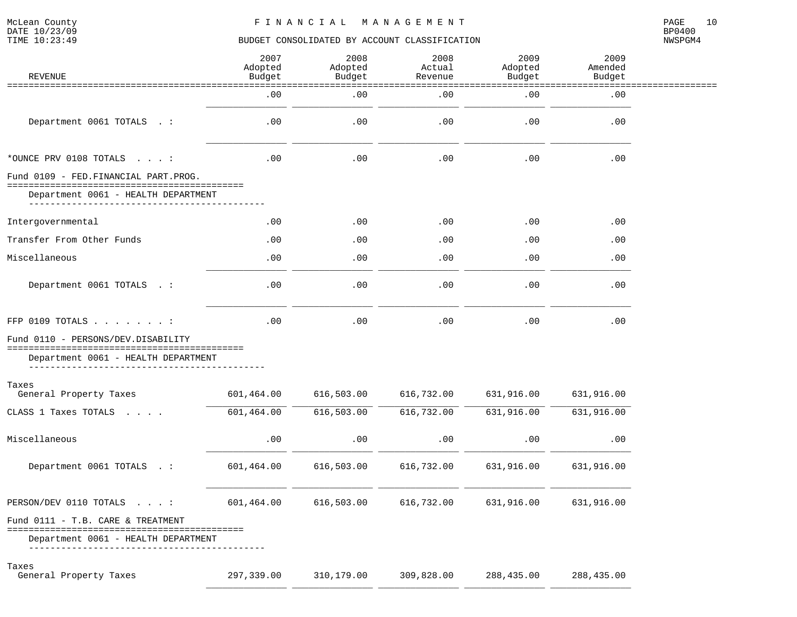NWSPGM4

| REVENUE                                    | 2007<br>Adopted<br>Budget | 2008<br>Adopted<br>Budget | 2008<br>Actual<br>Revenue | 2009<br>Adopted<br>Budget | 2009<br>Amended<br>Budget |  |
|--------------------------------------------|---------------------------|---------------------------|---------------------------|---------------------------|---------------------------|--|
|                                            | .00                       | .00                       | --------<br>.00           | .00                       | .00                       |  |
| Department 0061 TOTALS . :                 | .00                       | .00                       | .00                       | .00                       | .00                       |  |
| $*$ OUNCE PRV 0108 TOTALS :                | .00                       | .00                       | .00                       | .00                       | .00                       |  |
| Fund 0109 - FED. FINANCIAL PART. PROG.     |                           |                           |                           |                           |                           |  |
| Department 0061 - HEALTH DEPARTMENT        |                           |                           |                           |                           |                           |  |
| Intergovernmental                          | $.00 \,$                  | .00                       | .00                       | .00                       | .00                       |  |
| Transfer From Other Funds                  | .00                       | .00                       | .00                       | .00                       | .00                       |  |
| Miscellaneous                              | .00                       | .00                       | .00                       | .00                       | .00                       |  |
| Department 0061 TOTALS . :                 | .00                       | .00                       | .00                       | .00                       | .00                       |  |
| FFP 0109 TOTALS $\ldots$ :                 | .00                       | .00                       | .00                       | .00                       | .00                       |  |
| Fund 0110 - PERSONS/DEV.DISABILITY         |                           |                           |                           |                           |                           |  |
| Department 0061 - HEALTH DEPARTMENT        |                           |                           |                           |                           |                           |  |
| Taxes<br>General Property Taxes            | 601,464.00                | 616, 503.00               | 616,732.00                | 631,916.00                | 631,916.00                |  |
| CLASS 1 Taxes TOTALS                       | 601,464.00                | 616,503.00                | 616,732.00                | 631,916.00                | 631,916.00                |  |
| Miscellaneous                              | .00                       | .00                       | .00                       | .00                       | .00                       |  |
| Department 0061 TOTALS . :                 | 601,464.00                | 616,503.00                | 616,732.00                | 631,916.00                | 631,916.00                |  |
| PERSON/DEV 0110 TOTALS $\cdot \cdot \cdot$ | 601,464.00                | 616,503.00                | 616,732.00                | 631,916.00                | 631,916.00                |  |
| Fund 0111 - T.B. CARE & TREATMENT          |                           |                           |                           |                           |                           |  |
| Department 0061 - HEALTH DEPARTMENT        |                           |                           |                           |                           |                           |  |
| Taxes<br>General Property Taxes            | 297,339.00                | 310,179.00                | 309,828.00                | 288, 435.00               | 288, 435.00               |  |

\_\_\_\_\_\_\_\_\_\_\_\_\_\_\_ \_\_\_\_\_\_\_\_\_\_\_\_\_\_\_ \_\_\_\_\_\_\_\_\_\_\_\_\_\_\_ \_\_\_\_\_\_\_\_\_\_\_\_\_\_\_ \_\_\_\_\_\_\_\_\_\_\_\_\_\_\_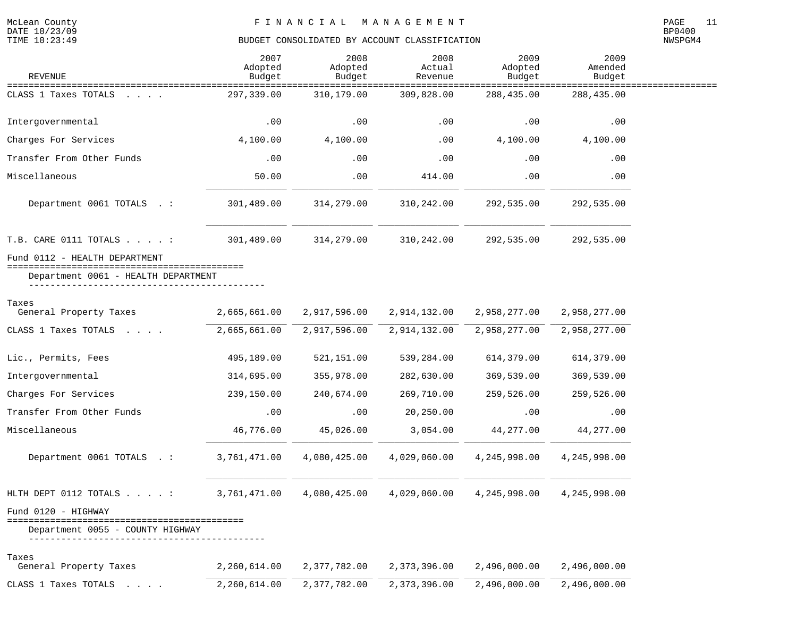| <b>REVENUE</b>                                                         | 2007<br>Adopted<br>Budget | 2008<br>Adopted<br>Budget | 2008<br>Actual<br>Revenue   | 2009<br>Adopted<br>Budget       | 2009<br>Amended<br>Budget              |  |
|------------------------------------------------------------------------|---------------------------|---------------------------|-----------------------------|---------------------------------|----------------------------------------|--|
| CLASS 1 Taxes TOTALS                                                   | 297,339.00                | 310,179.00                | =============<br>309,828.00 | =================<br>288,435.00 | ========================<br>288,435.00 |  |
| Intergovernmental                                                      | .00                       | .00                       | .00                         | .00                             | .00                                    |  |
| Charges For Services                                                   | 4,100.00                  | 4,100.00                  | .00                         | 4,100.00                        | 4,100.00                               |  |
| Transfer From Other Funds                                              | .00                       | .00                       | .00                         | .00                             | .00                                    |  |
| Miscellaneous                                                          | 50.00                     | .00                       | 414.00                      | .00                             | .00                                    |  |
| Department 0061 TOTALS . :                                             | 301,489.00                | 314,279.00                | 310,242.00                  | 292,535.00                      | 292,535.00                             |  |
| T.B. CARE 0111 TOTALS :                                                | 301,489.00                | 314,279.00                | 310,242.00                  | 292,535.00                      | 292,535.00                             |  |
| Fund 0112 - HEALTH DEPARTMENT                                          |                           |                           |                             |                                 |                                        |  |
| Department 0061 - HEALTH DEPARTMENT                                    |                           |                           |                             |                                 |                                        |  |
| Taxes<br>General Property Taxes                                        | 2,665,661.00              | 2,917,596.00              | 2,914,132.00                | 2,958,277.00                    | 2,958,277.00                           |  |
| CLASS 1 Taxes TOTALS                                                   | 2,665,661.00              | 2,917,596.00              | 2,914,132.00                | 2,958,277.00                    | 2,958,277.00                           |  |
| Lic., Permits, Fees                                                    | 495,189.00                | 521,151.00                | 539,284.00                  | 614,379.00                      | 614,379.00                             |  |
| Intergovernmental                                                      | 314,695.00                | 355,978.00                | 282,630.00                  | 369,539.00                      | 369,539.00                             |  |
| Charges For Services                                                   | 239,150.00                | 240,674.00                | 269,710.00                  | 259,526.00                      | 259,526.00                             |  |
| Transfer From Other Funds                                              | .00                       | .00                       | 20,250.00                   | .00                             | .00                                    |  |
| Miscellaneous                                                          | 46,776.00                 | 45,026.00                 | 3,054.00                    | 44,277.00                       | 44,277.00                              |  |
| Department 0061 TOTALS . :                                             | 3,761,471.00              | 4,080,425.00              | 4,029,060.00                | 4,245,998.00                    | 4,245,998.00                           |  |
| HLTH DEPT 0112 TOTALS :                                                | 3,761,471.00              | 4,080,425.00              | 4,029,060.00                | 4,245,998.00                    | 4,245,998.00                           |  |
| Fund 0120 - HIGHWAY                                                    |                           |                           |                             |                                 |                                        |  |
| Department 0055 - COUNTY HIGHWAY<br>---------------------------------- |                           |                           |                             |                                 |                                        |  |
| Taxes<br>General Property Taxes                                        | 2,260,614.00              | 2,377,782.00              | 2,373,396.00                | 2,496,000.00                    | 2,496,000.00                           |  |
| CLASS 1 Taxes TOTALS                                                   | 2,260,614.00              | 2,377,782.00              | 2,373,396.00                | 2,496,000.00                    | 2,496,000.00                           |  |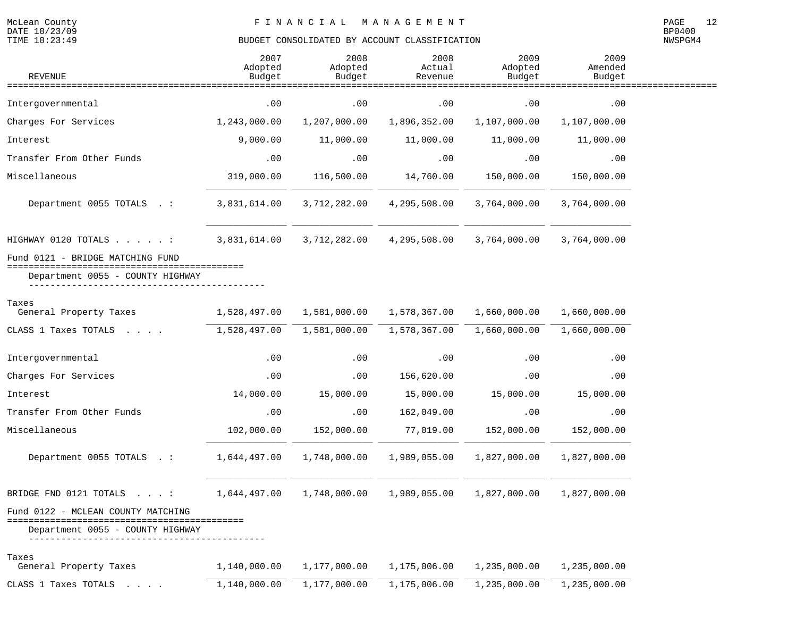| <b>REVENUE</b>                                                 | 2007<br>Adopted<br>Budget | 2008<br>Adopted<br>Budget | 2008<br>Actual<br>Revenue | 2009<br>Adopted<br>Budget | 2009<br>Amended<br>Budget |  |
|----------------------------------------------------------------|---------------------------|---------------------------|---------------------------|---------------------------|---------------------------|--|
| ========================                                       |                           |                           |                           |                           |                           |  |
| Intergovernmental                                              | .00                       | .00                       | .00                       | .00                       | .00                       |  |
| Charges For Services                                           | 1,243,000.00              | 1,207,000.00              | 1,896,352.00              | 1,107,000.00              | 1,107,000.00              |  |
| Interest                                                       | 9,000.00                  | 11,000.00                 | 11,000.00                 | 11,000.00                 | 11,000.00                 |  |
| Transfer From Other Funds                                      | .00                       | .00                       | .00                       | .00                       | .00                       |  |
| Miscellaneous                                                  | 319,000.00                | 116,500.00                | 14,760.00                 | 150,000.00                | 150,000.00                |  |
| Department 0055 TOTALS . :                                     | 3,831,614.00              | 3,712,282.00              | 4,295,508.00              | 3,764,000.00              | 3,764,000.00              |  |
| HIGHWAY 0120 TOTALS :                                          | 3,831,614.00              | 3,712,282.00              | 4,295,508.00              | 3,764,000.00              | 3,764,000.00              |  |
| Fund 0121 - BRIDGE MATCHING FUND                               |                           |                           |                           |                           |                           |  |
| Department 0055 - COUNTY HIGHWAY                               |                           |                           |                           |                           |                           |  |
| Taxes<br>General Property Taxes                                | 1,528,497.00              | 1,581,000.00              | 1,578,367.00              | 1,660,000.00              | 1,660,000.00              |  |
| CLASS 1 Taxes TOTALS                                           | 1,528,497.00              | 1,581,000.00              | 1,578,367.00              | 1,660,000.00              | 1,660,000.00              |  |
| Intergovernmental                                              | .00                       | .00                       | .00                       | .00                       | .00                       |  |
| Charges For Services                                           | .00                       | .00                       | 156,620.00                | .00                       | .00                       |  |
| Interest                                                       | 14,000.00                 | 15,000.00                 | 15,000.00                 | 15,000.00                 | 15,000.00                 |  |
| Transfer From Other Funds                                      | .00                       | .00                       | 162,049.00                | .00                       | .00                       |  |
| Miscellaneous                                                  | 102,000.00                | 152,000.00                | 77,019.00                 | 152,000.00                | 152,000.00                |  |
| Department 0055 TOTALS . :                                     | 1,644,497.00              | 1,748,000.00              | 1,989,055.00              | 1,827,000.00              | 1,827,000.00              |  |
| BRIDGE FND 0121 TOTALS :                                       | 1,644,497.00              | 1,748,000.00              | 1,989,055.00              | 1,827,000.00              | 1,827,000.00              |  |
| Fund 0122 - MCLEAN COUNTY MATCHING                             |                           |                           |                           |                           |                           |  |
| Department 0055 - COUNTY HIGHWAY<br>-------------------------- |                           |                           |                           |                           |                           |  |
| Taxes<br>General Property Taxes                                | 1,140,000.00              | 1,177,000.00              | 1,175,006.00              | 1,235,000.00              | 1,235,000.00              |  |
| CLASS 1 Taxes TOTALS<br><b>Contract Contract Contract</b>      | 1,140,000.00              | 1,177,000.00              | 1,175,006.00              | 1,235,000.00              | 1,235,000.00              |  |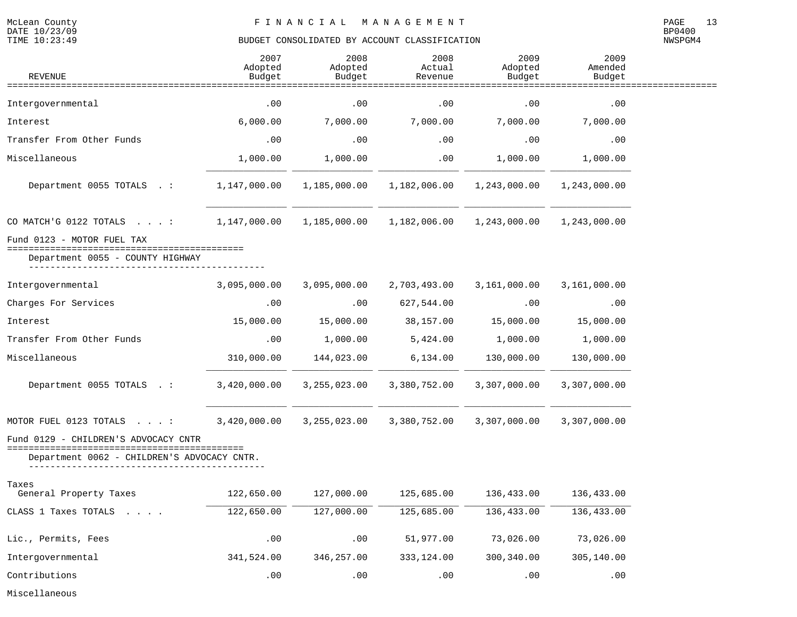NWSPGM4

| <b>REVENUE</b>                                                                                                          | 2007<br>Adopted<br>Budget | 2008<br>Adopted<br>Budget | 2008<br>Actual<br>Revenue | 2009<br>Adopted<br>Budget | 2009<br>Amended<br>Budget |  |
|-------------------------------------------------------------------------------------------------------------------------|---------------------------|---------------------------|---------------------------|---------------------------|---------------------------|--|
|                                                                                                                         |                           |                           |                           |                           |                           |  |
| Intergovernmental                                                                                                       | .00                       | .00                       | .00                       | .00                       | .00                       |  |
| Interest                                                                                                                | 6,000.00                  | 7,000.00                  | 7,000.00                  | 7,000.00                  | 7,000.00                  |  |
| Transfer From Other Funds                                                                                               | .00                       | .00                       | .00                       | .00                       | .00                       |  |
| Miscellaneous                                                                                                           | 1,000.00                  | 1,000.00                  | .00                       | 1,000.00                  | 1,000.00                  |  |
| Department 0055 TOTALS .:                                                                                               | 1,147,000.00              | 1,185,000.00              | 1,182,006.00              | 1,243,000.00              | 1,243,000.00              |  |
| CO MATCH'G 0122 TOTALS : 1,147,000.00                                                                                   |                           | 1,185,000.00              | 1,182,006.00              | 1,243,000.00              | 1,243,000.00              |  |
| Fund 0123 - MOTOR FUEL TAX                                                                                              |                           |                           |                           |                           |                           |  |
| Department 0055 - COUNTY HIGHWAY                                                                                        |                           |                           |                           |                           |                           |  |
| Intergovernmental                                                                                                       | 3,095,000.00              | 3,095,000.00              | 2,703,493.00              | 3,161,000.00              | 3,161,000.00              |  |
| Charges For Services                                                                                                    | .00                       | .00                       | 627,544.00                | .00                       | .00                       |  |
| Interest                                                                                                                | 15,000.00                 | 15,000.00                 | 38,157.00                 | 15,000.00                 | 15,000.00                 |  |
| Transfer From Other Funds                                                                                               | .00                       | 1,000.00                  | 5,424.00                  | 1,000.00                  | 1,000.00                  |  |
| Miscellaneous                                                                                                           | 310,000.00                | 144,023.00                | 6, 134.00                 | 130,000.00                | 130,000.00                |  |
| Department 0055 TOTALS .:                                                                                               | 3,420,000.00              | 3,255,023.00              | 3,380,752.00              | 3,307,000.00              | 3,307,000.00              |  |
| MOTOR FUEL 0123 TOTALS :                                                                                                | 3,420,000.00              | 3,255,023.00              | 3,380,752.00              | 3,307,000.00              | 3,307,000.00              |  |
| Fund 0129 - CHILDREN'S ADVOCACY CNTR<br>==============================                                                  |                           |                           |                           |                           |                           |  |
| Department 0062 - CHILDREN'S ADVOCACY CNTR.                                                                             |                           |                           |                           |                           |                           |  |
| Taxes<br>General Property Taxes                                                                                         | 122,650.00                | 127,000.00                | 125,685.00                | 136,433.00                | 136,433.00                |  |
| CLASS 1 Taxes TOTALS<br>$\mathcal{L}^{\mathcal{L}}$ , and $\mathcal{L}^{\mathcal{L}}$ , and $\mathcal{L}^{\mathcal{L}}$ | 122,650.00                | 127,000.00                | 125,685.00                | 136,433.00                | 136, 433.00               |  |
| Lic., Permits, Fees                                                                                                     | .00                       | .00                       | 51,977.00                 | 73,026.00                 | 73,026.00                 |  |
| Intergovernmental                                                                                                       | 341,524.00                | 346, 257.00               | 333, 124.00               | 300,340.00                | 305,140.00                |  |
| Contributions                                                                                                           | .00                       | .00                       | .00                       | .00                       | .00                       |  |

Miscellaneous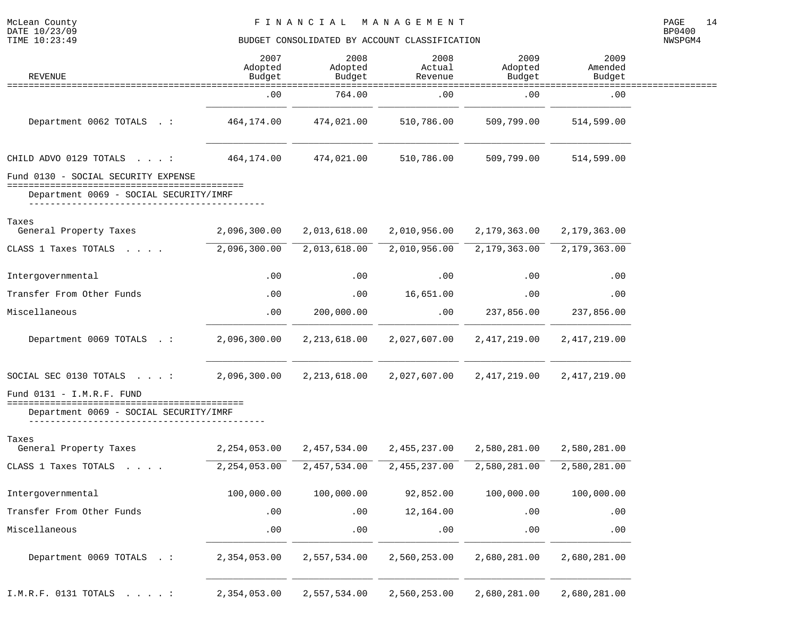McLean County<br>DATE 10/23/09<br>TIME 10:23:49

# BUDGET CONSOLIDATED BY ACCOUNT CLASSIFICATION

| <b>REVENUE</b>                                                                 | 2007<br>Adopted<br>Budget | 2008<br>Adopted<br>Budget | 2008<br>Actual<br>Revenue | 2009<br>Adopted<br>Budget | 2009<br>Amended<br>Budget |  |
|--------------------------------------------------------------------------------|---------------------------|---------------------------|---------------------------|---------------------------|---------------------------|--|
|                                                                                | .00                       | 764.00                    | ===============<br>.00    | .00                       | .00                       |  |
| Department 0062 TOTALS . :                                                     | 464,174.00                | 474,021.00                | 510,786.00                | 509,799.00                | 514,599.00                |  |
| CHILD ADVO 0129 TOTALS :                                                       | 464,174.00                | 474,021.00                | 510,786.00                | 509,799.00                | 514,599.00                |  |
| Fund 0130 - SOCIAL SECURITY EXPENSE                                            |                           |                           |                           |                           |                           |  |
| ====================================<br>Department 0069 - SOCIAL SECURITY/IMRF |                           |                           |                           |                           |                           |  |
| Taxes<br>General Property Taxes                                                | 2,096,300.00              | 2,013,618.00              | 2,010,956.00              | 2,179,363.00              | 2,179,363.00              |  |
| CLASS 1 Taxes TOTALS                                                           | 2,096,300.00              | 2,013,618.00              | 2,010,956.00              | 2,179,363.00              | 2,179,363.00              |  |
| Intergovernmental                                                              | .00                       | .00                       | .00                       | $.00 \,$                  | $.00 \,$                  |  |
| Transfer From Other Funds                                                      | .00                       | .00                       | 16,651.00                 | .00                       | .00                       |  |
| Miscellaneous                                                                  | .00                       | 200,000.00                | .00                       | 237,856.00                | 237,856.00                |  |
| Department 0069 TOTALS .:                                                      | 2,096,300.00              | 2, 213, 618.00            | 2,027,607.00              | 2, 417, 219.00            | 2, 417, 219.00            |  |
| SOCIAL SEC 0130 TOTALS $\ldots$ :                                              | 2,096,300.00              | 2, 213, 618.00            | 2,027,607.00              | 2,417,219.00              | 2, 417, 219.00            |  |
| Fund $0131 - I.M.R.F. FUND$<br>======================================          |                           |                           |                           |                           |                           |  |
| Department 0069 - SOCIAL SECURITY/IMRF                                         |                           |                           |                           |                           |                           |  |
| Taxes<br>General Property Taxes                                                | 2,254,053.00              | 2,457,534.00              | 2,455,237.00              | 2,580,281.00              | 2,580,281.00              |  |
| CLASS 1 Taxes TOTALS                                                           | 2, 254, 053.00            | 2,457,534.00              | 2,455,237.00              | 2,580,281.00              | 2,580,281.00              |  |
| Intergovernmental                                                              | 100,000.00                | 100,000.00                | 92,852.00                 | 100,000.00                | 100,000.00                |  |
| Transfer From Other Funds                                                      | .00                       | .00                       | 12,164.00                 | .00                       | .00                       |  |
| Miscellaneous                                                                  | .00                       | .00                       | .00                       | .00                       | .00                       |  |
| Department 0069 TOTALS . :                                                     | 2,354,053.00              | 2,557,534.00              | 2,560,253.00              | 2,680,281.00              | 2,680,281.00              |  |
| I.M.R.F. 0131 TOTALS :                                                         | 2,354,053.00              | 2,557,534.00              | 2,560,253.00              | 2,680,281.00              | 2,680,281.00              |  |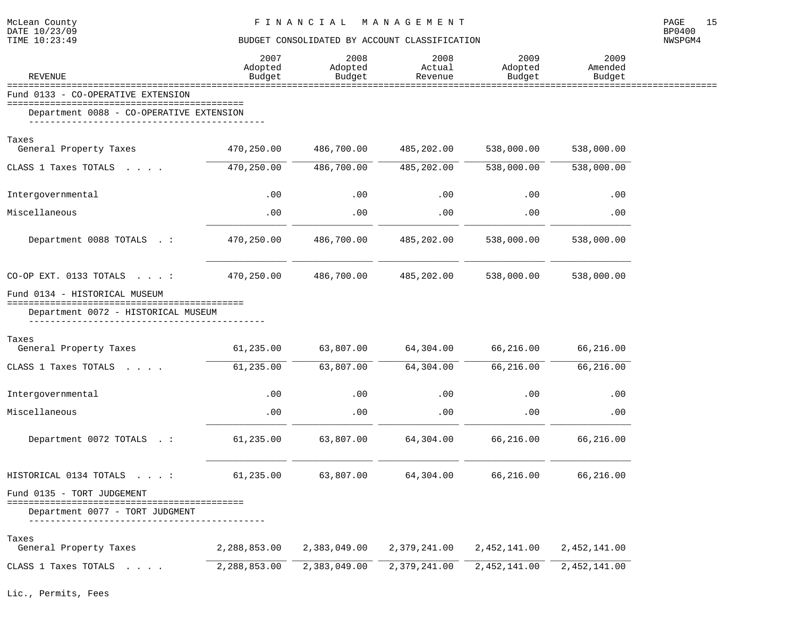| McLean County<br>DATE 10/23/09<br>TIME 10:23:49                      | FINANCIAL MANAGEMENT<br>BUDGET CONSOLIDATED BY ACCOUNT CLASSIFICATION |                           |                           |                           |                           |         |  |
|----------------------------------------------------------------------|-----------------------------------------------------------------------|---------------------------|---------------------------|---------------------------|---------------------------|---------|--|
| <b>REVENUE</b>                                                       | 2007<br>Adopted<br>Budget                                             | 2008<br>Adopted<br>Budget | 2008<br>Actual<br>Revenue | 2009<br>Adopted<br>Budget | 2009<br>Amended<br>Budget | NWSPGM4 |  |
| Fund 0133 - CO-OPERATIVE EXTENSION                                   |                                                                       |                           |                           |                           |                           |         |  |
| Department 0088 - CO-OPERATIVE EXTENSION                             |                                                                       |                           |                           |                           |                           |         |  |
| Taxes                                                                |                                                                       |                           |                           |                           |                           |         |  |
| General Property Taxes                                               | 470,250.00                                                            | 486,700.00                | 485,202.00                | 538,000.00                | 538,000.00                |         |  |
| CLASS 1 Taxes TOTALS                                                 | 470,250.00                                                            | 486,700.00                | 485,202.00                | 538,000.00                | 538,000.00                |         |  |
| Intergovernmental                                                    | .00                                                                   | .00                       | .00                       | .00                       | .00                       |         |  |
| Miscellaneous                                                        | .00                                                                   | .00                       | .00                       | .00                       | .00                       |         |  |
| Department 0088 TOTALS .:                                            | 470,250.00                                                            | 486,700.00                | 485,202.00                | 538,000.00                | 538,000.00                |         |  |
| CO-OP EXT. 0133 TOTALS $\cdot \cdot \cdot$                           | 470,250.00                                                            | 486,700.00                | 485,202.00                | 538,000.00                | 538,000.00                |         |  |
| Fund 0134 - HISTORICAL MUSEUM<br>Department 0072 - HISTORICAL MUSEUM |                                                                       |                           |                           |                           |                           |         |  |
| Taxes<br>General Property Taxes                                      | 61,235.00                                                             | 63,807.00                 | 64,304.00                 | 66,216.00                 | 66,216.00                 |         |  |
| CLASS 1 Taxes TOTALS                                                 | 61,235.00                                                             | 63,807.00                 | 64,304.00                 | 66,216.00                 | 66,216.00                 |         |  |
| Intergovernmental                                                    | .00                                                                   | .00                       | .00                       | .00                       | .00                       |         |  |
| Miscellaneous                                                        | .00                                                                   | .00                       | .00                       | .00                       | .00                       |         |  |
| Department 0072 TOTALS .:                                            | 61,235.00                                                             | 63,807.00                 | 64,304.00                 | 66,216.00                 | 66,216.00                 |         |  |
| HISTORICAL 0134 TOTALS :                                             | 61,235.00                                                             | 63,807.00                 | 64,304.00                 | 66,216.00                 | 66,216.00                 |         |  |
| Fund 0135 - TORT JUDGEMENT                                           |                                                                       |                           |                           |                           |                           |         |  |
| Department 0077 - TORT JUDGMENT                                      |                                                                       |                           |                           |                           |                           |         |  |
| Taxes<br>General Property Taxes                                      | 2,288,853.00                                                          | 2,383,049.00              | 2,379,241.00              | 2,452,141.00              | 2,452,141.00              |         |  |
| CLASS 1 Taxes TOTALS                                                 | 2,288,853.00                                                          | 2,383,049.00              | 2,379,241.00              | 2,452,141.00              | 2,452,141.00              |         |  |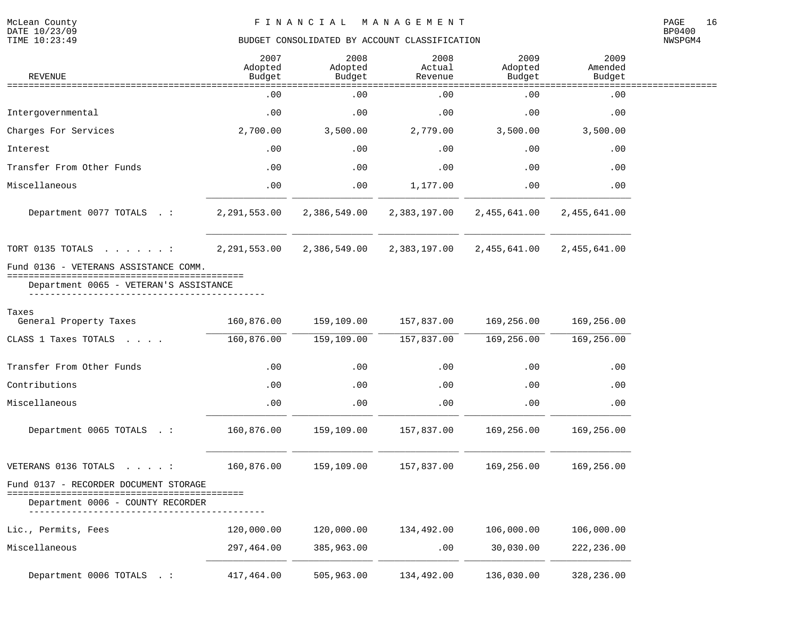McLean County<br>DATE 10/23/09<br>TIME 10:23:49

# BUDGET CONSOLIDATED BY ACCOUNT CLASSIFICATION

| <b>REVENUE</b>                                                             | 2007<br>Adopted<br>Budget | 2008<br>Adopted<br>Budget | 2008<br>Actual<br>Revenue | 2009<br>Adopted<br>Budget | 2009<br>Amended<br>Budget |  |
|----------------------------------------------------------------------------|---------------------------|---------------------------|---------------------------|---------------------------|---------------------------|--|
| :==============================                                            | .00                       | .00                       | ===============<br>.00    | ==============<br>.00     | ================<br>.00   |  |
| Intergovernmental                                                          | .00                       | .00                       | .00                       | .00                       | .00                       |  |
| Charges For Services                                                       | 2,700.00                  | 3,500.00                  | 2,779.00                  | 3,500.00                  | 3,500.00                  |  |
| Interest                                                                   | .00                       | .00                       | .00                       | .00                       | .00                       |  |
| Transfer From Other Funds                                                  | .00                       | .00                       | .00                       | .00                       | .00                       |  |
| Miscellaneous                                                              | .00                       | .00                       | 1,177.00                  | .00                       | .00                       |  |
| Department 0077 TOTALS . :                                                 | 2,291,553.00              | 2,386,549.00              | 2,383,197.00              | 2,455,641.00              | 2,455,641.00              |  |
| TORT 0135 TOTALS :                                                         | 2,291,553.00              | 2,386,549.00              | 2,383,197.00              | 2,455,641.00              | 2,455,641.00              |  |
| Fund 0136 - VETERANS ASSISTANCE COMM.                                      |                           |                           |                           |                           |                           |  |
| Department 0065 - VETERAN'S ASSISTANCE                                     |                           |                           |                           |                           |                           |  |
| Taxes<br>General Property Taxes                                            | 160,876.00                | 159,109.00                | 157,837.00                | 169,256.00                | 169,256.00                |  |
| CLASS 1 Taxes TOTALS                                                       | 160,876.00                | 159,109.00                | 157,837.00                | 169,256.00                | 169, 256.00               |  |
| Transfer From Other Funds                                                  | .00                       | .00                       | .00                       | .00                       | .00                       |  |
| Contributions                                                              | .00                       | .00                       | .00                       | .00                       | .00                       |  |
| Miscellaneous                                                              | .00                       | .00                       | .00                       | .00                       | .00                       |  |
| Department 0065 TOTALS . :                                                 | 160,876.00                | 159,109.00                | 157,837.00                | 169,256.00                | 169,256.00                |  |
| VETERANS 0136 TOTALS :                                                     | 160,876.00                | 159,109.00                | 157,837.00                | 169,256.00                | 169,256.00                |  |
| Fund 0137 - RECORDER DOCUMENT STORAGE<br>Department 0006 - COUNTY RECORDER |                           |                           |                           |                           |                           |  |
| Lic., Permits, Fees                                                        | 120,000.00                | 120,000.00                | 134,492.00                | 106,000.00                | 106,000.00                |  |
| Miscellaneous                                                              | 297,464.00                | 385,963.00                | .00                       | 30,030.00                 | 222, 236.00               |  |
| Department 0006 TOTALS . :                                                 | 417,464.00                | 505,963.00                | 134,492.00                | 136,030.00                | 328,236.00                |  |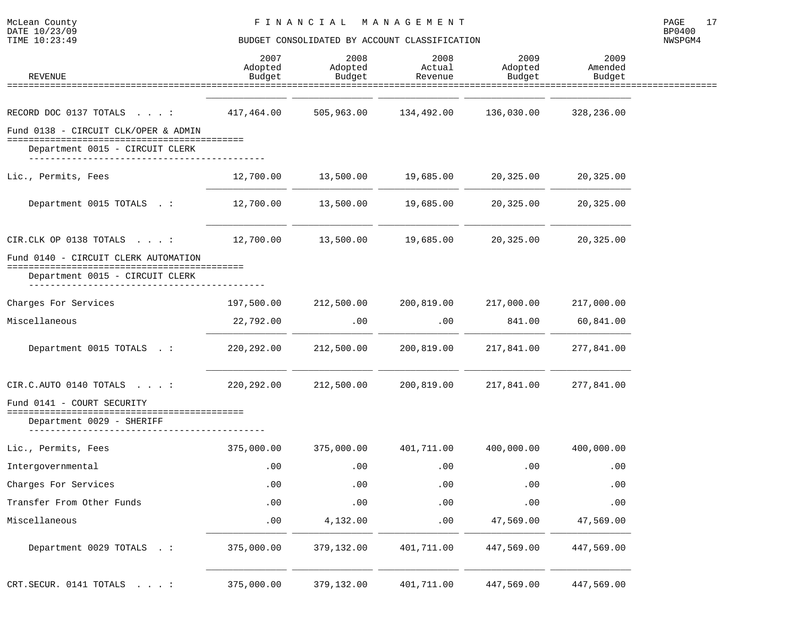| <b>REVENUE</b>                                                                                                 | 2007<br>Adopted<br>Budget | 2008<br>Adopted<br>Budget | 2008<br>Actual<br>Revenue | 2009<br>Adopted<br>Budget | 2009<br>Amended<br>Budget |
|----------------------------------------------------------------------------------------------------------------|---------------------------|---------------------------|---------------------------|---------------------------|---------------------------|
|                                                                                                                |                           |                           |                           |                           |                           |
| RECORD DOC 0137 TOTALS :                                                                                       | 417,464.00                | 505,963.00                | 134,492.00                | 136,030.00                | 328,236.00                |
| Fund 0138 - CIRCUIT CLK/OPER & ADMIN<br>Department 0015 - CIRCUIT CLERK                                        |                           |                           |                           |                           |                           |
| Lic., Permits, Fees                                                                                            | 12,700.00                 | 13,500.00                 | 19,685.00                 | 20,325.00                 | 20,325.00                 |
| Department 0015 TOTALS . :                                                                                     | 12,700.00                 | 13,500.00                 | 19,685.00                 | 20,325.00                 | 20,325.00                 |
| CIR.CLK OP 0138 TOTALS $\ldots$ :                                                                              | 12,700.00                 | 13,500.00                 | 19,685.00                 | 20,325.00                 | 20,325.00                 |
| Fund 0140 - CIRCUIT CLERK AUTOMATION<br>:==================================<br>Department 0015 - CIRCUIT CLERK |                           |                           |                           |                           |                           |
|                                                                                                                |                           |                           |                           |                           |                           |
| Charges For Services                                                                                           | 197,500.00                | 212,500.00                | 200,819.00                | 217,000.00                | 217,000.00                |
| Miscellaneous                                                                                                  | 22,792.00                 | .00                       | .00                       | 841.00                    | 60,841.00                 |
| Department 0015 TOTALS . :                                                                                     | 220, 292.00               | 212,500.00                | 200,819.00                | 217,841.00                | 277,841.00                |
| CIR.C.AUTO 0140 TOTALS :                                                                                       | 220, 292.00               | 212,500.00                | 200,819.00                | 217,841.00                | 277,841.00                |
| Fund 0141 - COURT SECURITY<br>================================<br>Department 0029 - SHERIFF                    |                           |                           |                           |                           |                           |
| Lic., Permits, Fees                                                                                            | 375,000.00                | 375,000.00                | 401,711.00                | 400,000.00                | 400,000.00                |
| Intergovernmental                                                                                              | .00                       | .00                       | .00                       | .00                       | .00                       |
| Charges For Services                                                                                           | .00                       | .00                       | .00                       | .00                       | .00                       |
| Transfer From Other Funds                                                                                      | .00                       | $.00$                     | .00                       | .00                       | .00                       |
| Miscellaneous                                                                                                  | .00                       | 4,132.00                  | .00                       | 47,569.00                 | 47,569.00                 |
| Department 0029 TOTALS . :                                                                                     | 375,000.00                | 379,132.00                | 401,711.00                | 447,569.00                | 447,569.00                |
| CRT.SECUR. 0141 TOTALS :                                                                                       | 375,000.00                | 379,132.00                | 401,711.00                | 447,569.00                | 447,569.00                |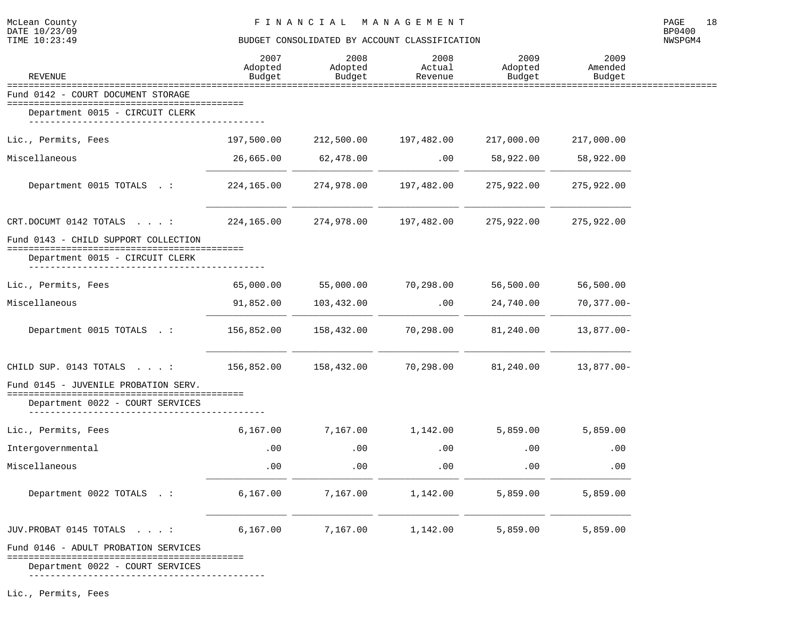#### TIME  $10:23:49$  BUDGET CONSOLIDATED BY ACCOUNT CLASSIFICATION

NWSPGM4

| <b>REVENUE</b>                                                              | 2007<br>Adopted<br>Budget | 2008<br>Adopted<br>Budget | 2008<br>Actual<br>Revenue | 2009<br>Adopted<br>Budget | 2009<br>Amended<br>Budget |
|-----------------------------------------------------------------------------|---------------------------|---------------------------|---------------------------|---------------------------|---------------------------|
| =====================================<br>Fund 0142 - COURT DOCUMENT STORAGE |                           | ==========                |                           |                           |                           |
| Department 0015 - CIRCUIT CLERK                                             |                           |                           |                           |                           |                           |
| Lic., Permits, Fees                                                         | 197,500.00                | 212,500.00                | 197,482.00                | 217,000.00                | 217,000.00                |
| Miscellaneous                                                               | 26,665.00                 | 62,478.00                 | .00                       | 58,922.00                 | 58,922.00                 |
| Department 0015 TOTALS . :                                                  | 224,165.00                | 274,978.00                | 197,482.00                | 275,922.00                | 275,922.00                |
| CRT.DOCUMT 0142 TOTALS :                                                    | 224,165.00                | 274,978.00                | 197,482.00                | 275,922.00                | 275,922.00                |
| Fund 0143 - CHILD SUPPORT COLLECTION                                        |                           |                           |                           |                           |                           |
| Department 0015 - CIRCUIT CLERK                                             |                           |                           |                           |                           |                           |
| Lic., Permits, Fees                                                         | 65,000.00                 | 55,000.00                 | 70,298.00                 | 56,500.00                 | 56,500.00                 |
| Miscellaneous                                                               | 91,852.00                 | 103,432.00                | .00                       | 24,740.00                 | $70,377.00 -$             |
| Department 0015 TOTALS . :                                                  | 156,852.00                | 158,432.00                | 70,298.00                 | 81,240.00                 | $13,877.00 -$             |
| CHILD SUP. 0143 TOTALS :                                                    | 156,852.00                | 158,432.00                | 70,298.00                 | 81,240.00                 | $13,877.00 -$             |
| Fund 0145 - JUVENILE PROBATION SERV.                                        |                           |                           |                           |                           |                           |
| Department 0022 - COURT SERVICES                                            |                           |                           |                           |                           |                           |
| Lic., Permits, Fees                                                         | 6,167.00                  | 7,167.00                  | 1,142.00                  | 5,859.00                  | 5,859.00                  |
| Intergovernmental                                                           | .00                       | .00                       | $.00 \,$                  | .00                       | .00                       |
| Miscellaneous                                                               | .00                       | .00                       | .00                       | .00                       | .00                       |
| Department 0022 TOTALS .:                                                   | 6,167.00                  | 7,167.00                  | 1,142.00                  | 5,859.00                  | 5,859.00                  |
| JUV.PROBAT 0145 TOTALS :                                                    | 6,167.00                  | 7,167.00                  | 1,142.00                  | 5,859.00                  | 5,859.00                  |
| Fund 0146 - ADULT PROBATION SERVICES                                        |                           |                           |                           |                           |                           |

============================================

Department 0022 - COURT SERVICES

--------------------------------------------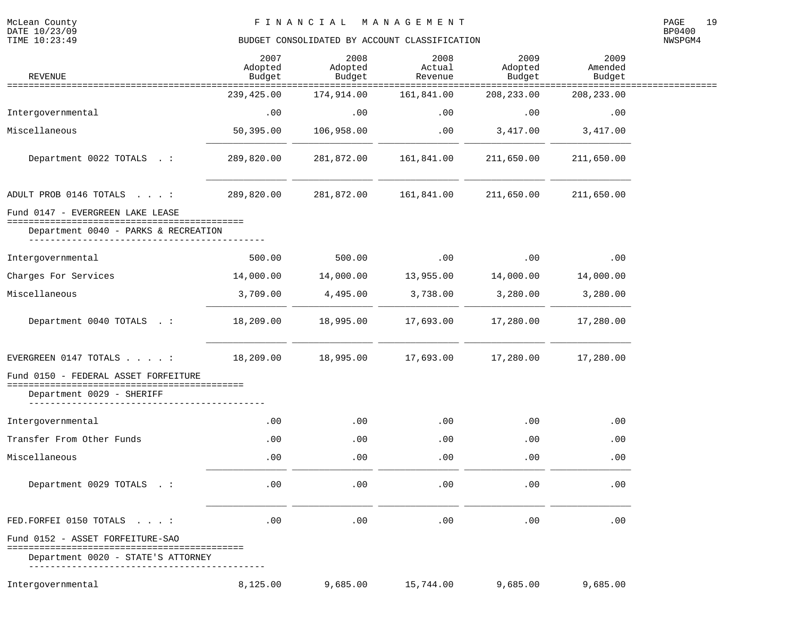McLean County<br>DATE 10/23/09<br>TIME 10:23:49

# BUDGET CONSOLIDATED BY ACCOUNT CLASSIFICATION

| <b>REVENUE</b>                                                       | 2007<br>Adopted<br>Budget             | 2008<br>Adopted<br>Budget | 2008<br>Actual<br>Revenue                  | 2009<br>Adopted<br>Budget | 2009<br>Amended<br>Budget             |  |
|----------------------------------------------------------------------|---------------------------------------|---------------------------|--------------------------------------------|---------------------------|---------------------------------------|--|
| ========================                                             | =======================<br>239,425.00 | 174,914.00                | ==============<br>==========<br>161,841.00 | 208, 233.00               | :=====================<br>208, 233.00 |  |
| Intergovernmental                                                    | .00                                   | .00                       | .00                                        | .00                       | .00                                   |  |
| Miscellaneous                                                        | 50,395.00                             | 106,958.00                | .00                                        | 3,417.00                  | 3,417.00                              |  |
| Department 0022 TOTALS . :                                           | 289,820.00                            | 281,872.00                | 161,841.00                                 | 211,650.00                | 211,650.00                            |  |
| ADULT PROB 0146 TOTALS :                                             | 289,820.00                            | 281,872.00                | 161,841.00                                 | 211,650.00                | 211,650.00                            |  |
| Fund 0147 - EVERGREEN LAKE LEASE<br>-------------------------------- |                                       |                           |                                            |                           |                                       |  |
| Department 0040 - PARKS & RECREATION                                 |                                       |                           |                                            |                           |                                       |  |
| Intergovernmental                                                    | 500.00                                | 500.00                    | .00                                        | .00                       | .00                                   |  |
| Charges For Services                                                 | 14,000.00                             | 14,000.00                 | 13,955.00                                  | 14,000.00                 | 14,000.00                             |  |
| Miscellaneous                                                        | 3,709.00                              | 4,495.00                  | 3,738.00                                   | 3,280.00                  | 3,280.00                              |  |
| Department 0040 TOTALS . :                                           | 18,209.00                             | 18,995.00                 | 17,693.00                                  | 17,280.00                 | 17,280.00                             |  |
| EVERGREEN 0147 TOTALS $\ldots$ . :                                   | 18,209.00                             | 18,995.00                 | 17,693.00                                  | 17,280.00                 | 17,280.00                             |  |
| Fund 0150 - FEDERAL ASSET FORFEITURE                                 |                                       |                           |                                            |                           |                                       |  |
| Department 0029 - SHERIFF                                            |                                       |                           |                                            |                           |                                       |  |
| Intergovernmental                                                    | .00                                   | .00                       | .00                                        | .00                       | .00                                   |  |
| Transfer From Other Funds                                            | $.00 \,$                              | .00                       | $.00 \,$                                   | .00                       | .00                                   |  |
| Miscellaneous                                                        | .00                                   | .00                       | .00                                        | .00                       | .00                                   |  |
| Department 0029 TOTALS . :                                           | .00                                   | .00                       | .00                                        | .00                       | .00                                   |  |
| FED. FORFEI 0150 TOTALS :                                            | .00                                   | .00                       | .00                                        | .00                       | .00                                   |  |
| Fund 0152 - ASSET FORFEITURE-SAO                                     |                                       |                           |                                            |                           |                                       |  |
| Department 0020 - STATE'S ATTORNEY                                   |                                       |                           |                                            |                           |                                       |  |
| Intergovernmental                                                    | 8,125.00                              | 9,685.00                  | 15,744.00                                  | 9,685.00                  | 9,685.00                              |  |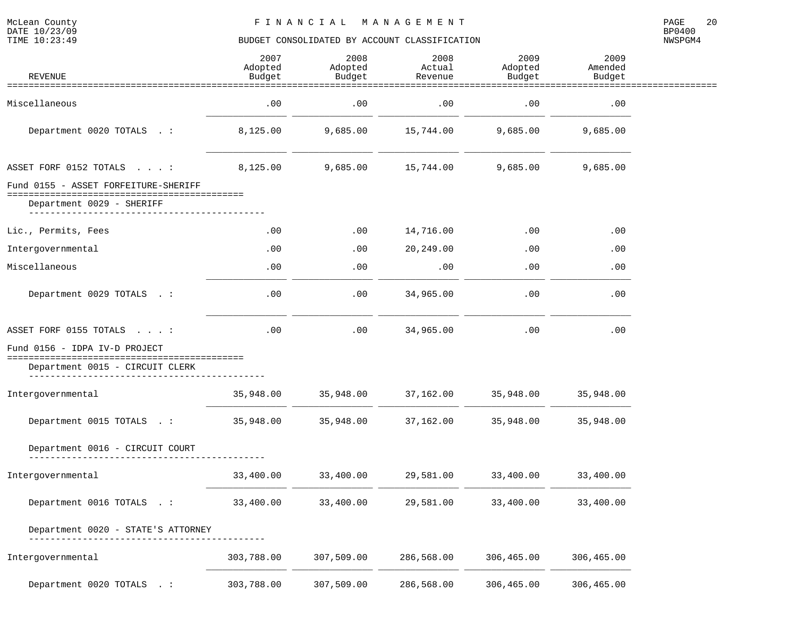| <b>REVENUE</b>                                  | 2007<br>Adopted<br>Budget | 2008<br>Adopted<br>Budget | 2008<br>Actual<br>Revenue | 2009<br>Adopted<br>Budget | 2009<br>Amended<br>Budget |  |
|-------------------------------------------------|---------------------------|---------------------------|---------------------------|---------------------------|---------------------------|--|
|                                                 |                           |                           |                           |                           |                           |  |
| Miscellaneous                                   | .00                       | .00                       | .00                       | .00                       | .00                       |  |
| Department 0020 TOTALS . :                      | 8,125.00                  | 9,685.00                  | 15,744.00                 | 9,685.00                  | 9,685.00                  |  |
| ASSET FORF 0152 TOTALS :                        | 8,125.00                  | 9,685.00                  | 15,744.00                 | 9,685.00                  | 9,685.00                  |  |
| Fund 0155 - ASSET FORFEITURE-SHERIFF            |                           |                           |                           |                           |                           |  |
| Department 0029 - SHERIFF<br>__________________ |                           |                           |                           |                           |                           |  |
| Lic., Permits, Fees                             | .00                       | .00                       | 14,716.00                 | .00                       | .00                       |  |
| Intergovernmental                               | .00                       | .00                       | 20,249.00                 | .00                       | .00                       |  |
| Miscellaneous                                   | .00                       | .00                       | .00                       | .00                       | .00                       |  |
| Department 0029 TOTALS . :                      | .00                       | .00                       | 34,965.00                 | .00                       | .00                       |  |
| ASSET FORF 0155 TOTALS :                        | .00                       | .00                       | 34,965.00                 | .00                       | .00                       |  |
| Fund 0156 - IDPA IV-D PROJECT                   |                           |                           |                           |                           |                           |  |
| Department 0015 - CIRCUIT CLERK                 |                           |                           |                           |                           |                           |  |
| Intergovernmental                               | 35,948.00                 | 35,948.00                 | 37,162.00                 | 35,948.00                 | 35,948.00                 |  |
| Department 0015 TOTALS .:                       | 35,948.00                 | 35,948.00                 | 37,162.00                 | 35,948.00                 | 35,948.00                 |  |
| Department 0016 - CIRCUIT COURT                 |                           |                           |                           |                           |                           |  |
| Intergovernmental                               | 33,400.00                 | 33,400.00                 | 29,581.00                 | 33,400.00                 | 33,400.00                 |  |
| Department 0016 TOTALS .:                       | 33,400.00                 | 33,400.00                 | 29,581.00                 | 33,400.00                 | 33,400.00                 |  |
| Department 0020 - STATE'S ATTORNEY              |                           |                           |                           |                           |                           |  |
| Intergovernmental                               | 303,788.00                | 307,509.00                | 286,568.00                | 306,465.00                | 306,465.00                |  |
| Department 0020 TOTALS . :                      | 303,788.00                | 307,509.00                | 286,568.00                | 306,465.00                | 306,465.00                |  |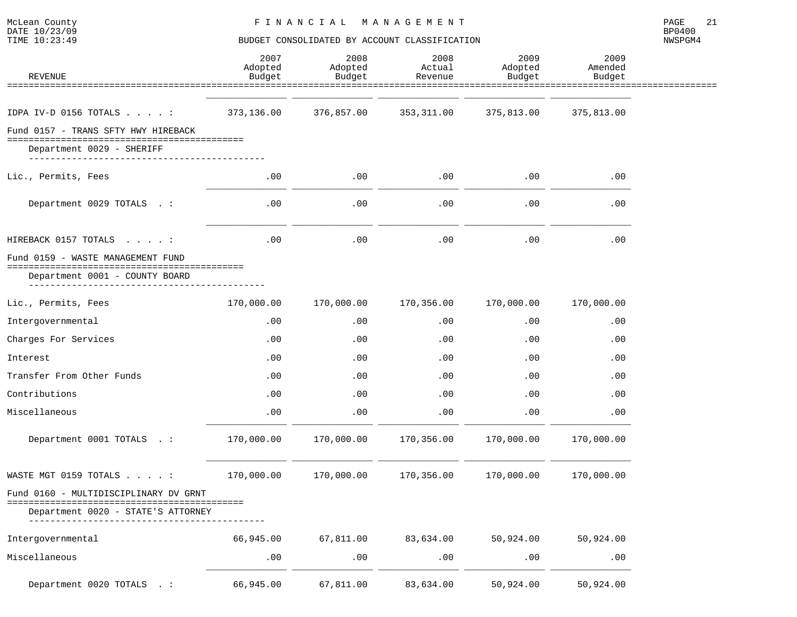| REVENUE                                                          | 2007<br>Adopted<br>Budget | 2008<br>Adopted<br>Budget | 2008<br>Actual<br>Revenue | 2009<br>Adopted<br>Budget | 2009<br>Amended<br>Budget |  |
|------------------------------------------------------------------|---------------------------|---------------------------|---------------------------|---------------------------|---------------------------|--|
|                                                                  |                           |                           |                           |                           |                           |  |
| IDPA IV-D 0156 TOTALS $\ldots$                                   | 373,136.00                | 376,857.00                | 353, 311.00               | 375,813.00                | 375,813.00                |  |
| Fund 0157 - TRANS SFTY HWY HIREBACK<br>Department 0029 - SHERIFF |                           |                           |                           |                           |                           |  |
| Lic., Permits, Fees                                              | .00                       | .00                       | .00                       | .00                       | .00                       |  |
| Department 0029 TOTALS . :                                       | .00                       | .00                       | .00                       | .00                       | .00                       |  |
| HIREBACK 0157 TOTALS :                                           | .00                       | .00                       | .00                       | .00                       | .00                       |  |
| Fund 0159 - WASTE MANAGEMENT FUND                                |                           |                           |                           |                           |                           |  |
| Department 0001 - COUNTY BOARD                                   |                           |                           |                           |                           |                           |  |
| Lic., Permits, Fees                                              | 170,000.00                | 170,000.00                | 170,356.00                | 170,000.00                | 170,000.00                |  |
| Intergovernmental                                                | .00                       | .00                       | .00                       | .00                       | .00                       |  |
| Charges For Services                                             | .00                       | .00                       | .00                       | .00                       | .00                       |  |
| Interest                                                         | .00                       | .00                       | .00                       | .00                       | .00                       |  |
| Transfer From Other Funds                                        | .00                       | .00                       | .00                       | .00                       | .00                       |  |
| Contributions                                                    | .00                       | .00                       | .00                       | .00                       | .00                       |  |
| Miscellaneous                                                    | .00                       | .00                       | .00                       | .00                       | .00                       |  |
| Department 0001 TOTALS . :                                       | 170,000.00                | 170,000.00                | 170,356.00                | 170,000.00                | 170,000.00                |  |
| WASTE MGT 0159 TOTALS :                                          | 170,000.00                | 170,000.00                | 170,356.00                | 170,000.00                | 170,000.00                |  |
| Fund 0160 - MULTIDISCIPLINARY DV GRNT                            |                           |                           |                           |                           |                           |  |
| Department 0020 - STATE'S ATTORNEY                               |                           |                           |                           |                           |                           |  |
| Intergovernmental                                                | 66,945.00                 | 67,811.00                 | 83,634.00                 | 50,924.00                 | 50,924.00                 |  |
| Miscellaneous                                                    | .00                       | .00                       | .00                       | .00                       | .00                       |  |
| Department 0020 TOTALS . :                                       | 66,945.00                 | 67,811.00                 | 83,634.00                 | 50,924.00                 | 50,924.00                 |  |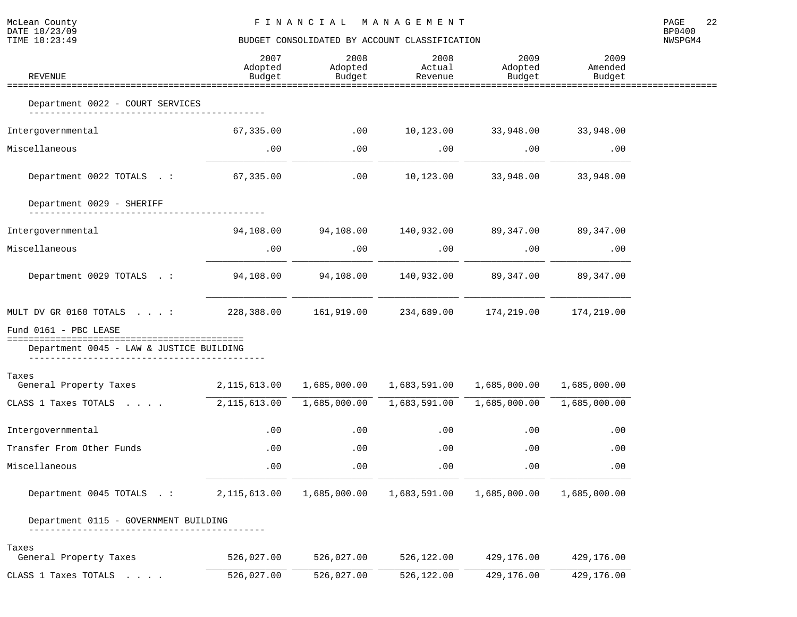| McLean County<br>DATE 10/23/09<br>TIME 10:23:49                                                  | FINANCIAL MANAGEMENT<br>BUDGET CONSOLIDATED BY ACCOUNT CLASSIFICATION |                                                  |                              |                               |                               |         |  |
|--------------------------------------------------------------------------------------------------|-----------------------------------------------------------------------|--------------------------------------------------|------------------------------|-------------------------------|-------------------------------|---------|--|
| REVENUE                                                                                          | 2007<br>Adopted<br>Budget                                             | 2008<br>Adopted<br>Budget                        | 2008<br>Actual<br>Revenue    | 2009<br>Adopted<br>Budget     | 2009<br>Amended<br>Budget     | NWSPGM4 |  |
| Department 0022 - COURT SERVICES                                                                 |                                                                       |                                                  |                              |                               |                               |         |  |
| Intergovernmental                                                                                | 67,335.00                                                             | .00                                              |                              | 10,123.00 33,948.00 33,948.00 |                               |         |  |
| Miscellaneous                                                                                    | $.00 \,$                                                              | .00                                              | $.00\,$                      | .00                           | .00                           |         |  |
| Department 0022 TOTALS .: 67,335.00                                                              |                                                                       | $\sim$ 00                                        |                              | 10,123.00 33,948.00           | 33,948.00                     |         |  |
| Department 0029 - SHERIFF                                                                        |                                                                       |                                                  |                              |                               |                               |         |  |
| Intergovernmental                                                                                | 94,108.00                                                             | $94,108.00$ $140,932.00$ $89,347.00$ $89,347.00$ |                              |                               |                               |         |  |
| Miscellaneous                                                                                    | .00                                                                   | .00                                              | .00                          | .00                           | .00                           |         |  |
| Department 0029 TOTALS .:                                                                        |                                                                       |                                                  |                              |                               |                               |         |  |
| MULT DV GR 0160 TOTALS: 228,388.00 161,919.00 234,689.00 174,219.00 174,219.00                   |                                                                       |                                                  |                              |                               |                               |         |  |
| Fund 0161 - PBC LEASE<br>Department 0045 - LAW & JUSTICE BUILDING                                |                                                                       |                                                  |                              |                               |                               |         |  |
| Taxes<br>General Property Taxes 2,115,613.00 1,685,000.00 1,683,591.00 1,685,000.00 1,685,000.00 |                                                                       |                                                  |                              |                               |                               |         |  |
| CLASS 1 Taxes TOTALS                                                                             | 2,115,613.00                                                          |                                                  | 1,685,000.00    1,683,591.00 |                               | $1,685,000.00$ $1,685,000.00$ |         |  |
| Intergovernmental                                                                                | .00                                                                   | .00                                              | .00                          | .00                           | .00                           |         |  |
| Transfer From Other Funds                                                                        | .00                                                                   | .00                                              | .00                          | .00                           | .00                           |         |  |
| Miscellaneous                                                                                    | $.00 \,$                                                              | $.00 \,$                                         | $.00 \,$                     | $.00\,$                       | .00                           |         |  |
| Department 0045 TOTALS .:                                                                        | 2,115,613.00                                                          | 1,685,000.00                                     | 1,683,591.00                 | 1,685,000.00                  | 1,685,000.00                  |         |  |
| Department 0115 - GOVERNMENT BUILDING                                                            |                                                                       |                                                  |                              |                               |                               |         |  |
| Taxes<br>General Property Taxes                                                                  | 526,027.00                                                            | 526,027.00                                       | 526,122.00                   | 429,176.00                    | 429,176.00                    |         |  |
| CLASS 1 Taxes TOTALS .                                                                           | 526,027.00                                                            | 526,027.00                                       | 526,122.00                   | 429,176.00                    | 429,176.00                    |         |  |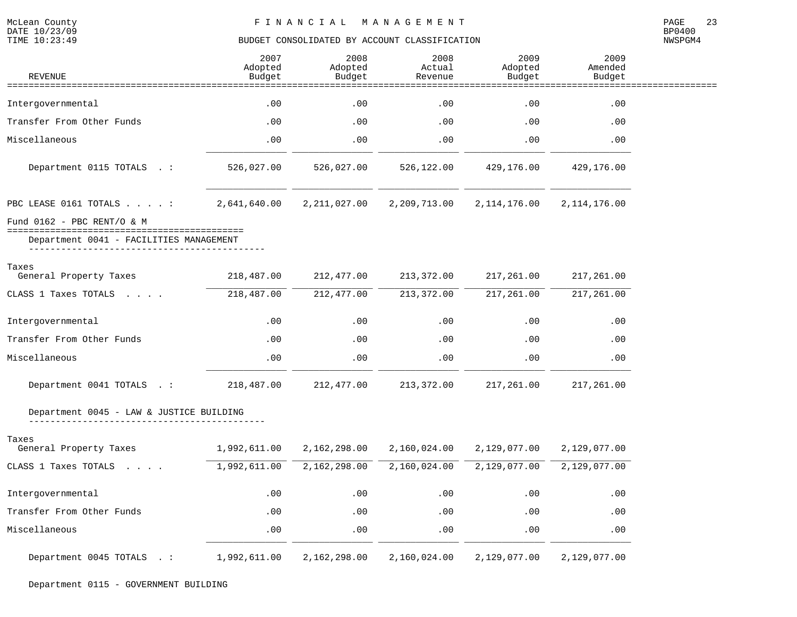NWSPGM4

| REVENUE                                                                          | 2007<br>Adopted<br>Budget | 2008<br>Adopted<br>Budget | 2008<br>Actual<br>Revenue | 2009<br>Adopted<br>Budget | 2009<br>Amended<br>Budget |  |
|----------------------------------------------------------------------------------|---------------------------|---------------------------|---------------------------|---------------------------|---------------------------|--|
|                                                                                  |                           |                           |                           |                           |                           |  |
| Intergovernmental                                                                | .00                       | .00                       | .00                       | .00                       | .00                       |  |
| Transfer From Other Funds                                                        | .00                       | .00                       | .00                       | .00                       | .00                       |  |
| Miscellaneous                                                                    | .00                       | .00                       | .00                       | .00                       | .00                       |  |
| Department 0115 TOTALS .:                                                        | 526,027.00                | 526,027.00                | 526,122.00                | 429,176.00                | 429,176.00                |  |
| PBC LEASE 0161 TOTALS :                                                          | 2,641,640.00              | 2, 211, 027.00            | 2,209,713.00              | 2, 114, 176.00            | 2, 114, 176.00            |  |
| Fund $0162$ - PBC RENT/O & M                                                     |                           |                           |                           |                           |                           |  |
| =====================================<br>Department 0041 - FACILITIES MANAGEMENT |                           |                           |                           |                           |                           |  |
| Taxes                                                                            |                           |                           |                           |                           |                           |  |
| General Property Taxes                                                           | 218,487.00                | 212,477.00                | 213,372.00                | 217,261.00                | 217,261.00                |  |
| CLASS 1 Taxes TOTALS                                                             | 218,487.00                | 212, 477.00               | 213, 372.00               | 217, 261.00               | 217, 261.00               |  |
| Intergovernmental                                                                | .00                       | .00                       | .00                       | .00                       | .00                       |  |
| Transfer From Other Funds                                                        | .00                       | .00                       | .00                       | .00                       | .00                       |  |
| Miscellaneous                                                                    | .00                       | .00                       | .00                       | .00                       | .00                       |  |
| Department 0041 TOTALS .:                                                        | 218,487.00                | 212,477.00                | 213,372.00                | 217,261.00                | 217,261.00                |  |
| Department 0045 - LAW & JUSTICE BUILDING                                         |                           |                           |                           |                           |                           |  |
| Taxes                                                                            |                           |                           |                           |                           |                           |  |
| General Property Taxes                                                           | 1,992,611.00              | 2,162,298.00              | 2,160,024.00              | 2,129,077.00              | 2,129,077.00              |  |
| CLASS 1 Taxes TOTALS                                                             | 1,992,611.00              | 2,162,298.00              | 2,160,024.00              | 2,129,077.00              | 2,129,077.00              |  |
| Intergovernmental                                                                | .00                       | .00                       | .00                       | .00                       | .00                       |  |
| Transfer From Other Funds                                                        | .00                       | .00                       | .00                       | .00                       | .00                       |  |
| Miscellaneous                                                                    | .00                       | .00                       | .00                       | .00                       | .00                       |  |
| Department 0045 TOTALS .:                                                        | 1,992,611.00              | 2,162,298.00              | 2,160,024.00              | 2,129,077.00              | 2,129,077.00              |  |

Department 0115 - GOVERNMENT BUILDING

McLean County<br>DATE 10/23/09<br>TIME 10:23:49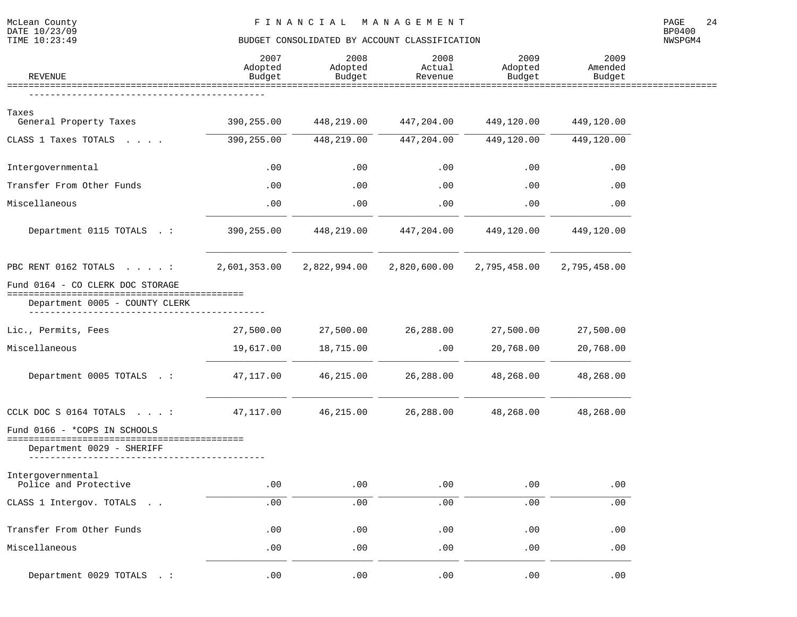| <b>REVENUE</b>                             | 2007<br>Adopted<br>Budget | 2008<br>Adopted<br>Budget | 2008<br>Actual<br>Revenue | 2009<br>Adopted<br>Budget | 2009<br>Amended<br>Budget |  |
|--------------------------------------------|---------------------------|---------------------------|---------------------------|---------------------------|---------------------------|--|
|                                            |                           |                           |                           |                           |                           |  |
| Taxes<br>General Property Taxes            | 390,255.00                | 448,219.00                | 447,204.00                | 449,120.00                | 449,120.00                |  |
| CLASS 1 Taxes TOTALS                       | 390,255.00                | 448,219.00                | 447,204.00                | 449,120.00                | 449,120.00                |  |
| Intergovernmental                          | .00                       | .00                       | .00                       | .00                       | .00                       |  |
| Transfer From Other Funds                  | .00                       | .00                       | .00                       | .00                       | .00                       |  |
| Miscellaneous                              | .00                       | .00                       | .00                       | .00                       | .00                       |  |
| Department 0115 TOTALS .:                  | 390,255.00                | 448,219.00                | 447,204.00                | 449,120.00                | 449,120.00                |  |
| PBC RENT 0162 TOTALS :                     | 2,601,353.00              | 2,822,994.00              | 2,820,600.00              | 2,795,458.00              | 2,795,458.00              |  |
| Fund 0164 - CO CLERK DOC STORAGE           |                           |                           |                           |                           |                           |  |
| Department 0005 - COUNTY CLERK             |                           |                           |                           |                           |                           |  |
| Lic., Permits, Fees                        | 27,500.00                 | 27,500.00                 | 26,288.00                 | 27,500.00                 | 27,500.00                 |  |
| Miscellaneous                              | 19,617.00                 | 18,715.00                 | .00                       | 20,768.00                 | 20,768.00                 |  |
| Department 0005 TOTALS . :                 | 47,117.00                 | 46,215.00                 | 26,288.00                 | 48,268.00                 | 48,268.00                 |  |
| CCLK DOC S 0164 TOTALS :                   | 47,117.00                 | 46,215.00                 | 26,288.00                 | 48,268.00                 | 48,268.00                 |  |
| Fund 0166 - *COPS IN SCHOOLS               |                           |                           |                           |                           |                           |  |
| Department 0029 - SHERIFF                  |                           |                           |                           |                           |                           |  |
| Intergovernmental<br>Police and Protective | .00                       | .00                       | .00                       | .00                       | .00                       |  |
| CLASS 1 Intergov. TOTALS                   | .00                       | .00                       | .00                       | .00                       | .00                       |  |
| Transfer From Other Funds                  | .00                       | .00                       | .00                       | .00                       | .00                       |  |
| Miscellaneous                              | .00                       | .00                       | .00                       | .00                       | .00                       |  |
| Department 0029 TOTALS . :                 | .00                       | .00                       | .00                       | .00                       | .00                       |  |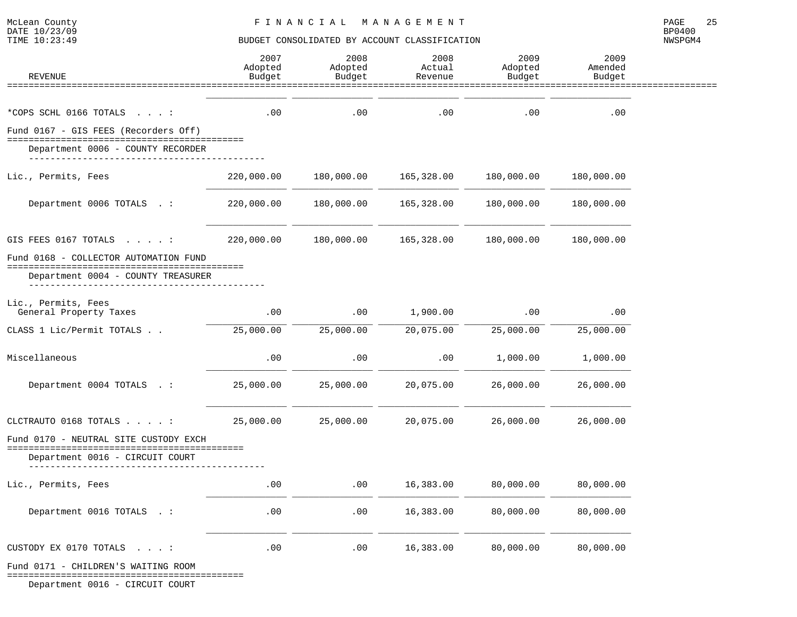#### TIME  $10:23:49$  BUDGET CONSOLIDATED BY ACCOUNT CLASSIFICATION

NWSPGM4

| <b>REVENUE</b>                                                            | 2007<br>Adopted<br>Budget | 2008<br>Adopted<br>Budget | 2008<br>Actual<br>Revenue | 2009<br>Adopted<br>Budget | 2009<br>Amended<br>Budget |  |
|---------------------------------------------------------------------------|---------------------------|---------------------------|---------------------------|---------------------------|---------------------------|--|
|                                                                           |                           |                           |                           |                           |                           |  |
| *COPS SCHL 0166 TOTALS :                                                  | .00                       | .00                       | .00                       | .00                       | .00                       |  |
| Fund 0167 - GIS FEES (Recorders Off)<br>Department 0006 - COUNTY RECORDER |                           |                           |                           |                           |                           |  |
|                                                                           |                           |                           |                           |                           |                           |  |
| Lic., Permits, Fees                                                       | 220,000.00                | 180,000.00                | 165,328.00                | 180,000.00                | 180,000.00                |  |
| Department 0006 TOTALS .:                                                 | 220,000.00                | 180,000.00                | 165,328.00                | 180,000.00                | 180,000.00                |  |
| GIS FEES 0167 TOTALS :                                                    | 220,000.00                | 180,000.00                | 165,328.00                | 180,000.00                | 180,000.00                |  |
| Fund 0168 - COLLECTOR AUTOMATION FUND                                     |                           |                           |                           |                           |                           |  |
| Department 0004 - COUNTY TREASURER                                        |                           |                           |                           |                           |                           |  |
| Lic., Permits, Fees<br>General Property Taxes                             | .00                       | .00                       | 1,900.00                  | .00                       | .00                       |  |
| CLASS 1 Lic/Permit TOTALS                                                 | 25,000.00                 | 25,000.00                 | 20,075.00                 | 25,000.00                 | 25,000.00                 |  |
| Miscellaneous                                                             | .00                       | .00                       | .00                       | 1,000.00                  | 1,000.00                  |  |
| Department 0004 TOTALS .:                                                 | 25,000.00                 | 25,000.00                 | 20,075.00                 | 26,000.00                 | 26,000.00                 |  |
| CLCTRAUTO 0168 TOTALS :                                                   | 25,000.00                 | 25,000.00                 | 20,075.00                 | 26,000.00                 | 26,000.00                 |  |
| Fund 0170 - NEUTRAL SITE CUSTODY EXCH                                     |                           |                           |                           |                           |                           |  |
| Department 0016 - CIRCUIT COURT                                           |                           |                           |                           |                           |                           |  |
| Lic., Permits, Fees                                                       | .00                       | .00                       | 16,383.00                 | 80,000.00                 | 80,000.00                 |  |
| Department 0016 TOTALS . :                                                | .00                       | .00                       | 16,383.00                 | 80,000.00                 | 80,000.00                 |  |
| CUSTODY EX 0170 TOTALS :                                                  | .00                       | .00                       | 16,383.00                 | 80,000.00                 | 80,000.00                 |  |
| Fund 0171 - CHILDREN'S WAITING ROOM                                       |                           |                           |                           |                           |                           |  |

============================================

Department 0016 - CIRCUIT COURT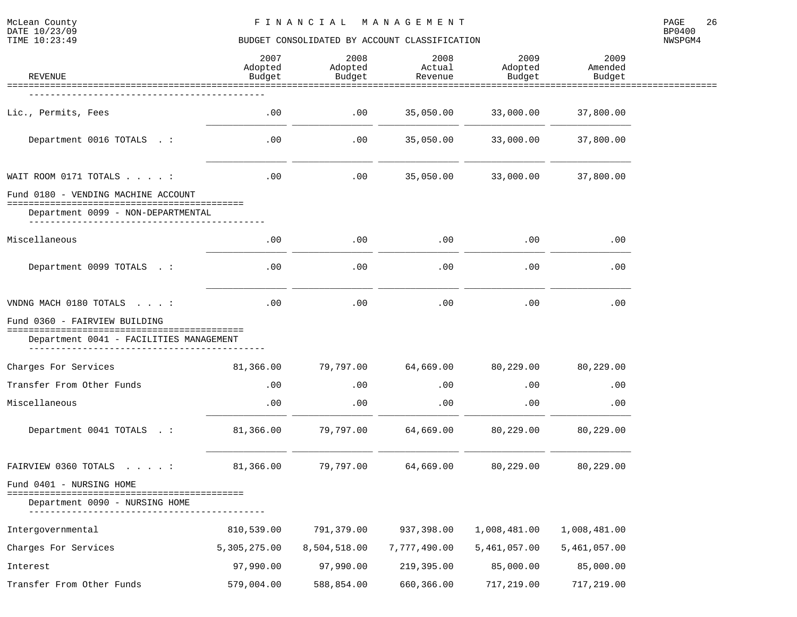McLean County<br>DATE 10/23/09<br>TIME 10:23:49

# BUDGET CONSOLIDATED BY ACCOUNT CLASSIFICATION

| REVENUE                                           | 2007<br>Adopted<br>Budget | 2008<br>Adopted<br>Budget | 2008<br>Actual<br>Revenue | 2009<br>Adopted<br>Budget | 2009<br>Amended<br>Budget |  |
|---------------------------------------------------|---------------------------|---------------------------|---------------------------|---------------------------|---------------------------|--|
|                                                   |                           |                           |                           |                           |                           |  |
| Lic., Permits, Fees                               | .00                       | $.00 \,$                  | 35,050.00                 | 33,000.00                 | 37,800.00                 |  |
| Department 0016 TOTALS . :                        | .00                       | $.00 \,$                  | 35,050.00                 | 33,000.00                 | 37,800.00                 |  |
| WAIT ROOM 0171 TOTALS :                           | .00                       | .00                       | 35,050.00                 | 33,000.00                 | 37,800.00                 |  |
| Fund 0180 - VENDING MACHINE ACCOUNT               |                           |                           |                           |                           |                           |  |
| Department 0099 - NON-DEPARTMENTAL                |                           |                           |                           |                           |                           |  |
| Miscellaneous                                     | .00                       | $.00 \,$                  | $.00 \,$                  | .00                       | .00                       |  |
| Department 0099 TOTALS . :                        | .00                       | .00                       | .00                       | .00                       | .00                       |  |
| VNDNG MACH 0180 TOTALS :                          | .00                       | .00                       | .00                       | .00                       | .00                       |  |
| Fund 0360 - FAIRVIEW BUILDING<br>================ |                           |                           |                           |                           |                           |  |
| Department 0041 - FACILITIES MANAGEMENT           |                           |                           |                           |                           |                           |  |
| Charges For Services                              | 81,366.00                 | 79,797.00                 | 64,669.00                 | 80,229.00                 | 80,229.00                 |  |
| Transfer From Other Funds                         | .00                       | $.00 \,$                  | $.00 \,$                  | .00                       | .00                       |  |
| Miscellaneous                                     | .00                       | .00                       | .00                       | .00                       | .00                       |  |
| Department 0041 TOTALS . :                        | 81,366.00                 | 79,797.00                 | 64,669.00                 | 80,229.00                 | 80,229.00                 |  |
| FAIRVIEW 0360 TOTALS :                            | 81,366.00                 | 79,797.00                 | 64,669.00                 | 80,229.00                 | 80,229.00                 |  |
| Fund 0401 - NURSING HOME                          |                           |                           |                           |                           |                           |  |
| Department 0090 - NURSING HOME                    |                           |                           |                           |                           |                           |  |
| Intergovernmental                                 | 810,539.00                | 791,379.00                | 937,398.00                | 1,008,481.00              | 1,008,481.00              |  |
| Charges For Services                              | 5,305,275.00              | 8,504,518.00              | 7,777,490.00              | 5,461,057.00              | 5,461,057.00              |  |
| Interest                                          | 97,990.00                 | 97,990.00                 | 219,395.00                | 85,000.00                 | 85,000.00                 |  |
| Transfer From Other Funds                         | 579,004.00                | 588,854.00                | 660,366.00                | 717,219.00                | 717,219.00                |  |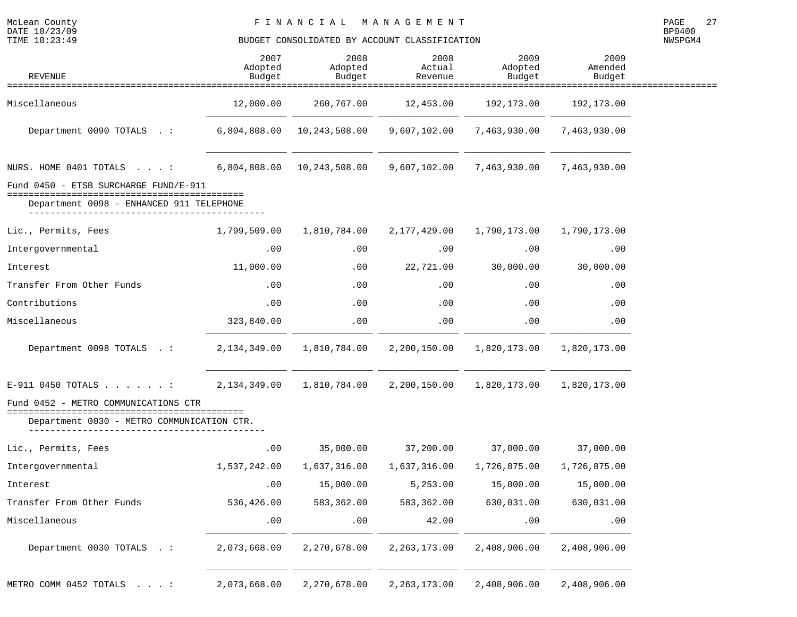| <b>REVENUE</b>                                                                                                             | 2007<br>Adopted<br>Budget | 2008<br>Adopted<br>Budget   | 2008<br>Actual<br>Revenue | 2009<br>Adopted<br>Budget | 2009<br>Amended<br>Budget |  |
|----------------------------------------------------------------------------------------------------------------------------|---------------------------|-----------------------------|---------------------------|---------------------------|---------------------------|--|
|                                                                                                                            |                           |                             | ==========                |                           |                           |  |
| Miscellaneous                                                                                                              | 12,000.00                 | 260,767.00                  | 12,453.00                 | 192,173.00                | 192,173.00                |  |
| Department 0090 TOTALS . :                                                                                                 | 6,804,808.00              | 10,243,508.00               | 9,607,102.00              | 7,463,930.00              | 7,463,930.00              |  |
| NURS. HOME 0401 TOTALS :                                                                                                   |                           | 6,804,808.00  10,243,508.00 | 9,607,102.00              | 7,463,930.00              | 7,463,930.00              |  |
| Fund 0450 - ETSB SURCHARGE FUND/E-911<br>=====================================<br>Department 0098 - ENHANCED 911 TELEPHONE |                           |                             |                           |                           |                           |  |
| Lic., Permits, Fees                                                                                                        | 1,799,509.00              | 1,810,784.00                | 2,177,429.00              | 1,790,173.00              | 1,790,173.00              |  |
| Intergovernmental                                                                                                          | .00                       | .00                         | .00                       | .00                       | .00                       |  |
| Interest                                                                                                                   | 11,000.00                 | .00                         | 22,721.00                 | 30,000.00                 | 30,000.00                 |  |
| Transfer From Other Funds                                                                                                  | .00                       | .00                         | .00                       | .00                       | .00                       |  |
| Contributions                                                                                                              | .00                       | .00                         | .00                       | .00                       | .00                       |  |
| Miscellaneous                                                                                                              | 323,840.00                | .00                         | .00                       | .00                       | .00                       |  |
| Department 0098 TOTALS . :                                                                                                 | 2,134,349.00              | 1,810,784.00                | 2,200,150.00              | 1,820,173.00              | 1,820,173.00              |  |
| $E-911$ 0450 TOTALS :                                                                                                      | 2,134,349.00              | 1,810,784.00                | 2,200,150.00              | 1,820,173.00              | 1,820,173.00              |  |
| Fund 0452 - METRO COMMUNICATIONS CTR<br>==================================<br>Department 0030 - METRO COMMUNICATION CTR.   |                           |                             |                           |                           |                           |  |
| Lic., Permits, Fees                                                                                                        | .00                       | 35,000.00                   | 37,200.00                 | 37,000.00                 | 37,000.00                 |  |
| Intergovernmental                                                                                                          | 1,537,242.00              | 1,637,316.00                | 1,637,316.00              | 1,726,875.00              | 1,726,875.00              |  |
| Interest                                                                                                                   | .00                       | 15,000.00                   | 5,253.00                  | 15,000.00                 | 15,000.00                 |  |
| Transfer From Other Funds                                                                                                  | 536,426.00                | 583,362.00                  | 583,362.00                | 630,031.00                | 630,031.00                |  |
| Miscellaneous                                                                                                              | .00                       | .00                         | 42.00                     | .00                       | .00                       |  |
| Department 0030 TOTALS . :                                                                                                 | 2,073,668.00              | 2,270,678.00                | 2, 263, 173.00            | 2,408,906.00              | 2,408,906.00              |  |
| METRO COMM 0452 TOTALS :                                                                                                   | 2,073,668.00              | 2,270,678.00                | 2, 263, 173.00            | 2,408,906.00              | 2,408,906.00              |  |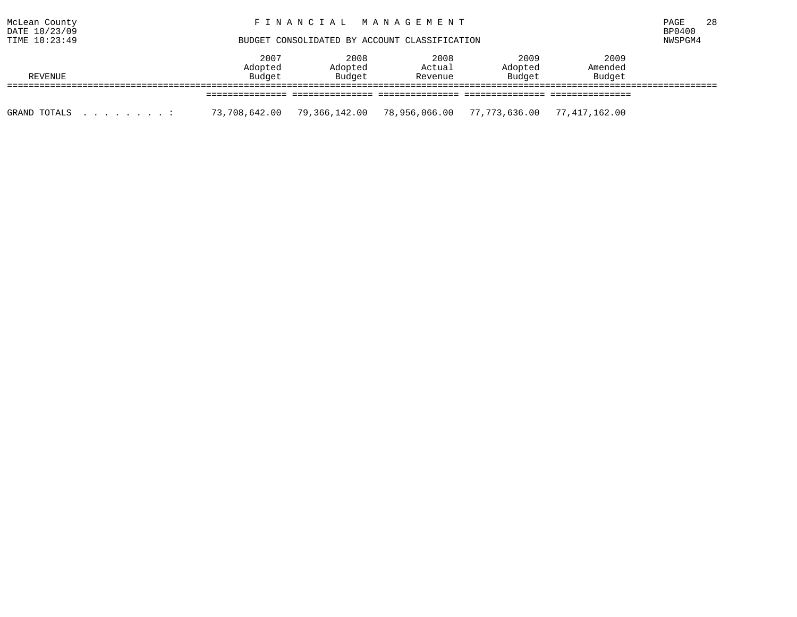| McLean County<br>DATE 10/23/09<br>TIME 10:23:49 | FINANCIAL MANAGEMENT<br>BUDGET CONSOLIDATED BY ACCOUNT CLASSIFICATION |                             |                           |                           |                           |  |
|-------------------------------------------------|-----------------------------------------------------------------------|-----------------------------|---------------------------|---------------------------|---------------------------|--|
| REVENUE                                         | 2007<br>Adopted<br>Budget                                             | 2008<br>Adopted<br>Budget   | 2008<br>Actual<br>Revenue | 2009<br>Adopted<br>Budget | 2009<br>Amended<br>Budget |  |
|                                                 |                                                                       |                             |                           |                           |                           |  |
| GRAND TOTALS<br>$\sim$                          | 73,708,642.00                                                         | 79,366,142.00 78,956,066.00 |                           | 77,773,636.00             | 77,417,162.00             |  |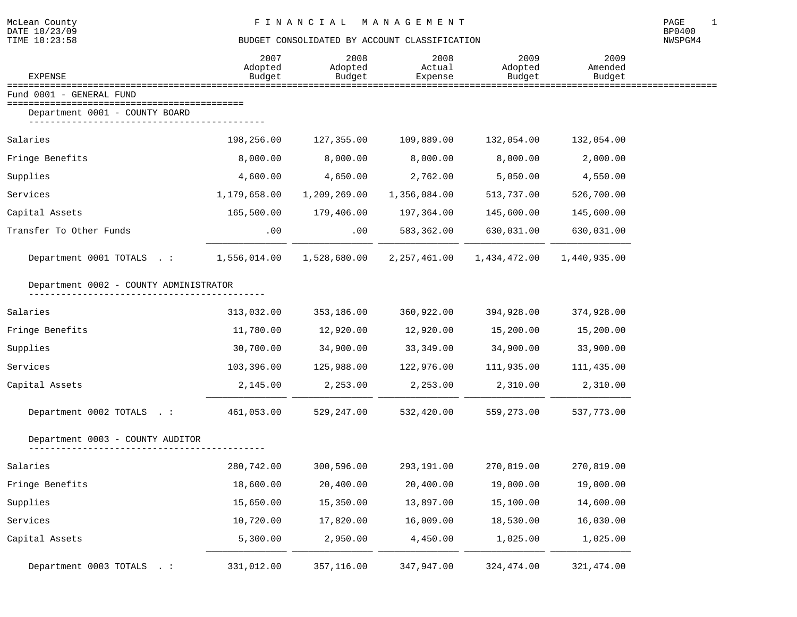| <b>EXPENSE</b>                         | 2007<br>Adopted<br>Budget | 2008<br>Adopted<br>Budget | 2008<br>Actual<br>Expense | 2009<br>Adopted<br>Budget | 2009<br>Amended<br>Budget |  |
|----------------------------------------|---------------------------|---------------------------|---------------------------|---------------------------|---------------------------|--|
| Fund 0001 - GENERAL FUND               |                           |                           |                           |                           |                           |  |
| Department 0001 - COUNTY BOARD         |                           |                           |                           |                           |                           |  |
| Salaries                               | 198,256.00                | 127,355.00                | 109,889.00                | 132,054.00                | 132,054.00                |  |
| Fringe Benefits                        | 8,000.00                  | 8,000.00                  | 8,000.00                  | 8,000.00                  | 2,000.00                  |  |
| Supplies                               | 4,600.00                  | 4,650.00                  | 2,762.00                  | 5,050.00                  | 4,550.00                  |  |
| Services                               | 1,179,658.00              | 1,209,269.00              | 1,356,084.00              | 513,737.00                | 526,700.00                |  |
| Capital Assets                         | 165,500.00                | 179,406.00                | 197,364.00                | 145,600.00                | 145,600.00                |  |
| Transfer To Other Funds                | .00                       | .00                       | 583,362.00                | 630,031.00                | 630,031.00                |  |
| Department 0001 TOTALS .:              | 1,556,014.00              | 1,528,680.00              | 2, 257, 461.00            | 1,434,472.00              | 1,440,935.00              |  |
| Department 0002 - COUNTY ADMINISTRATOR |                           |                           |                           |                           |                           |  |
| Salaries                               | 313,032.00                | 353,186.00                | 360,922.00                | 394,928.00                | 374,928.00                |  |
| Fringe Benefits                        | 11,780.00                 | 12,920.00                 | 12,920.00                 | 15,200.00                 | 15,200.00                 |  |
| Supplies                               | 30,700.00                 | 34,900.00                 | 33,349.00                 | 34,900.00                 | 33,900.00                 |  |
| Services                               | 103,396.00                | 125,988.00                | 122,976.00                | 111,935.00                | 111,435.00                |  |
| Capital Assets                         | 2,145.00                  | 2,253.00                  | 2,253.00                  | 2,310.00                  | 2,310.00                  |  |
| Department 0002 TOTALS .:              | 461,053.00                | 529,247.00                | 532,420.00                | 559,273.00                | 537,773.00                |  |
| Department 0003 - COUNTY AUDITOR       |                           |                           |                           |                           |                           |  |
| Salaries                               | 280,742.00                | 300,596.00                | 293,191.00                | 270,819.00                | 270,819.00                |  |
| Fringe Benefits                        | 18,600.00                 | 20,400.00                 | 20,400.00                 | 19,000.00                 | 19,000.00                 |  |
| Supplies                               | 15,650.00                 | 15,350.00                 | 13,897.00                 | 15,100.00                 | 14,600.00                 |  |
| Services                               | 10,720.00                 | 17,820.00                 | 16,009.00                 | 18,530.00                 | 16,030.00                 |  |
| Capital Assets                         | 5,300.00                  | 2,950.00                  | 4,450.00                  | 1,025.00                  | 1,025.00                  |  |
| Department 0003 TOTALS . :             | 331,012.00                | 357,116.00                | 347,947.00                | 324,474.00                | 321, 474.00               |  |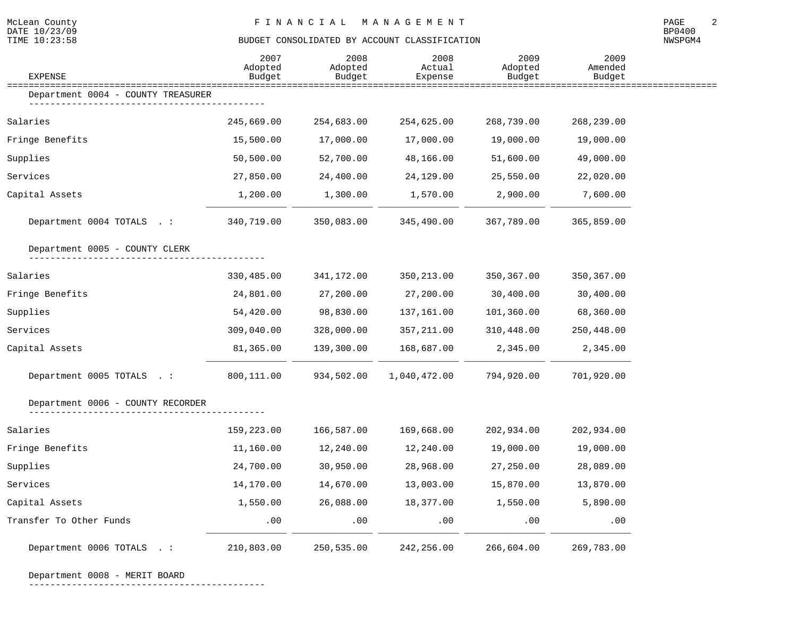| <b>EXPENSE</b>                     | 2007<br>Adopted<br>Budget | 2008<br>Adopted<br>Budget | 2008<br>Actual<br>Expense | 2009<br>Adopted<br>Budget | 2009<br>Amended<br>Budget   |  |
|------------------------------------|---------------------------|---------------------------|---------------------------|---------------------------|-----------------------------|--|
| Department 0004 - COUNTY TREASURER |                           |                           |                           |                           | =========================== |  |
| Salaries                           | 245,669.00                | 254,683.00                | 254,625.00                | 268,739.00                | 268,239.00                  |  |
| Fringe Benefits                    | 15,500.00                 | 17,000.00                 | 17,000.00                 | 19,000.00                 | 19,000.00                   |  |
| Supplies                           | 50,500.00                 | 52,700.00                 | 48,166.00                 | 51,600.00                 | 49,000.00                   |  |
| Services                           | 27,850.00                 | 24,400.00                 | 24,129.00                 | 25,550.00                 | 22,020.00                   |  |
| Capital Assets                     | 1,200.00                  | 1,300.00                  | 1,570.00                  | 2,900.00                  | 7,600.00                    |  |
| Department 0004 TOTALS . :         | 340,719.00                | 350,083.00                | 345,490.00                | 367,789.00                | 365,859.00                  |  |
| Department 0005 - COUNTY CLERK     |                           |                           |                           |                           |                             |  |
| Salaries                           | 330,485.00                | 341,172.00                | 350, 213.00               | 350,367.00                | 350,367.00                  |  |
| Fringe Benefits                    | 24,801.00                 | 27,200.00                 | 27,200.00                 | 30,400.00                 | 30,400.00                   |  |
| Supplies                           | 54,420.00                 | 98,830.00                 | 137,161.00                | 101,360.00                | 68,360.00                   |  |
| Services                           | 309,040.00                | 328,000.00                | 357,211.00                | 310,448.00                | 250,448.00                  |  |
| Capital Assets                     | 81,365.00                 | 139,300.00                | 168,687.00                | 2,345.00                  | 2,345.00                    |  |
| Department 0005 TOTALS .:          | 800,111.00                | 934,502.00                | 1,040,472.00              | 794,920.00                | 701,920.00                  |  |
| Department 0006 - COUNTY RECORDER  |                           |                           |                           |                           |                             |  |
| Salaries                           | 159,223.00                | 166,587.00                | 169,668.00                | 202,934.00                | 202,934.00                  |  |
| Fringe Benefits                    | 11,160.00                 | 12,240.00                 | 12,240.00                 | 19,000.00                 | 19,000.00                   |  |
| Supplies                           | 24,700.00                 | 30,950.00                 | 28,968.00                 | 27,250.00                 | 28,089.00                   |  |
| Services                           | 14,170.00                 | 14,670.00                 | 13,003.00                 | 15,870.00                 | 13,870.00                   |  |
| Capital Assets                     | 1,550.00                  | 26,088.00                 | 18,377.00                 | 1,550.00                  | 5,890.00                    |  |
| Transfer To Other Funds            | .00                       | .00                       | .00                       | .00                       | .00                         |  |
| Department 0006 TOTALS .:          | 210,803.00                | 250,535.00                | 242,256.00                | 266,604.00                | 269,783.00                  |  |

Department 0008 - MERIT BOARD

--------------------------------------------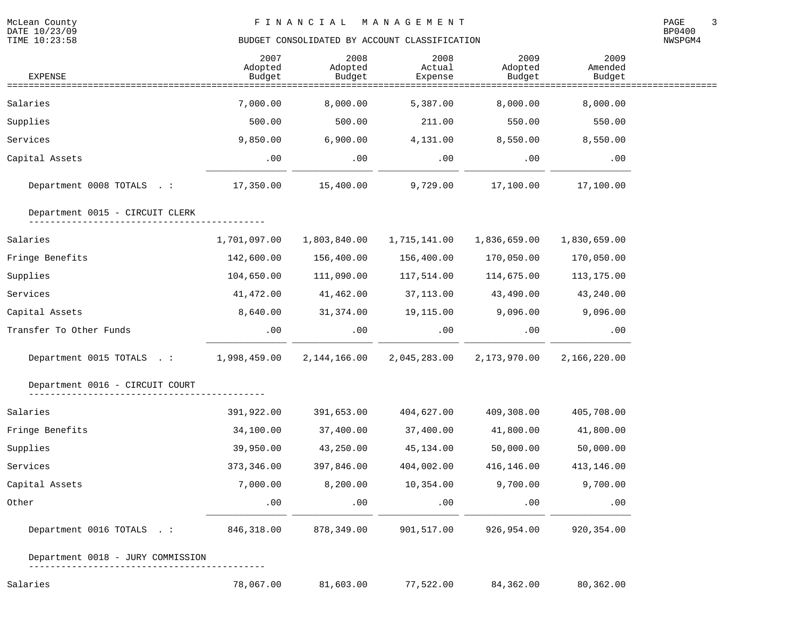| <b>EXPENSE</b>                    | 2007<br>Adopted<br>Budget | 2008<br>Adopted<br>Budget | 2008<br>Actual<br>Expense      | 2009<br>Adopted<br>Budget | 2009<br>Amended<br>Budget |  |
|-----------------------------------|---------------------------|---------------------------|--------------------------------|---------------------------|---------------------------|--|
| ============================      |                           |                           | ============================== |                           |                           |  |
| Salaries                          | 7,000.00                  | 8,000.00                  | 5,387.00                       | 8,000.00                  | 8,000.00                  |  |
| Supplies                          | 500.00                    | 500.00                    | 211.00                         | 550.00                    | 550.00                    |  |
| Services                          | 9,850.00                  | 6,900.00                  | 4,131.00                       | 8,550.00                  | 8,550.00                  |  |
| Capital Assets                    | .00                       | .00                       | .00                            | .00                       | .00                       |  |
| Department 0008 TOTALS .:         | 17,350.00                 | 15,400.00                 | 9,729.00                       | 17,100.00                 | 17,100.00                 |  |
| Department 0015 - CIRCUIT CLERK   |                           |                           |                                |                           |                           |  |
| Salaries                          | 1,701,097.00              | 1,803,840.00              | 1,715,141.00                   | 1,836,659.00              | 1,830,659.00              |  |
| Fringe Benefits                   | 142,600.00                | 156,400.00                | 156,400.00                     | 170,050.00                | 170,050.00                |  |
| Supplies                          | 104,650.00                | 111,090.00                | 117,514.00                     | 114,675.00                | 113,175.00                |  |
| Services                          | 41,472.00                 | 41,462.00                 | 37,113.00                      | 43,490.00                 | 43,240.00                 |  |
| Capital Assets                    | 8,640.00                  | 31,374.00                 | 19,115.00                      | 9,096.00                  | 9,096.00                  |  |
| Transfer To Other Funds           | .00                       | .00                       | .00                            | $.00 \,$                  | .00                       |  |
| Department 0015 TOTALS .:         | 1,998,459.00              |                           | 2,144,166.00 2,045,283.00      | 2,173,970.00              | 2,166,220.00              |  |
| Department 0016 - CIRCUIT COURT   |                           |                           |                                |                           |                           |  |
| Salaries                          | 391,922.00                | 391,653.00                | 404,627.00                     | 409,308.00                | 405,708.00                |  |
| Fringe Benefits                   | 34,100.00                 | 37,400.00                 | 37,400.00                      | 41,800.00                 | 41,800.00                 |  |
| Supplies                          | 39,950.00                 | 43,250.00                 | 45,134.00                      | 50,000.00                 | 50,000.00                 |  |
| Services                          | 373, 346.00               | 397,846.00                | 404,002.00                     | 416,146.00                | 413,146.00                |  |
| Capital Assets                    | 7,000.00                  | 8,200.00                  | 10,354.00                      | 9,700.00                  | 9,700.00                  |  |
| Other                             | .00                       | .00                       | .00                            | .00                       | .00                       |  |
| Department 0016 TOTALS .:         | 846,318.00                | 878,349.00                | 901,517.00                     | 926,954.00                | 920,354.00                |  |
| Department 0018 - JURY COMMISSION |                           |                           |                                |                           |                           |  |
| Salaries                          | 78,067.00                 | 81,603.00                 | 77,522.00                      | 84,362.00                 | 80,362.00                 |  |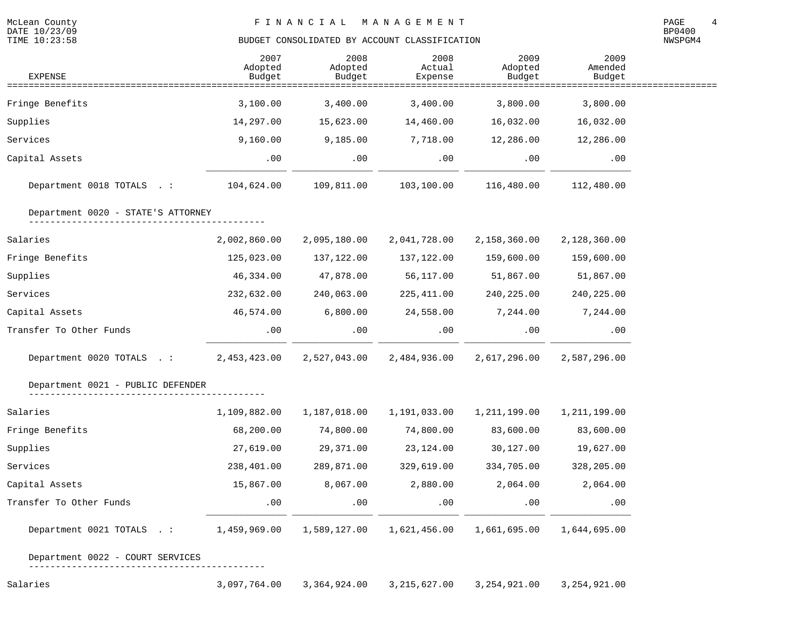NWSPGM4

| <b>EXPENSE</b>                            | 2007<br>Adopted<br>Budget | 2008<br>Adopted<br>Budget | 2008<br>Actual<br>Expense | 2009<br>Adopted<br>Budget | 2009<br>Amended<br>Budget |  |
|-------------------------------------------|---------------------------|---------------------------|---------------------------|---------------------------|---------------------------|--|
| ======================<br>Fringe Benefits | 3,100.00                  | 3,400.00                  | 3,400.00                  | 3,800.00                  | 3,800.00                  |  |
| Supplies                                  | 14,297.00                 | 15,623.00                 | 14,460.00                 | 16,032.00                 | 16,032.00                 |  |
| Services                                  | 9,160.00                  | 9,185.00                  | 7,718.00                  | 12,286.00                 | 12,286.00                 |  |
| Capital Assets                            | .00                       | .00                       | $.00 \,$                  | .00                       | .00                       |  |
| Department 0018 TOTALS .:                 | 104,624.00                | 109,811.00                | 103,100.00                | 116,480.00                | 112,480.00                |  |
| Department 0020 - STATE'S ATTORNEY        |                           |                           |                           |                           |                           |  |
| Salaries                                  | 2,002,860.00              | 2,095,180.00              | 2,041,728.00              | 2,158,360.00              | 2,128,360.00              |  |
| Fringe Benefits                           | 125,023.00                | 137,122.00                | 137,122.00                | 159,600.00                | 159,600.00                |  |
| Supplies                                  | 46,334.00                 | 47,878.00                 | 56,117.00                 | 51,867.00                 | 51,867.00                 |  |
| Services                                  | 232,632.00                | 240,063.00                | 225, 411.00               | 240,225.00                | 240,225.00                |  |
| Capital Assets                            | 46,574.00                 | 6,800.00                  | 24,558.00                 | 7,244.00                  | 7,244.00                  |  |
| Transfer To Other Funds                   | .00                       | .00                       | .00                       | .00                       | .00                       |  |
| Department 0020 TOTALS .:                 | 2,453,423.00              | 2,527,043.00              | 2,484,936.00              | 2,617,296.00              | 2,587,296.00              |  |
| Department 0021 - PUBLIC DEFENDER         |                           |                           |                           |                           |                           |  |
| Salaries                                  | 1,109,882.00              | 1,187,018.00              | 1,191,033.00              | 1,211,199.00              | 1,211,199.00              |  |
| Fringe Benefits                           | 68,200.00                 | 74,800.00                 | 74,800.00                 | 83,600.00                 | 83,600.00                 |  |
| Supplies                                  | 27,619.00                 | 29,371.00                 | 23, 124.00                | 30,127.00                 | 19,627.00                 |  |
| Services                                  | 238,401.00                | 289,871.00                | 329,619.00                | 334,705.00                | 328,205.00                |  |
| Capital Assets                            | 15,867.00                 | 8,067.00                  | 2,880.00                  | 2,064.00                  | 2,064.00                  |  |
| Transfer To Other Funds                   | .00                       | .00                       | .00                       | .00                       | .00                       |  |
| Department 0021 TOTALS .:                 | 1,459,969.00              | 1,589,127.00              | 1,621,456.00              | 1,661,695.00              | 1,644,695.00              |  |

Department 0022 - COURT SERVICES

--------------------------------------------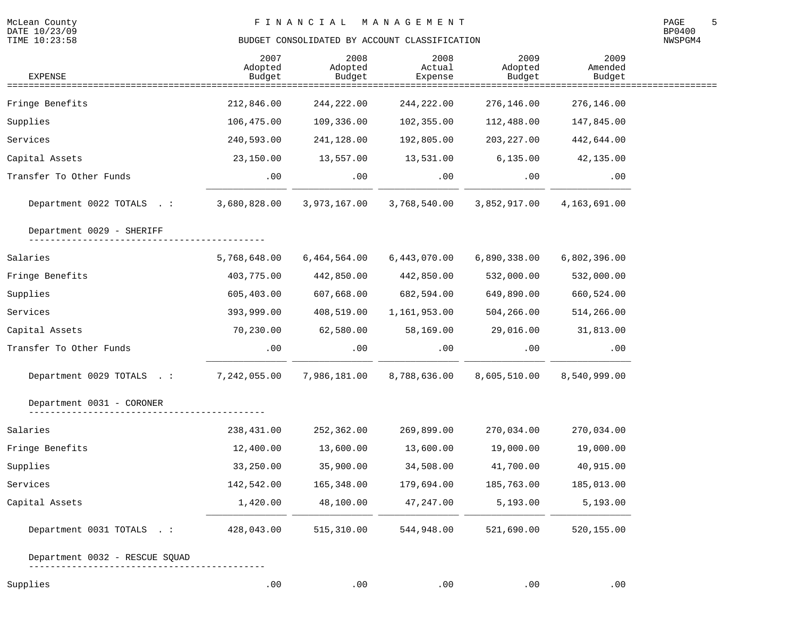NWSPGM4

| <b>EXPENSE</b>                         | 2007<br>Adopted<br>Budget | 2008<br>Adopted<br>Budget | 2008<br>Actual<br>Expense                    | 2009<br>Adopted<br>Budget | 2009<br>Amended<br>Budget |  |
|----------------------------------------|---------------------------|---------------------------|----------------------------------------------|---------------------------|---------------------------|--|
| Fringe Benefits                        | 212,846.00                | 244,222.00                | ==============================<br>244,222.00 | 276,146.00                | 276,146.00                |  |
| Supplies                               | 106,475.00                | 109,336.00                | 102,355.00                                   | 112,488.00                | 147,845.00                |  |
| Services                               | 240,593.00                | 241,128.00                | 192,805.00                                   | 203, 227.00               | 442,644.00                |  |
| Capital Assets                         | 23,150.00                 | 13,557.00                 | 13,531.00                                    | 6, 135.00                 | 42,135.00                 |  |
|                                        |                           |                           |                                              |                           |                           |  |
| Transfer To Other Funds                | .00                       | .00                       | .00                                          | .00                       | .00                       |  |
| Department 0022 TOTALS .:              | 3,680,828.00              | 3,973,167.00              | 3,768,540.00                                 | 3,852,917.00              | 4,163,691.00              |  |
| Department 0029 - SHERIFF              |                           |                           |                                              |                           |                           |  |
| Salaries                               | 5,768,648.00              | 6,464,564.00              | 6,443,070.00                                 | 6,890,338.00              | 6,802,396.00              |  |
| Fringe Benefits                        | 403,775.00                | 442,850.00                | 442,850.00                                   | 532,000.00                | 532,000.00                |  |
| Supplies                               | 605,403.00                | 607,668.00                | 682,594.00                                   | 649,890.00                | 660,524.00                |  |
| Services                               | 393,999.00                | 408,519.00                | 1,161,953.00                                 | 504,266.00                | 514,266.00                |  |
| Capital Assets                         | 70,230.00                 | 62,580.00                 | 58,169.00                                    | 29,016.00                 | 31,813.00                 |  |
| Transfer To Other Funds                | .00                       | .00                       | $.00 \,$                                     | .00                       | .00                       |  |
| Department 0029 TOTALS .: 7,242,055.00 |                           | 7,986,181.00              | 8,788,636.00                                 | 8,605,510.00              | 8,540,999.00              |  |
| Department 0031 - CORONER              |                           |                           |                                              |                           |                           |  |
| Salaries                               | 238,431.00                | 252,362.00                | 269,899.00                                   | 270,034.00                | 270,034.00                |  |
| Fringe Benefits                        | 12,400.00                 | 13,600.00                 | 13,600.00                                    | 19,000.00                 | 19,000.00                 |  |
| Supplies                               | 33,250.00                 | 35,900.00                 | 34,508.00                                    | 41,700.00                 | 40,915.00                 |  |
| Services                               | 142,542.00                | 165,348.00                | 179,694.00                                   | 185,763.00                | 185,013.00                |  |
| Capital Assets                         | 1,420.00                  | 48,100.00                 | 47,247.00                                    | 5,193.00                  | 5,193.00                  |  |
| Department 0031 TOTALS .:              | 428,043.00                | 515,310.00                | 544,948.00                                   | 521,690.00                | 520,155.00                |  |
| Department 0032 - RESCUE SQUAD         |                           |                           |                                              |                           |                           |  |

Supplies .00 .00 .00 .00 .00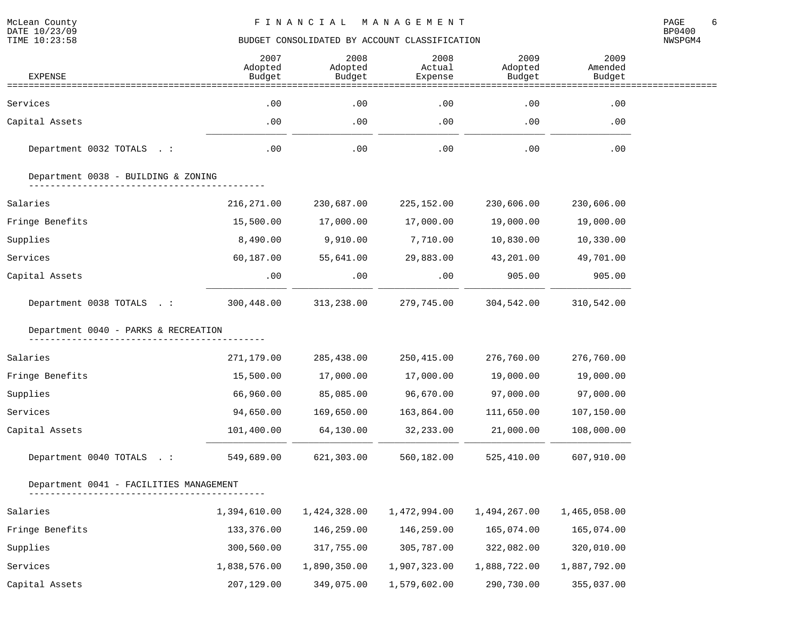| <b>EXPENSE</b>                          | 2007<br>Adopted<br>Budget | 2008<br>Adopted<br>Budget | 2008<br>Actual<br>Expense | 2009<br>Adopted<br>Budget | 2009<br>Amended<br>Budget |  |
|-----------------------------------------|---------------------------|---------------------------|---------------------------|---------------------------|---------------------------|--|
|                                         |                           |                           |                           |                           |                           |  |
| Services                                | .00                       | .00                       | .00                       | .00                       | .00                       |  |
| Capital Assets                          | .00                       | .00                       | .00                       | $.00 \,$                  | .00                       |  |
| Department 0032 TOTALS . :              | .00                       | .00                       | .00                       | .00                       | .00                       |  |
| Department 0038 - BUILDING & ZONING     |                           |                           |                           |                           |                           |  |
| Salaries                                | 216, 271.00               | 230,687.00                | 225,152.00                | 230,606.00                | 230,606.00                |  |
| Fringe Benefits                         | 15,500.00                 | 17,000.00                 | 17,000.00                 | 19,000.00                 | 19,000.00                 |  |
| Supplies                                | 8,490.00                  | 9,910.00                  | 7,710.00                  | 10,830.00                 | 10,330.00                 |  |
| Services                                | 60,187.00                 | 55,641.00                 | 29,883.00                 | 43,201.00                 | 49,701.00                 |  |
| Capital Assets                          | .00                       | .00                       | $.00 \,$                  | 905.00                    | 905.00                    |  |
| Department 0038 TOTALS .:               | 300,448.00                | 313,238.00                | 279,745.00                | 304,542.00                | 310,542.00                |  |
| Department 0040 - PARKS & RECREATION    |                           |                           |                           |                           |                           |  |
| Salaries                                | 271,179.00                | 285,438.00                | 250,415.00                | 276,760.00                | 276,760.00                |  |
| Fringe Benefits                         | 15,500.00                 | 17,000.00                 | 17,000.00                 | 19,000.00                 | 19,000.00                 |  |
| Supplies                                | 66,960.00                 | 85,085.00                 | 96,670.00                 | 97,000.00                 | 97,000.00                 |  |
| Services                                | 94,650.00                 | 169,650.00                | 163,864.00                | 111,650.00                | 107,150.00                |  |
| Capital Assets                          | 101,400.00                | 64,130.00                 | 32,233.00                 | 21,000.00                 | 108,000.00                |  |
| Department 0040 TOTALS . :              | 549,689.00                | 621,303.00                | 560,182.00                | 525,410.00                | 607,910.00                |  |
| Department 0041 - FACILITIES MANAGEMENT |                           |                           |                           |                           |                           |  |
| Salaries                                | 1,394,610.00              | 1,424,328.00              | 1,472,994.00              | 1,494,267.00              | 1,465,058.00              |  |
| Fringe Benefits                         | 133,376.00                | 146,259.00                | 146,259.00                | 165,074.00                | 165,074.00                |  |
| Supplies                                | 300,560.00                | 317,755.00                | 305,787.00                | 322,082.00                | 320,010.00                |  |
| Services                                | 1,838,576.00              | 1,890,350.00              | 1,907,323.00              | 1,888,722.00              | 1,887,792.00              |  |
| Capital Assets                          | 207,129.00                | 349,075.00                | 1,579,602.00              | 290,730.00                | 355,037.00                |  |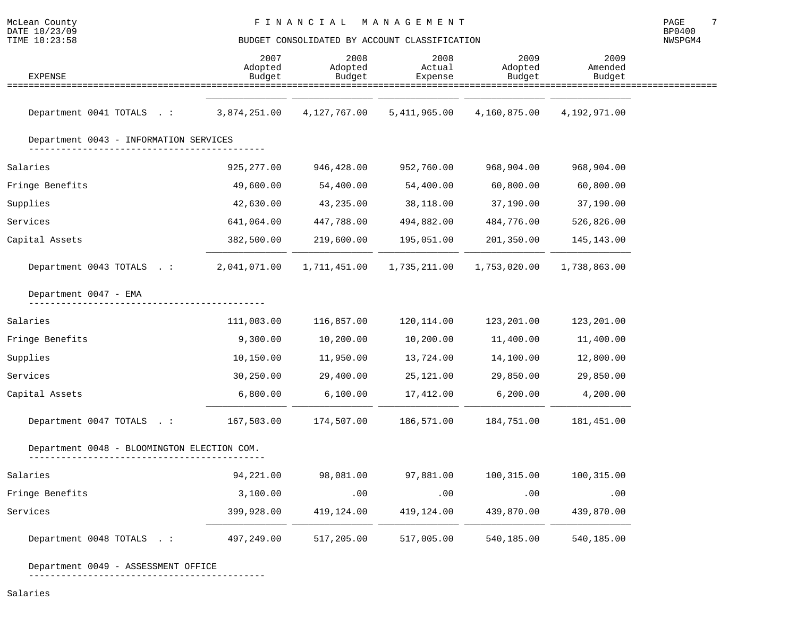| McLean<br>County | F I N A N C I A L | M A N A G E M E N T | PAGE          |
|------------------|-------------------|---------------------|---------------|
| DATE 10/23/09    |                   |                     | <b>BP0400</b> |

# TIME  $10:23:58$  BUDGET CONSOLIDATED BY ACCOUNT CLASSIFICATION

NWSPGM4

| <b>EXPENSE</b>                              | 2007<br>Adopted<br>Budget | 2008<br>Adopted<br>Budget | 2008<br>Actual<br>Expense | 2009<br>Adopted<br>Budget | 2009<br>Amended<br>Budget |  |
|---------------------------------------------|---------------------------|---------------------------|---------------------------|---------------------------|---------------------------|--|
|                                             |                           |                           |                           |                           |                           |  |
| Department 0041 TOTALS .:                   | 3,874,251.00              | 4,127,767.00              | 5,411,965.00              | 4,160,875.00              | 4,192,971.00              |  |
| Department 0043 - INFORMATION SERVICES      |                           |                           |                           |                           |                           |  |
| Salaries                                    | 925,277.00                | 946,428.00                | 952,760.00                | 968,904.00                | 968,904.00                |  |
| Fringe Benefits                             | 49,600.00                 | 54,400.00                 | 54,400.00                 | 60,800.00                 | 60,800.00                 |  |
| Supplies                                    | 42,630.00                 | 43,235.00                 | 38,118.00                 | 37,190.00                 | 37,190.00                 |  |
| Services                                    | 641,064.00                | 447,788.00                | 494,882.00                | 484,776.00                | 526,826.00                |  |
| Capital Assets                              | 382,500.00                | 219,600.00                | 195,051.00                | 201,350.00                | 145,143.00                |  |
| Department 0043 TOTALS . :                  | 2,041,071.00              | 1,711,451.00              | 1,735,211.00              | 1,753,020.00              | 1,738,863.00              |  |
| Department 0047 - EMA                       |                           |                           |                           |                           |                           |  |
| Salaries                                    | 111,003.00                | 116,857.00                | 120,114.00                | 123,201.00                | 123,201.00                |  |
| Fringe Benefits                             | 9,300.00                  | 10,200.00                 | 10,200.00                 | 11,400.00                 | 11,400.00                 |  |
| Supplies                                    | 10,150.00                 | 11,950.00                 | 13,724.00                 | 14,100.00                 | 12,800.00                 |  |
| Services                                    | 30,250.00                 | 29,400.00                 | 25,121.00                 | 29,850.00                 | 29,850.00                 |  |
| Capital Assets                              | 6,800.00                  | 6,100.00                  | 17,412.00                 | 6,200.00                  | 4,200.00                  |  |
| Department 0047 TOTALS .:                   | 167,503.00                | 174,507.00                | 186,571.00                | 184,751.00                | 181,451.00                |  |
| Department 0048 - BLOOMINGTON ELECTION COM. |                           |                           |                           |                           |                           |  |
| Salaries                                    | 94,221.00                 | 98,081.00                 | 97,881.00                 | 100,315.00                | 100,315.00                |  |
| Fringe Benefits                             | 3,100.00                  | .00                       | .00                       | .00                       | .00                       |  |
| Services                                    | 399,928.00                | 419,124.00                | 419,124.00                | 439,870.00                | 439,870.00                |  |
| Department 0048 TOTALS . :                  | 497,249.00                | 517,205.00                | 517,005.00                | 540,185.00                | 540,185.00                |  |

Department 0049 - ASSESSMENT OFFICE

--------------------------------------------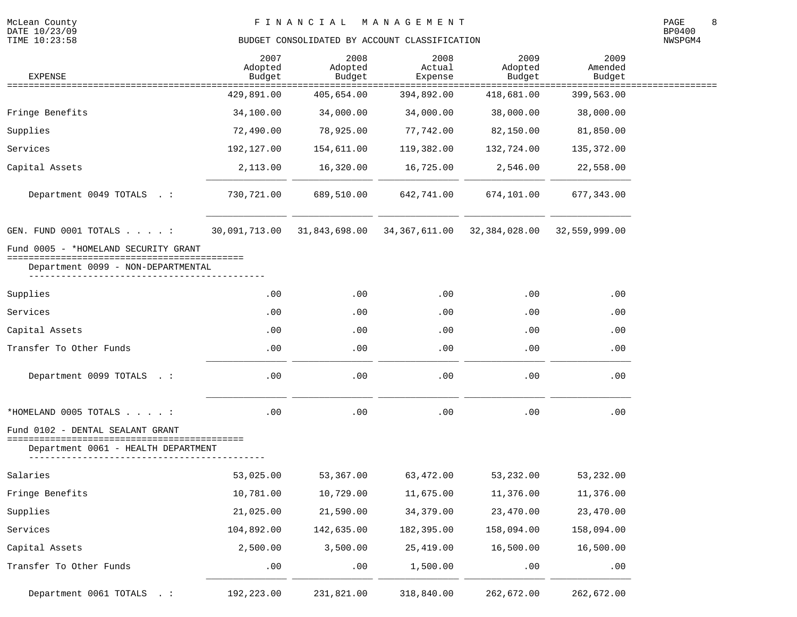McLean County<br>DATE 10/23/09<br>TIME 10:23:58

| <b>EXPENSE</b>                                                             | 2007<br>Adopted<br>Budget | 2008<br>Adopted<br>Budget | 2008<br>Actual<br>Expense | 2009<br>Adopted<br>Budget | 2009<br>Amended<br>Budget |  |
|----------------------------------------------------------------------------|---------------------------|---------------------------|---------------------------|---------------------------|---------------------------|--|
| ==================                                                         | 429,891.00                | 405,654.00                | 394,892.00                | 418,681.00                | 399,563.00                |  |
| Fringe Benefits                                                            | 34,100.00                 | 34,000.00                 | 34,000.00                 | 38,000.00                 | 38,000.00                 |  |
| Supplies                                                                   | 72,490.00                 | 78,925.00                 | 77,742.00                 | 82,150.00                 | 81,850.00                 |  |
| Services                                                                   | 192,127.00                | 154,611.00                | 119,382.00                | 132,724.00                | 135,372.00                |  |
| Capital Assets                                                             | 2,113.00                  | 16,320.00                 | 16,725.00                 | 2,546.00                  | 22,558.00                 |  |
| Department 0049 TOTALS . :                                                 | 730,721.00                | 689,510.00                | 642,741.00                | 674,101.00                | 677, 343.00               |  |
| GEN. FUND 0001 TOTALS :                                                    | 30,091,713.00             | 31,843,698.00             | 34, 367, 611.00           | 32,384,028.00             | 32,559,999.00             |  |
| Fund 0005 - *HOMELAND SECURITY GRANT                                       |                           |                           |                           |                           |                           |  |
| ====================================<br>Department 0099 - NON-DEPARTMENTAL |                           |                           |                           |                           |                           |  |
| Supplies                                                                   | .00                       | .00                       | .00                       | .00                       | .00                       |  |
| Services                                                                   | .00                       | .00                       | .00                       | .00                       | .00                       |  |
| Capital Assets                                                             | .00                       | .00                       | .00                       | .00                       | .00                       |  |
| Transfer To Other Funds                                                    | .00                       | .00                       | .00                       | .00                       | .00                       |  |
| Department 0099 TOTALS . :                                                 | .00                       | .00                       | .00                       | .00                       | .00                       |  |
| *HOMELAND 0005 TOTALS :                                                    | .00                       | .00                       | .00                       | .00                       | .00                       |  |
| Fund 0102 - DENTAL SEALANT GRANT<br>====================                   |                           |                           |                           |                           |                           |  |
| Department 0061 - HEALTH DEPARTMENT                                        |                           |                           |                           |                           |                           |  |
| Salaries                                                                   | 53,025.00                 | 53,367.00                 | 63,472.00                 | 53,232.00                 | 53,232.00                 |  |
| Fringe Benefits                                                            | 10,781.00                 | 10,729.00                 | 11,675.00                 | 11,376.00                 | 11,376.00                 |  |
| Supplies                                                                   | 21,025.00                 | 21,590.00                 | 34, 379.00                | 23,470.00                 | 23,470.00                 |  |
| Services                                                                   | 104,892.00                | 142,635.00                | 182,395.00                | 158,094.00                | 158,094.00                |  |
| Capital Assets                                                             | 2,500.00                  | 3,500.00                  | 25, 419.00                | 16,500.00                 | 16,500.00                 |  |
| Transfer To Other Funds                                                    | .00                       | .00                       | 1,500.00                  | .00                       | .00                       |  |
| Department 0061 TOTALS . :                                                 | 192,223.00                | 231,821.00                | 318,840.00                | 262,672.00                | 262,672.00                |  |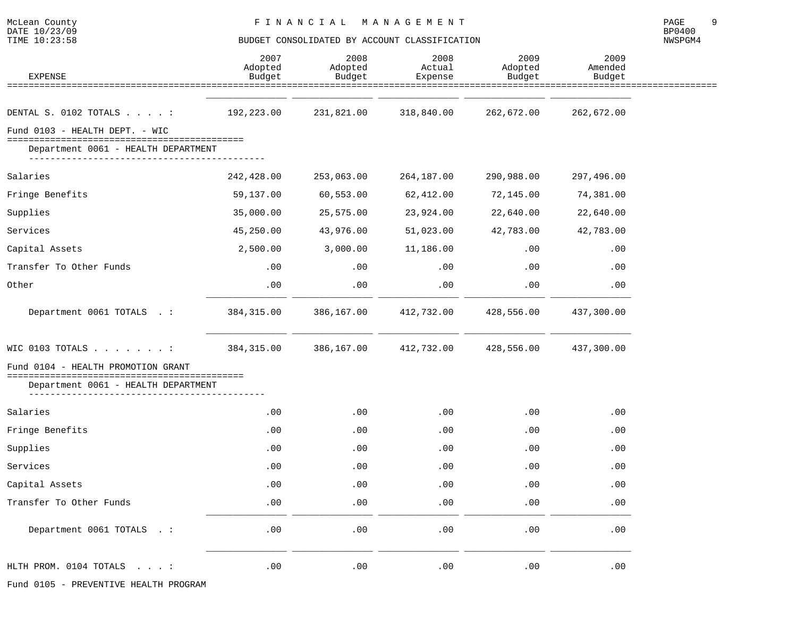NWSPGM4

| <b>EXPENSE</b>                                                                                                                                                                                                                                                                                                                                                                                                                                                                                                                | 2007<br>Adopted<br>Budget | 2008<br>Adopted<br>Budget | 2008<br>Actual<br>Expense | 2009<br>Adopted<br>Budget | 2009<br>Amended<br>Budget |
|-------------------------------------------------------------------------------------------------------------------------------------------------------------------------------------------------------------------------------------------------------------------------------------------------------------------------------------------------------------------------------------------------------------------------------------------------------------------------------------------------------------------------------|---------------------------|---------------------------|---------------------------|---------------------------|---------------------------|
|                                                                                                                                                                                                                                                                                                                                                                                                                                                                                                                               |                           |                           |                           |                           |                           |
| DENTAL S. 0102 TOTALS :                                                                                                                                                                                                                                                                                                                                                                                                                                                                                                       | 192,223.00                | 231,821.00                | 318,840.00                | 262,672.00                | 262,672.00                |
| Fund 0103 - HEALTH DEPT. - WIC                                                                                                                                                                                                                                                                                                                                                                                                                                                                                                |                           |                           |                           |                           |                           |
| Department 0061 - HEALTH DEPARTMENT                                                                                                                                                                                                                                                                                                                                                                                                                                                                                           |                           |                           |                           |                           |                           |
| Salaries                                                                                                                                                                                                                                                                                                                                                                                                                                                                                                                      | 242,428.00                | 253,063.00                | 264,187.00                | 290,988.00                | 297,496.00                |
| Fringe Benefits                                                                                                                                                                                                                                                                                                                                                                                                                                                                                                               | 59,137.00                 | 60,553.00                 | 62,412.00                 | 72,145.00                 | 74,381.00                 |
| Supplies                                                                                                                                                                                                                                                                                                                                                                                                                                                                                                                      | 35,000.00                 | 25,575.00                 | 23,924.00                 | 22,640.00                 | 22,640.00                 |
| Services                                                                                                                                                                                                                                                                                                                                                                                                                                                                                                                      | 45,250.00                 | 43,976.00                 | 51,023.00                 | 42,783.00                 | 42,783.00                 |
| Capital Assets                                                                                                                                                                                                                                                                                                                                                                                                                                                                                                                | 2,500.00                  | 3,000.00                  | 11,186.00                 | .00                       | .00                       |
| Transfer To Other Funds                                                                                                                                                                                                                                                                                                                                                                                                                                                                                                       | .00                       | .00                       | .00                       | .00                       | .00                       |
| Other                                                                                                                                                                                                                                                                                                                                                                                                                                                                                                                         | .00                       | .00                       | .00                       | .00                       | .00                       |
| Department 0061 TOTALS . :                                                                                                                                                                                                                                                                                                                                                                                                                                                                                                    | 384, 315.00               | 386,167.00                | 412,732.00                | 428,556.00                | 437,300.00                |
| WIC 0103 TOTALS :                                                                                                                                                                                                                                                                                                                                                                                                                                                                                                             | 384, 315.00               | 386,167.00                | 412,732.00                | 428,556.00                | 437,300.00                |
| Fund 0104 - HEALTH PROMOTION GRANT                                                                                                                                                                                                                                                                                                                                                                                                                                                                                            |                           |                           |                           |                           |                           |
| Department 0061 - HEALTH DEPARTMENT<br>$\begin{array}{cccccccccccccc} \multicolumn{2}{c}{} & \multicolumn{2}{c}{} & \multicolumn{2}{c}{} & \multicolumn{2}{c}{} & \multicolumn{2}{c}{} & \multicolumn{2}{c}{} & \multicolumn{2}{c}{} & \multicolumn{2}{c}{} & \multicolumn{2}{c}{} & \multicolumn{2}{c}{} & \multicolumn{2}{c}{} & \multicolumn{2}{c}{} & \multicolumn{2}{c}{} & \multicolumn{2}{c}{} & \multicolumn{2}{c}{} & \multicolumn{2}{c}{} & \multicolumn{2}{c}{} & \multicolumn{2}{c}{} & \multicolumn{2}{c}{} & \$ |                           |                           |                           |                           |                           |
| Salaries                                                                                                                                                                                                                                                                                                                                                                                                                                                                                                                      | .00                       | .00                       | .00                       | .00                       | .00                       |
| Fringe Benefits                                                                                                                                                                                                                                                                                                                                                                                                                                                                                                               | .00                       | .00                       | .00                       | .00                       | .00                       |
| Supplies                                                                                                                                                                                                                                                                                                                                                                                                                                                                                                                      | .00                       | .00                       | .00                       | .00                       | .00                       |
| Services                                                                                                                                                                                                                                                                                                                                                                                                                                                                                                                      | .00                       | .00                       | .00                       | .00                       | .00                       |
| Capital Assets                                                                                                                                                                                                                                                                                                                                                                                                                                                                                                                | .00                       | .00                       | .00                       | .00                       | .00                       |
| Transfer To Other Funds                                                                                                                                                                                                                                                                                                                                                                                                                                                                                                       | .00                       | .00                       | .00                       | .00                       | .00                       |
| Department 0061 TOTALS . :                                                                                                                                                                                                                                                                                                                                                                                                                                                                                                    | .00                       | .00                       | .00                       | .00                       | .00                       |
| HLTH PROM. 0104 TOTALS<br>$\sim$ $\sim$ $\sim$ $\sim$ $\sim$                                                                                                                                                                                                                                                                                                                                                                                                                                                                  | .00                       | .00                       | .00                       | .00                       | .00                       |

Fund 0105 - PREVENTIVE HEALTH PROGRAM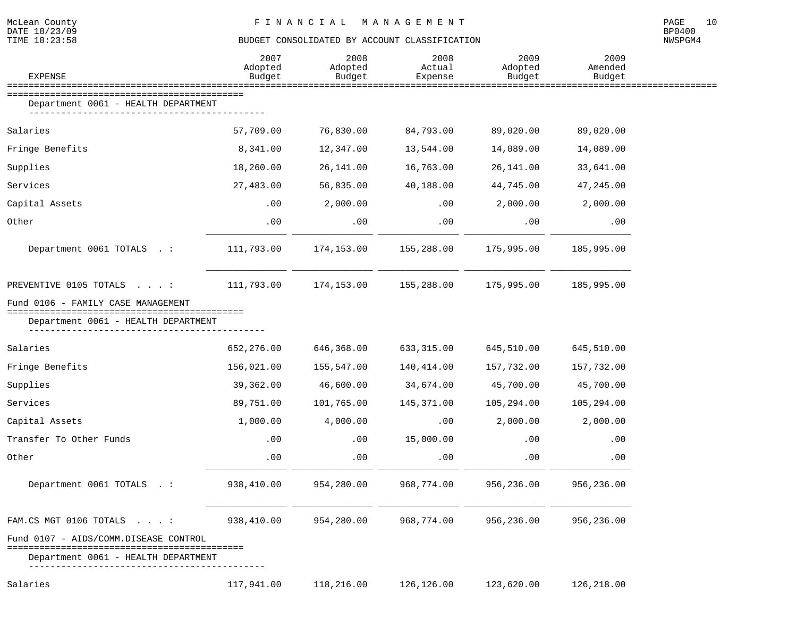| McLean County | FINANCIAL MANAGEMENT | PAGE          | 10 |
|---------------|----------------------|---------------|----|
| DATE 10/23/09 |                      | <b>BP0400</b> |    |

DATE  $10/23/09$ <br>TIME  $10:23:58$ 

| <b>EXPENSE</b>                                                               | 2007<br>Adopted<br>Budget | 2008<br>Adopted<br>Budget | 2008<br>Actual<br>Expense | 2009<br>Adopted<br>Budget | 2009<br>Amended<br>Budget      |  |
|------------------------------------------------------------------------------|---------------------------|---------------------------|---------------------------|---------------------------|--------------------------------|--|
| Department 0061 - HEALTH DEPARTMENT                                          |                           |                           |                           |                           | ============================== |  |
| Salaries                                                                     | 57,709.00                 | 76,830.00                 | 84,793.00                 | 89,020.00                 | 89,020.00                      |  |
| Fringe Benefits                                                              | 8,341.00                  | 12,347.00                 | 13,544.00                 | 14,089.00                 | 14,089.00                      |  |
| Supplies                                                                     | 18,260.00                 | 26,141.00                 | 16,763.00                 | 26, 141.00                | 33,641.00                      |  |
| Services                                                                     | 27,483.00                 | 56,835.00                 | 40,188.00                 | 44,745.00                 | 47,245.00                      |  |
| Capital Assets                                                               | .00                       | 2,000.00                  | $.00 \,$                  | 2,000.00                  | 2,000.00                       |  |
| Other                                                                        | .00                       | .00                       | .00                       | .00                       | .00                            |  |
| Department 0061 TOTALS . :                                                   | 111,793.00                | 174,153.00                | 155,288.00                | 175,995.00                | 185,995.00                     |  |
| PREVENTIVE 0105 TOTALS :                                                     | 111,793.00                | 174,153.00                | 155,288.00                | 175,995.00                | 185,995.00                     |  |
| Fund 0106 - FAMILY CASE MANAGEMENT<br>Department 0061 - HEALTH DEPARTMENT    |                           |                           |                           |                           |                                |  |
| Salaries                                                                     | 652,276.00                | 646,368.00                | 633, 315.00               | 645,510.00                | 645,510.00                     |  |
| Fringe Benefits                                                              | 156,021.00                | 155,547.00                | 140,414.00                | 157,732.00                | 157,732.00                     |  |
| Supplies                                                                     | 39,362.00                 | 46,600.00                 | 34,674.00                 | 45,700.00                 | 45,700.00                      |  |
| Services                                                                     | 89,751.00                 | 101,765.00                | 145,371.00                | 105,294.00                | 105,294.00                     |  |
| Capital Assets                                                               | 1,000.00                  | 4,000.00                  | .00                       | 2,000.00                  | 2,000.00                       |  |
| Transfer To Other Funds                                                      | .00                       | $.00 \,$                  | 15,000.00                 | .00                       | .00                            |  |
| Other                                                                        | .00                       | .00                       | $.00 \,$                  | .00                       | .00                            |  |
| Department 0061 TOTALS . :                                                   | 938,410.00                | 954,280.00                | 968,774.00                | 956,236.00                | 956,236.00                     |  |
| FAM.CS MGT 0106 TOTALS :                                                     | 938,410.00                | 954,280.00                | 968,774.00                | 956,236.00                | 956,236.00                     |  |
| Fund 0107 - AIDS/COMM.DISEASE CONTROL<br>Department 0061 - HEALTH DEPARTMENT |                           |                           |                           |                           |                                |  |
| Salaries                                                                     | 117,941.00                | 118,216.00                | 126,126.00                | 123,620.00                | 126,218.00                     |  |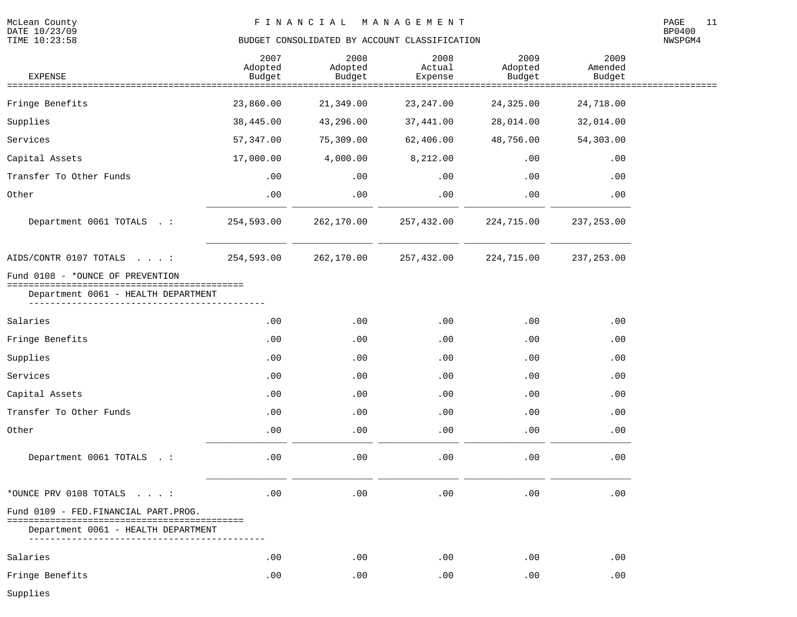NWSPGM4

| <b>EXPENSE</b>                                                      | 2007<br>Adopted<br>Budget | 2008<br>Adopted<br>Budget | 2008<br>Actual<br>Expense | 2009<br>Adopted<br>Budget | 2009<br>Amended<br>Budget |  |
|---------------------------------------------------------------------|---------------------------|---------------------------|---------------------------|---------------------------|---------------------------|--|
|                                                                     |                           |                           | ============              | ==========                |                           |  |
| Fringe Benefits                                                     | 23,860.00                 | 21,349.00                 | 23, 247.00                | 24,325.00                 | 24,718.00                 |  |
| Supplies                                                            | 38,445.00                 | 43,296.00                 | 37,441.00                 | 28,014.00                 | 32,014.00                 |  |
| Services                                                            | 57, 347.00                | 75,309.00                 | 62,406.00                 | 48,756.00                 | 54,303.00                 |  |
| Capital Assets                                                      | 17,000.00                 | 4,000.00                  | 8,212.00                  | .00                       | .00                       |  |
| Transfer To Other Funds                                             | .00                       | .00                       | .00                       | .00                       | .00                       |  |
| Other                                                               | .00                       | .00                       | .00                       | .00                       | .00                       |  |
| Department 0061 TOTALS . :                                          | 254,593.00                | 262,170.00                | 257,432.00                | 224,715.00                | 237, 253.00               |  |
| AIDS/CONTR 0107 TOTALS :                                            | 254,593.00                | 262,170.00                | 257,432.00                | 224,715.00                | 237, 253.00               |  |
| Fund 0108 - *OUNCE OF PREVENTION<br>=============================== |                           |                           |                           |                           |                           |  |
| Department 0061 - HEALTH DEPARTMENT                                 |                           |                           |                           |                           |                           |  |
| Salaries                                                            | .00                       | .00                       | .00                       | .00                       | .00                       |  |
| Fringe Benefits                                                     | .00                       | .00                       | .00                       | .00                       | .00                       |  |
| Supplies                                                            | .00                       | .00                       | .00                       | .00                       | .00                       |  |
| Services                                                            | .00                       | .00                       | .00                       | .00                       | .00                       |  |
| Capital Assets                                                      | .00                       | .00                       | .00                       | .00                       | .00                       |  |
| Transfer To Other Funds                                             | .00                       | .00                       | .00                       | .00                       | .00                       |  |
| Other                                                               | .00                       | .00                       | .00                       | .00                       | .00                       |  |
| Department 0061 TOTALS . :                                          | .00                       | .00                       | .00                       | .00                       | .00                       |  |
| *OUNCE PRV 0108 TOTALS $\ldots$ :                                   | .00                       | .00                       | .00                       | .00                       | .00                       |  |
| Fund 0109 - FED. FINANCIAL PART. PROG.                              |                           |                           |                           |                           |                           |  |
| Department 0061 - HEALTH DEPARTMENT                                 |                           |                           |                           |                           |                           |  |
| Salaries                                                            | .00                       | .00                       | .00                       | .00                       | .00                       |  |
| Fringe Benefits                                                     | .00                       | .00                       | .00                       | .00                       | .00                       |  |

Supplies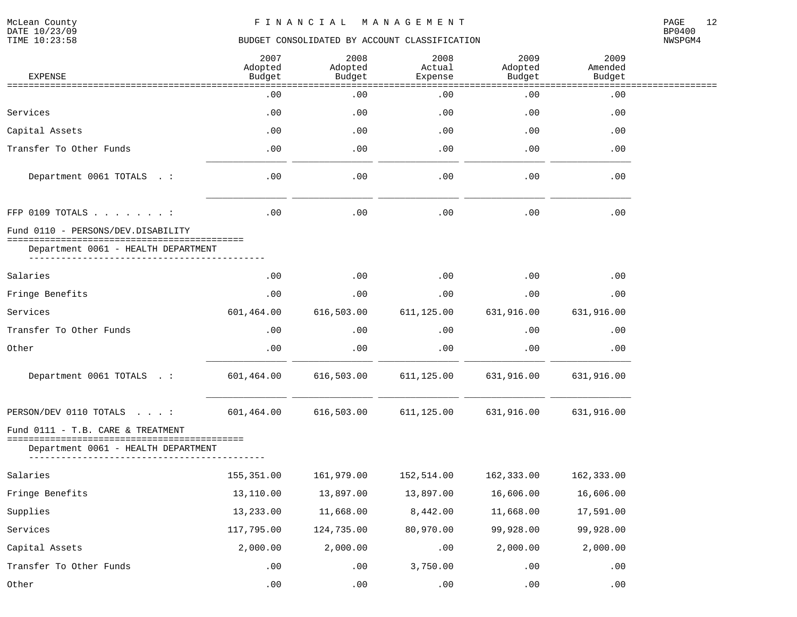| <b>EXPENSE</b>                                               | 2007<br>Adopted<br>Budget | 2008<br>Adopted<br>Budget | 2008<br>Actual<br>Expense | 2009<br>Adopted<br>Budget | 2009<br>Amended<br>Budget |  |
|--------------------------------------------------------------|---------------------------|---------------------------|---------------------------|---------------------------|---------------------------|--|
| ===================                                          | .00                       | =======<br>.00            | =======<br>.00            | ======<br>.00             | ----<br>.00               |  |
| Services                                                     | .00                       | .00                       | .00                       | .00                       | .00                       |  |
| Capital Assets                                               | .00                       | .00                       | .00                       | .00                       | .00                       |  |
| Transfer To Other Funds                                      | .00                       | .00                       | .00                       | .00                       | .00                       |  |
| Department 0061 TOTALS . :                                   | .00                       | .00                       | .00                       | .00                       | .00                       |  |
| FFP 0109 TOTALS :                                            | .00                       | .00                       | .00                       | .00                       | .00                       |  |
| Fund 0110 - PERSONS/DEV.DISABILITY                           |                           |                           |                           |                           |                           |  |
| Department 0061 - HEALTH DEPARTMENT                          |                           |                           |                           |                           |                           |  |
| Salaries                                                     | .00                       | $.00 \ \rm$               | .00                       | .00                       | .00                       |  |
| Fringe Benefits                                              | .00                       | .00                       | .00                       | .00                       | .00                       |  |
| Services                                                     | 601,464.00                | 616,503.00                | 611,125.00                | 631,916.00                | 631,916.00                |  |
| Transfer To Other Funds                                      | .00                       | .00                       | .00                       | .00                       | .00                       |  |
| Other                                                        | .00                       | .00                       | .00                       | .00                       | .00                       |  |
| Department 0061 TOTALS . :                                   | 601,464.00                | 616,503.00                | 611,125.00                | 631,916.00                | 631,916.00                |  |
| PERSON/DEV 0110 TOTALS :                                     | 601,464.00                | 616,503.00                | 611,125.00                | 631,916.00                | 631,916.00                |  |
| Fund 0111 - T.B. CARE & TREATMENT                            |                           |                           |                           |                           |                           |  |
| :====================<br>Department 0061 - HEALTH DEPARTMENT |                           |                           |                           |                           |                           |  |
| Salaries                                                     | 155,351.00                | 161,979.00                | 152,514.00                | 162,333.00                | 162,333.00                |  |
| Fringe Benefits                                              | 13,110.00                 | 13,897.00                 | 13,897.00                 | 16,606.00                 | 16,606.00                 |  |
| Supplies                                                     | 13,233.00                 | 11,668.00                 | 8,442.00                  | 11,668.00                 | 17,591.00                 |  |
| Services                                                     | 117,795.00                | 124,735.00                | 80,970.00                 | 99,928.00                 | 99,928.00                 |  |
| Capital Assets                                               | 2,000.00                  | 2,000.00                  | .00                       | 2,000.00                  | 2,000.00                  |  |
| Transfer To Other Funds                                      | .00                       | .00                       | 3,750.00                  | .00                       | .00                       |  |
| Other                                                        | .00                       | .00                       | .00                       | .00                       | .00                       |  |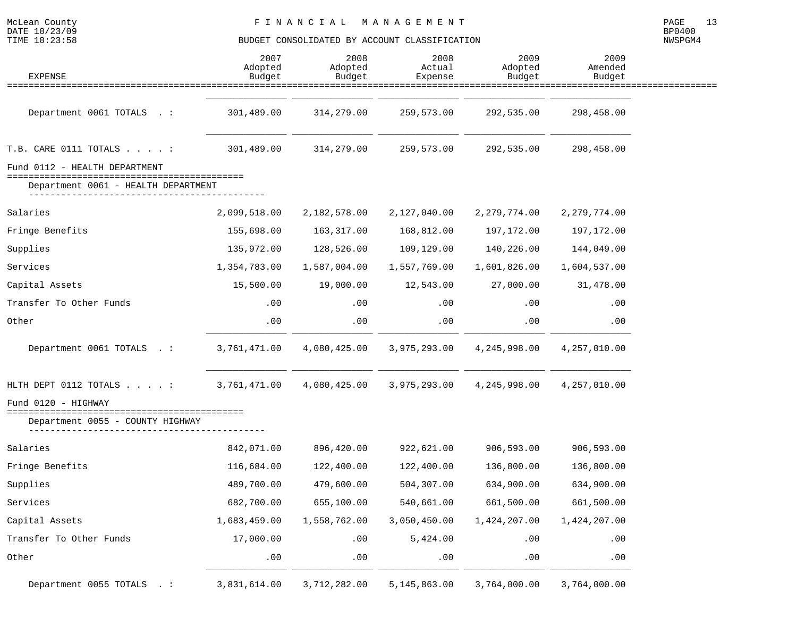| McLean County<br>DATE 10/23/09<br>TIME 10:23:58                          |                           | FINANCIAL                 | M A N A G E M E N T<br>BUDGET CONSOLIDATED BY ACCOUNT CLASSIFICATION |                           |                           | 13<br>PAGE<br>BP0400<br>NWSPGM4 |
|--------------------------------------------------------------------------|---------------------------|---------------------------|----------------------------------------------------------------------|---------------------------|---------------------------|---------------------------------|
| <b>EXPENSE</b>                                                           | 2007<br>Adopted<br>Budget | 2008<br>Adopted<br>Budget | 2008<br>Actual<br>Expense                                            | 2009<br>Adopted<br>Budget | 2009<br>Amended<br>Budget |                                 |
|                                                                          |                           |                           |                                                                      |                           |                           |                                 |
| Department 0061 TOTALS . :                                               | 301,489.00                | 314,279.00                | 259,573.00                                                           | 292,535.00                | 298,458.00                |                                 |
| T.B. CARE 0111 TOTALS $\ldots$                                           | 301,489.00                | 314,279.00                | 259,573.00                                                           | 292,535.00                | 298,458.00                |                                 |
| Fund 0112 - HEALTH DEPARTMENT                                            |                           |                           |                                                                      |                           |                           |                                 |
| =================================<br>Department 0061 - HEALTH DEPARTMENT |                           |                           |                                                                      |                           |                           |                                 |
| Salaries                                                                 | 2,099,518.00              | 2,182,578.00              | 2,127,040.00                                                         | 2,279,774.00              | 2, 279, 774.00            |                                 |
| Fringe Benefits                                                          | 155,698.00                | 163,317.00                | 168,812.00                                                           | 197,172.00                | 197,172.00                |                                 |
| Supplies                                                                 | 135,972.00                | 128,526.00                | 109,129.00                                                           | 140,226.00                | 144,049.00                |                                 |
| Services                                                                 | 1,354,783.00              | 1,587,004.00              | 1,557,769.00                                                         | 1,601,826.00              | 1,604,537.00              |                                 |
| Capital Assets                                                           | 15,500.00                 | 19,000.00                 | 12,543.00                                                            | 27,000.00                 | 31,478.00                 |                                 |
| Transfer To Other Funds                                                  | .00                       | .00                       | .00                                                                  | .00                       | .00                       |                                 |
| Other                                                                    | .00                       | .00                       | .00                                                                  | .00                       | .00                       |                                 |
| Department 0061 TOTALS .:                                                | 3,761,471.00              | 4,080,425.00              | 3,975,293.00                                                         | 4,245,998.00              | 4,257,010.00              |                                 |
| HLTH DEPT 0112 TOTALS $\ldots$                                           | 3,761,471.00              | 4,080,425.00              | 3,975,293.00                                                         | 4,245,998.00              | 4,257,010.00              |                                 |
| Fund 0120 - HIGHWAY<br>Department 0055 - COUNTY HIGHWAY                  |                           |                           |                                                                      |                           |                           |                                 |
| Salaries                                                                 | 842,071.00                | 896,420.00                | 922,621.00                                                           | 906,593.00                | 906,593.00                |                                 |
| Fringe Benefits                                                          | 116,684.00                | 122,400.00                | 122,400.00                                                           | 136,800.00                | 136,800.00                |                                 |
| Supplies                                                                 | 489,700.00                | 479,600.00                | 504,307.00                                                           | 634,900.00                | 634,900.00                |                                 |
| Services                                                                 | 682,700.00                | 655,100.00                | 540,661.00                                                           | 661,500.00                | 661,500.00                |                                 |
| Capital Assets                                                           | 1,683,459.00              | 1,558,762.00              | 3,050,450.00                                                         | 1,424,207.00              | 1,424,207.00              |                                 |
| Transfer To Other Funds                                                  | 17,000.00                 | .00                       | 5,424.00                                                             | .00                       | .00                       |                                 |
| Other                                                                    | .00                       | .00                       | .00                                                                  | .00                       | .00                       |                                 |
| Department 0055 TOTALS . :                                               | 3,831,614.00              | 3,712,282.00              | 5,145,863.00                                                         | 3,764,000.00              | 3,764,000.00              |                                 |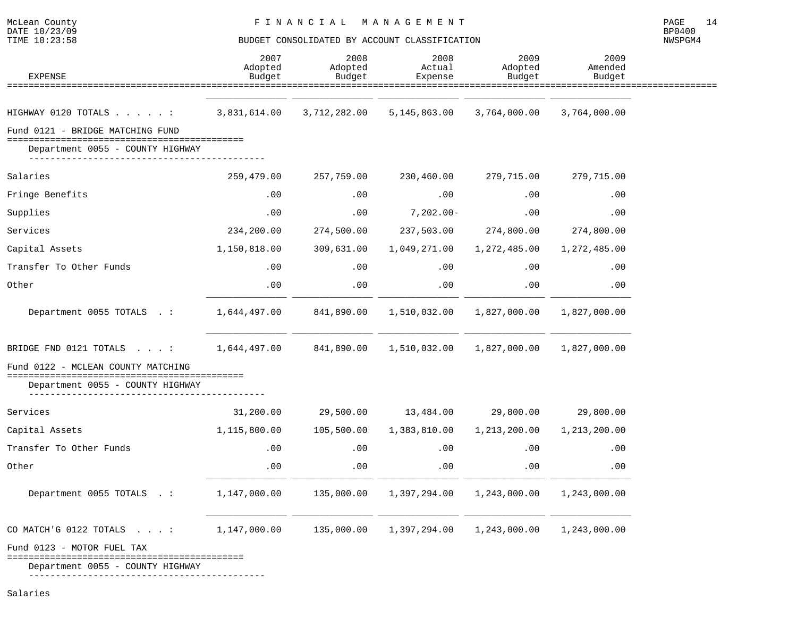NWSPGM4

| <b>EXPENSE</b>                                                             | 2007<br>Adopted<br>Budget | 2008<br>Adopted<br>Budget | 2008<br>Actual<br>Expense       | 2009<br>Adopted<br>Budget | 2009<br>Amended<br>Budget |
|----------------------------------------------------------------------------|---------------------------|---------------------------|---------------------------------|---------------------------|---------------------------|
| ======================================                                     |                           |                           | ============<br>=============== |                           | :==============           |
| HIGHWAY 0120 TOTALS :                                                      | 3,831,614.00              | 3,712,282.00              | 5,145,863.00                    | 3,764,000.00              | 3,764,000.00              |
| Fund 0121 - BRIDGE MATCHING FUND                                           |                           |                           |                                 |                           |                           |
| Department 0055 - COUNTY HIGHWAY                                           |                           |                           |                                 |                           |                           |
| Salaries                                                                   | 259,479.00                | 257,759.00                | 230,460.00                      | 279,715.00                | 279,715.00                |
| Fringe Benefits                                                            | .00                       | .00                       | .00                             | .00                       | .00                       |
| Supplies                                                                   | .00                       | .00                       | $7,202.00 -$                    | .00                       | .00                       |
| Services                                                                   | 234,200.00                | 274,500.00                | 237,503.00                      | 274,800.00                | 274,800.00                |
| Capital Assets                                                             | 1,150,818.00              | 309,631.00                | 1,049,271.00                    | 1,272,485.00              | 1,272,485.00              |
| Transfer To Other Funds                                                    | .00                       | .00                       | .00                             | .00                       | .00                       |
| Other                                                                      | .00                       | .00                       | .00                             | .00                       | .00                       |
| Department 0055 TOTALS . :                                                 | 1,644,497.00              | 841,890.00                | 1,510,032.00                    | 1,827,000.00              | 1,827,000.00              |
| BRIDGE FND 0121 TOTALS $\ldots$ :                                          | 1,644,497.00              | 841,890.00                | 1,510,032.00                    | 1,827,000.00              | 1,827,000.00              |
| Fund 0122 - MCLEAN COUNTY MATCHING                                         |                           |                           |                                 |                           |                           |
| ======================================<br>Department 0055 - COUNTY HIGHWAY |                           |                           |                                 |                           |                           |
| Services                                                                   | 31,200.00                 | 29,500.00                 | 13,484.00                       | 29,800.00                 | 29,800.00                 |
| Capital Assets                                                             | 1,115,800.00              | 105,500.00                | 1,383,810.00                    | 1,213,200.00              | 1,213,200.00              |
| Transfer To Other Funds                                                    | .00                       | .00                       | .00                             | .00                       | .00                       |
| Other                                                                      | .00                       | .00                       | .00                             | .00                       | .00                       |
| Department 0055 TOTALS . :                                                 | 1,147,000.00              | 135,000.00                | 1,397,294.00                    | 1,243,000.00              | 1,243,000.00              |
| CO MATCH'G 0122 TOTALS :                                                   | 1,147,000.00              | 135,000.00                | 1,397,294.00                    | 1,243,000.00              | 1,243,000.00              |
| Fund 0123 - MOTOR FUEL TAX                                                 |                           |                           |                                 |                           |                           |

============================================

Department 0055 - COUNTY HIGHWAY

--------------------------------------------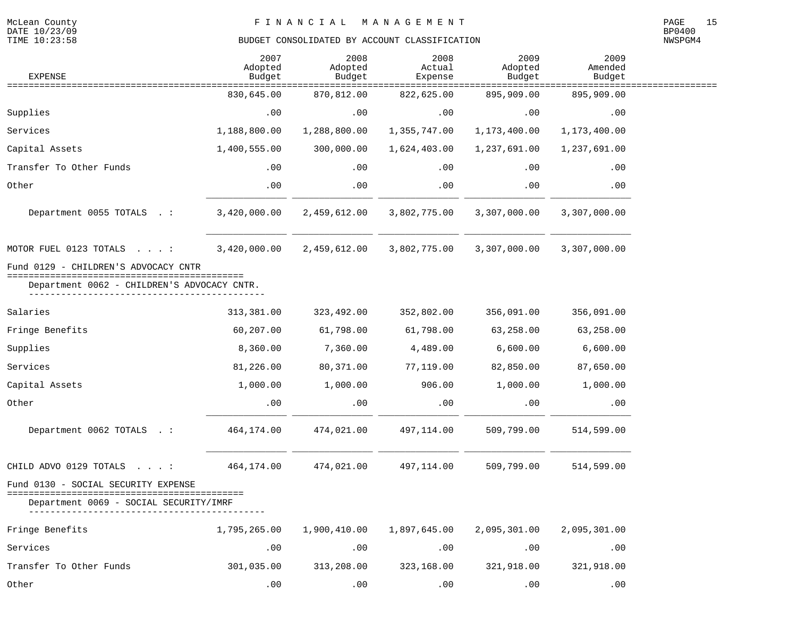| <b>EXPENSE</b>                                                                                  | 2007<br>Adopted<br>Budget | 2008<br>Adopted<br>Budget | 2008<br>Actual<br>Expense | 2009<br>Adopted<br>Budget | 2009<br>Amended<br>Budget            |  |
|-------------------------------------------------------------------------------------------------|---------------------------|---------------------------|---------------------------|---------------------------|--------------------------------------|--|
| ========================                                                                        | 830,645.00                | 870,812.00                | =======<br>822,625.00     | 895,909.00                | ==============<br>====<br>895,909.00 |  |
| Supplies                                                                                        | .00                       | .00                       | .00                       | .00                       | .00                                  |  |
| Services                                                                                        | 1,188,800.00              | 1,288,800.00              | 1,355,747.00              | 1,173,400.00              | 1,173,400.00                         |  |
| Capital Assets                                                                                  | 1,400,555.00              | 300,000.00                | 1,624,403.00              | 1,237,691.00              | 1,237,691.00                         |  |
| Transfer To Other Funds                                                                         | .00                       | .00                       | .00                       | .00                       | .00                                  |  |
| Other                                                                                           | .00                       | .00                       | .00                       | .00                       | .00                                  |  |
| Department 0055 TOTALS . :                                                                      | 3,420,000.00              | 2,459,612.00              | 3,802,775.00              | 3,307,000.00              | 3,307,000.00                         |  |
| MOTOR FUEL 0123 TOTALS :                                                                        | 3,420,000.00              | 2,459,612.00              | 3,802,775.00              | 3,307,000.00              | 3,307,000.00                         |  |
| Fund 0129 - CHILDREN'S ADVOCACY CNTR                                                            |                           |                           |                           |                           |                                      |  |
| Department 0062 - CHILDREN'S ADVOCACY CNTR.                                                     |                           |                           |                           |                           |                                      |  |
| Salaries                                                                                        | 313,381.00                | 323,492.00                | 352,802.00                | 356,091.00                | 356,091.00                           |  |
| Fringe Benefits                                                                                 | 60,207.00                 | 61,798.00                 | 61,798.00                 | 63,258.00                 | 63,258.00                            |  |
| Supplies                                                                                        | 8,360.00                  | 7,360.00                  | 4,489.00                  | 6,600.00                  | 6,600.00                             |  |
| Services                                                                                        | 81,226.00                 | 80,371.00                 | 77,119.00                 | 82,850.00                 | 87,650.00                            |  |
| Capital Assets                                                                                  | 1,000.00                  | 1,000.00                  | 906.00                    | 1,000.00                  | 1,000.00                             |  |
| Other                                                                                           | .00                       | .00                       | .00                       | .00                       | .00                                  |  |
| Department 0062 TOTALS . :                                                                      | 464,174.00                | 474,021.00                | 497,114.00                | 509,799.00                | 514,599.00                           |  |
| CHILD ADVO 0129 TOTALS :                                                                        | 464,174.00                | 474,021.00                | 497,114.00                | 509,799.00                | 514,599.00                           |  |
| Fund 0130 - SOCIAL SECURITY EXPENSE<br>==============================<br>- SOCIAL SECURITY/IMRF |                           |                           |                           |                           |                                      |  |
| Fringe Benefits                                                                                 | 1,795,265.00              | 1,900,410.00              | 1,897,645.00              | 2,095,301.00              | 2,095,301.00                         |  |
| Services                                                                                        | .00                       | .00                       | .00                       | .00                       | .00                                  |  |
| Transfer To Other Funds                                                                         | 301,035.00                | 313,208.00                | 323,168.00                | 321,918.00                | 321,918.00                           |  |
| Other                                                                                           | . 00                      | .00.                      | .00                       | .00.                      | .00                                  |  |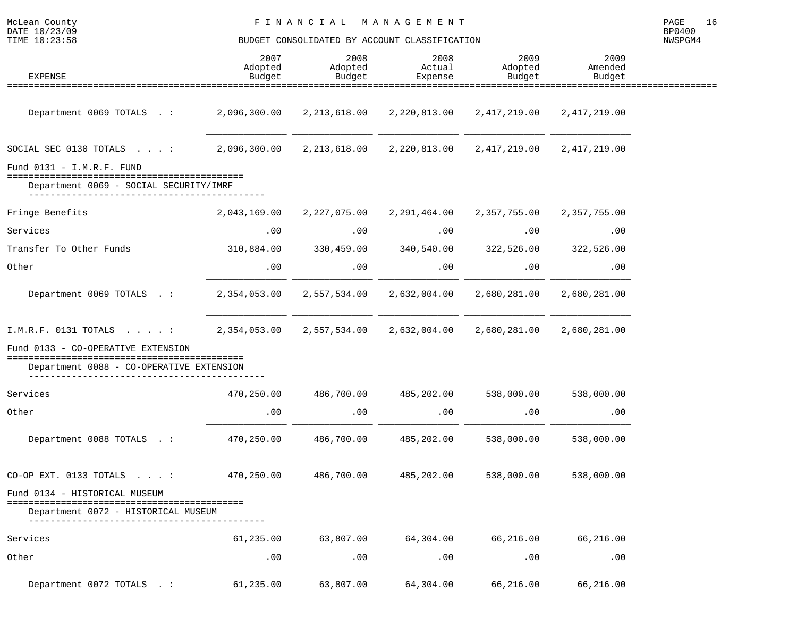| McLean County<br>DATE 10/23/09<br>TIME 10:23:58                                                             |                           | MANAGEMENT<br>FINANCIAL<br>BUDGET CONSOLIDATED BY ACCOUNT CLASSIFICATION |                           |                           |                           |  |  |
|-------------------------------------------------------------------------------------------------------------|---------------------------|--------------------------------------------------------------------------|---------------------------|---------------------------|---------------------------|--|--|
| <b>EXPENSE</b><br>==============================                                                            | 2007<br>Adopted<br>Budget | 2008<br>Adopted<br>Budget                                                | 2008<br>Actual<br>Expense | 2009<br>Adopted<br>Budget | 2009<br>Amended<br>Budget |  |  |
|                                                                                                             |                           |                                                                          |                           |                           |                           |  |  |
| Department 0069 TOTALS . :                                                                                  | 2,096,300.00              | 2, 213, 618.00                                                           | 2,220,813.00              | 2, 417, 219.00            | 2, 417, 219.00            |  |  |
| SOCIAL SEC 0130 TOTALS $\ldots$ :                                                                           | 2,096,300.00              | 2, 213, 618.00                                                           | 2,220,813.00              | 2,417,219.00              | 2,417,219.00              |  |  |
| Fund $0131 - I.M.R.F. FUND$<br>===============================                                              |                           |                                                                          |                           |                           |                           |  |  |
| Department 0069 - SOCIAL SECURITY/IMRF                                                                      |                           |                                                                          |                           |                           |                           |  |  |
| Fringe Benefits                                                                                             | 2,043,169.00              | 2,227,075.00                                                             | 2,291,464.00              | 2,357,755.00              | 2,357,755.00              |  |  |
| Services                                                                                                    | .00                       | .00                                                                      | .00                       | .00                       | .00                       |  |  |
| Transfer To Other Funds                                                                                     | 310,884.00                | 330,459.00                                                               | 340,540.00                | 322,526.00                | 322,526.00                |  |  |
| Other                                                                                                       | .00                       | .00                                                                      | .00                       | .00                       | .00                       |  |  |
| Department 0069 TOTALS . :                                                                                  | 2,354,053.00              | 2,557,534.00                                                             | 2,632,004.00              | 2,680,281.00              | 2,680,281.00              |  |  |
| $I.M.R.F.$ 0131 TOTALS :                                                                                    | 2,354,053.00              | 2,557,534.00                                                             | 2,632,004.00              | 2,680,281.00              | 2,680,281.00              |  |  |
| Fund 0133 - CO-OPERATIVE EXTENSION<br>=========================<br>Department 0088 - CO-OPERATIVE EXTENSION |                           |                                                                          |                           |                           |                           |  |  |
|                                                                                                             |                           |                                                                          |                           |                           |                           |  |  |
| Services                                                                                                    | 470,250.00                | 486,700.00                                                               | 485,202.00                | 538,000.00                | 538,000.00                |  |  |
| Other                                                                                                       | .00                       | .00                                                                      | .00                       | .00                       | .00                       |  |  |
| Department 0088 TOTALS . :                                                                                  | 470,250.00                | 486,700.00                                                               | 485,202.00                | 538,000.00                | 538,000.00                |  |  |
| CO-OP EXT. 0133 TOTALS $\ldots$ :                                                                           | 470,250.00                | 486,700.00                                                               | 485,202.00                | 538,000.00                | 538,000.00                |  |  |
| Fund 0134 - HISTORICAL MUSEUM                                                                               |                           |                                                                          |                           |                           |                           |  |  |
| Department 0072 - HISTORICAL MUSEUM                                                                         |                           |                                                                          |                           |                           |                           |  |  |
| Services                                                                                                    | 61,235.00                 | 63,807.00                                                                | 64,304.00                 | 66,216.00                 | 66,216.00                 |  |  |
| Other                                                                                                       | .00                       | .00                                                                      | .00                       | .00                       | .00                       |  |  |
| Department 0072 TOTALS . :                                                                                  | 61,235.00                 | 63,807.00                                                                | 64,304.00                 | 66,216.00                 | 66,216.00                 |  |  |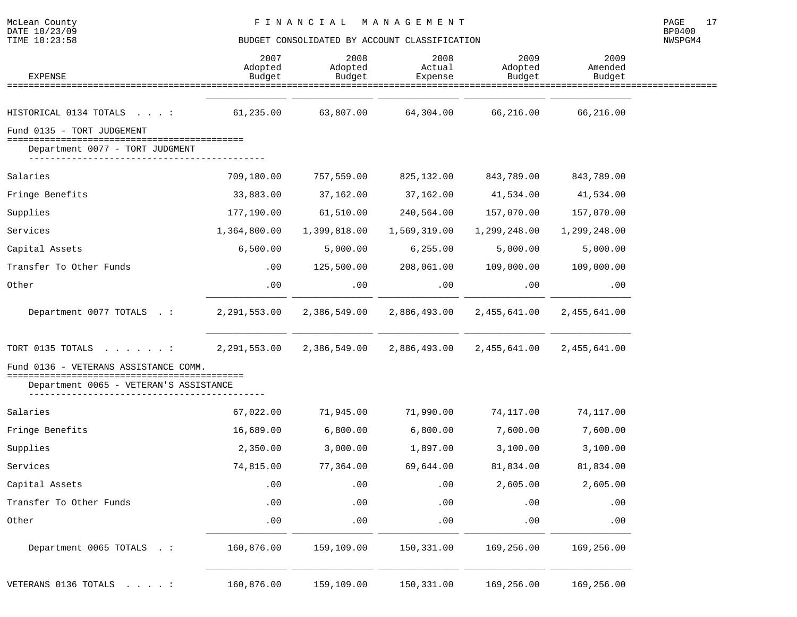| <b>EXPENSE</b>                                                                                                           | 2007<br>Adopted<br>Budget | 2008<br>Adopted<br>Budget | 2008<br>Actual<br>Expense | 2009<br>Adopted<br>Budget | 2009<br>Amended<br>Budget |  |
|--------------------------------------------------------------------------------------------------------------------------|---------------------------|---------------------------|---------------------------|---------------------------|---------------------------|--|
|                                                                                                                          |                           |                           |                           |                           |                           |  |
| HISTORICAL 0134 TOTALS :                                                                                                 | 61,235.00                 | 63,807.00                 | 64,304.00                 | 66,216.00                 | 66,216.00                 |  |
| Fund 0135 - TORT JUDGEMENT                                                                                               |                           |                           |                           |                           |                           |  |
| Department 0077 - TORT JUDGMENT                                                                                          |                           |                           |                           |                           |                           |  |
| Salaries                                                                                                                 | 709,180.00                | 757,559.00                | 825,132.00                | 843,789.00                | 843,789.00                |  |
| Fringe Benefits                                                                                                          | 33,883.00                 | 37,162.00                 | 37,162.00                 | 41,534.00                 | 41,534.00                 |  |
| Supplies                                                                                                                 | 177,190.00                | 61,510.00                 | 240,564.00                | 157,070.00                | 157,070.00                |  |
| Services                                                                                                                 | 1,364,800.00              | 1,399,818.00              | 1,569,319.00              | 1,299,248.00              | 1,299,248.00              |  |
| Capital Assets                                                                                                           | 6,500.00                  | 5,000.00                  | 6, 255.00                 | 5,000.00                  | 5,000.00                  |  |
| Transfer To Other Funds                                                                                                  | .00                       | 125,500.00                | 208,061.00                | 109,000.00                | 109,000.00                |  |
| Other                                                                                                                    | .00                       | .00                       | .00                       | .00                       | .00                       |  |
| Department 0077 TOTALS .:                                                                                                | 2,291,553.00              | 2,386,549.00              | 2,886,493.00              | 2,455,641.00              | 2,455,641.00              |  |
| TORT 0135 TOTALS :                                                                                                       | 2,291,553.00              | 2,386,549.00              | 2,886,493.00              | 2,455,641.00              | 2,455,641.00              |  |
| Fund 0136 - VETERANS ASSISTANCE COMM.<br>=====================================<br>Department 0065 - VETERAN'S ASSISTANCE |                           |                           |                           |                           |                           |  |
| Salaries                                                                                                                 | 67,022.00                 | 71,945.00                 | 71,990.00                 | 74,117.00                 | 74,117.00                 |  |
| Fringe Benefits                                                                                                          | 16,689.00                 | 6,800.00                  | 6,800.00                  | 7,600.00                  | 7,600.00                  |  |
| Supplies                                                                                                                 | 2,350.00                  | 3,000.00                  | 1,897.00                  | 3,100.00                  | 3,100.00                  |  |
| Services                                                                                                                 | 74,815.00                 | 77,364.00                 | 69,644.00                 | 81,834.00                 | 81,834.00                 |  |
| Capital Assets                                                                                                           | .00                       | .00                       | .00                       | 2,605.00                  | 2,605.00                  |  |
| Transfer To Other Funds                                                                                                  | .00                       | .00                       | .00                       | .00                       | .00                       |  |
| Other                                                                                                                    | .00                       | .00                       | .00                       | .00                       | .00                       |  |
| Department 0065 TOTALS . :                                                                                               | 160,876.00                | 159,109.00                | 150,331.00                | 169,256.00                | 169,256.00                |  |
| VETERANS 0136 TOTALS :                                                                                                   | 160,876.00                | 159,109.00                | 150,331.00                | 169,256.00                | 169,256.00                |  |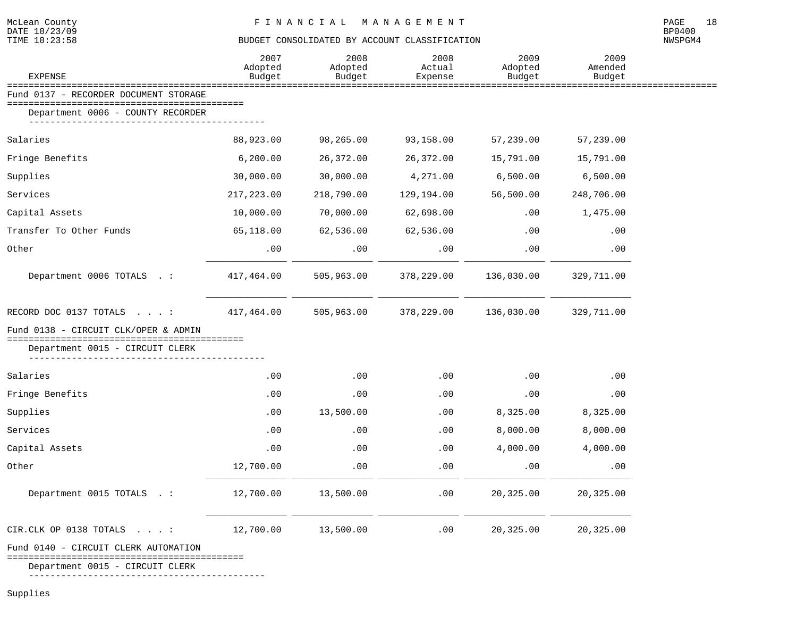# DATE 10/23/09 BP0400

#### TIME  $10:23:58$  BUDGET CONSOLIDATED BY ACCOUNT CLASSIFICATION

NWSPGM4

| <b>EXPENSE</b>                                                          | 2007<br>Adopted<br>Budget | 2008<br>Adopted<br>Budget | 2008<br>Actual<br>Expense | 2009<br>Adopted<br>Budget | 2009<br>Amended<br>Budget |  |
|-------------------------------------------------------------------------|---------------------------|---------------------------|---------------------------|---------------------------|---------------------------|--|
| ==============================<br>Fund 0137 - RECORDER DOCUMENT STORAGE |                           | ==========                |                           | =========                 |                           |  |
| Department 0006 - COUNTY RECORDER                                       |                           |                           |                           |                           |                           |  |
| Salaries                                                                | 88,923.00                 | 98,265.00                 | 93,158.00                 | 57,239.00                 | 57,239.00                 |  |
| Fringe Benefits                                                         | 6, 200.00                 | 26,372.00                 | 26,372.00                 | 15,791.00                 | 15,791.00                 |  |
| Supplies                                                                | 30,000.00                 | 30,000.00                 | 4,271.00                  | 6,500.00                  | 6,500.00                  |  |
| Services                                                                | 217,223.00                | 218,790.00                | 129,194.00                | 56,500.00                 | 248,706.00                |  |
| Capital Assets                                                          | 10,000.00                 | 70,000.00                 | 62,698.00                 | .00                       | 1,475.00                  |  |
| Transfer To Other Funds                                                 | 65,118.00                 | 62,536.00                 | 62,536.00                 | .00                       | .00                       |  |
| Other                                                                   | .00                       | .00                       | .00                       | .00                       | .00                       |  |
| Department 0006 TOTALS .:                                               | 417,464.00                | 505,963.00                | 378,229.00                | 136,030.00                | 329,711.00                |  |
| RECORD DOC 0137 TOTALS :                                                | 417,464.00                | 505,963.00                | 378,229.00                | 136,030.00                | 329,711.00                |  |
| Fund 0138 - CIRCUIT CLK/OPER & ADMIN                                    |                           |                           |                           |                           |                           |  |
| Department 0015 - CIRCUIT CLERK                                         |                           |                           |                           |                           |                           |  |
| Salaries                                                                | .00                       | .00                       | .00                       | .00                       | .00                       |  |
| Fringe Benefits                                                         | .00                       | .00                       | .00                       | .00                       | .00                       |  |
| Supplies                                                                | .00                       | 13,500.00                 | $.00 \,$                  | 8,325.00                  | 8,325.00                  |  |
| Services                                                                | .00                       | .00                       | .00                       | 8,000.00                  | 8,000.00                  |  |
| Capital Assets                                                          | .00                       | .00                       | $.00 \,$                  | 4,000.00                  | 4,000.00                  |  |
| Other                                                                   | 12,700.00                 | .00                       | .00                       | .00                       | .00                       |  |
| Department 0015 TOTALS . :                                              | 12,700.00                 | 13,500.00                 | .00                       | 20,325.00                 | 20,325.00                 |  |
| CIR.CLK OP 0138 TOTALS                                                  | 12,700.00                 | 13,500.00                 | .00                       | 20,325.00                 | 20,325.00                 |  |
| Fund 0140 - CIRCUIT CLERK AUTOMATION                                    |                           |                           |                           |                           |                           |  |

============================================

Department 0015 - CIRCUIT CLERK

--------------------------------------------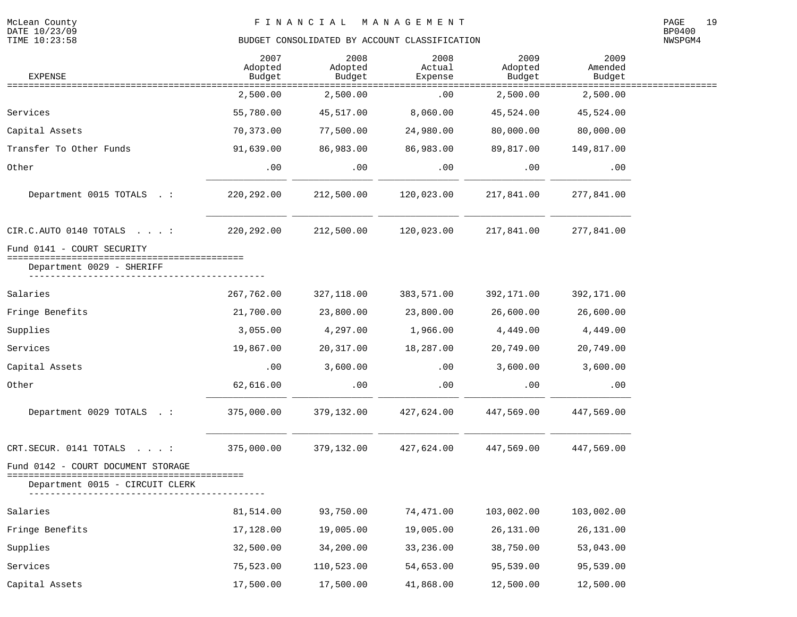| <b>EXPENSE</b>                                                                                 | 2007<br>Adopted<br>Budget | 2008<br>Adopted<br>Budget | 2008<br>Actual<br>Expense | 2009<br>Adopted<br>Budget | 2009<br>Amended<br>Budget |  |
|------------------------------------------------------------------------------------------------|---------------------------|---------------------------|---------------------------|---------------------------|---------------------------|--|
|                                                                                                | 2,500.00                  | 2,500.00                  | =========<br>.00          | 2,500.00                  | 2,500.00                  |  |
| Services                                                                                       | 55,780.00                 | 45,517.00                 | 8,060.00                  | 45,524.00                 | 45,524.00                 |  |
| Capital Assets                                                                                 | 70,373.00                 | 77,500.00                 | 24,980.00                 | 80,000.00                 | 80,000.00                 |  |
| Transfer To Other Funds                                                                        | 91,639.00                 | 86,983.00                 | 86,983.00                 | 89,817.00                 | 149,817.00                |  |
| Other                                                                                          | .00                       | .00                       | .00                       | .00                       | .00                       |  |
| Department 0015 TOTALS . :                                                                     | 220, 292.00               | 212,500.00                | 120,023.00                | 217,841.00                | 277,841.00                |  |
| CIR.C. AUTO 0140 TOTALS :                                                                      | 220, 292.00               | 212,500.00                | 120,023.00                | 217,841.00                | 277,841.00                |  |
| Fund 0141 - COURT SECURITY<br>-----------------------------------<br>Department 0029 - SHERIFF |                           |                           |                           |                           |                           |  |
| Salaries                                                                                       | 267,762.00                | 327,118.00                | 383,571.00                | 392,171.00                | 392,171.00                |  |
| Fringe Benefits                                                                                | 21,700.00                 | 23,800.00                 | 23,800.00                 | 26,600.00                 | 26,600.00                 |  |
| Supplies                                                                                       | 3,055.00                  | 4,297.00                  | 1,966.00                  | 4,449.00                  | 4,449.00                  |  |
| Services                                                                                       | 19,867.00                 | 20,317.00                 | 18,287.00                 | 20,749.00                 | 20,749.00                 |  |
| Capital Assets                                                                                 | .00                       | 3,600.00                  | .00                       | 3,600.00                  | 3,600.00                  |  |
| Other                                                                                          | 62,616.00                 | .00                       | .00                       | .00                       | .00                       |  |
| Department 0029 TOTALS . :                                                                     | 375,000.00                | 379,132.00                | 427,624.00                | 447,569.00                | 447,569.00                |  |
| CRT.SECUR. 0141 TOTALS<br>$\sim$ $\sim$ $\sim$ $\sim$ $\sim$ $\sim$ $\sim$ $\sim$              | 375,000.00                | 379,132.00                | 427,624.00                | 447,569.00                | 447,569.00                |  |
| Fund 0142 - COURT DOCUMENT STORAGE<br>===============                                          |                           |                           |                           |                           |                           |  |
| Department 0015 - CIRCUIT CLERK                                                                |                           |                           |                           |                           |                           |  |
| Salaries                                                                                       | 81,514.00                 | 93,750.00                 | 74,471.00                 | 103,002.00                | 103,002.00                |  |
| Fringe Benefits                                                                                | 17,128.00                 | 19,005.00                 | 19,005.00                 | 26,131.00                 | 26,131.00                 |  |
| Supplies                                                                                       | 32,500.00                 | 34,200.00                 | 33,236.00                 | 38,750.00                 | 53,043.00                 |  |
| Services                                                                                       | 75,523.00                 | 110,523.00                | 54,653.00                 | 95,539.00                 | 95,539.00                 |  |
| Capital Assets                                                                                 | 17,500.00                 | 17,500.00                 | 41,868.00                 | 12,500.00                 | 12,500.00                 |  |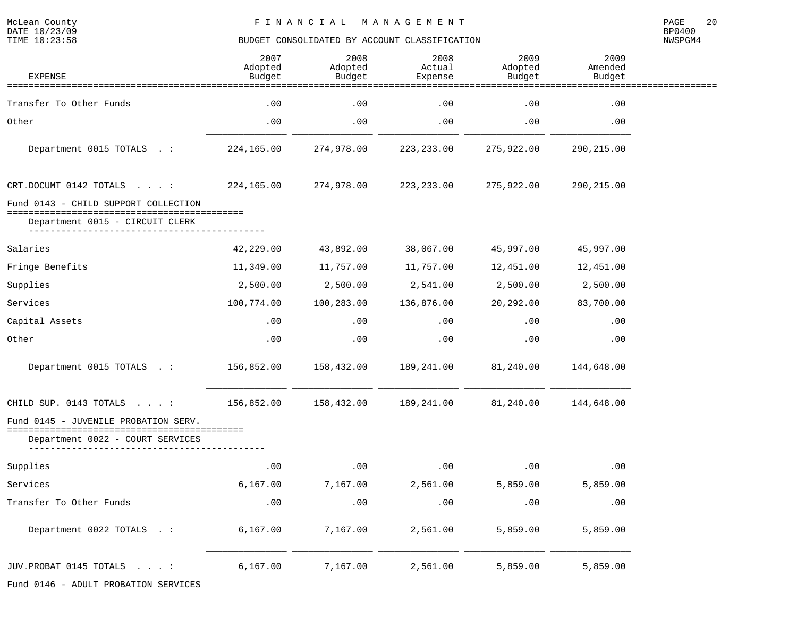| <b>EXPENSE</b>                                                           | 2007<br>Adopted<br>Budget | 2008<br>Adopted<br>Budget | 2008<br>Actual<br>Expense | 2009<br>Adopted<br>Budget | 2009<br>Amended<br>Budget |  |
|--------------------------------------------------------------------------|---------------------------|---------------------------|---------------------------|---------------------------|---------------------------|--|
|                                                                          |                           |                           |                           |                           |                           |  |
| Transfer To Other Funds                                                  | .00                       | .00                       | .00                       | .00                       | .00                       |  |
| Other                                                                    | .00                       | .00                       | .00                       | .00                       | .00                       |  |
| Department 0015 TOTALS .:                                                | 224,165.00                | 274,978.00                | 223,233.00                | 275,922.00                | 290,215.00                |  |
| CRT.DOCUMT 0142 TOTALS :                                                 | 224,165.00                | 274,978.00                | 223,233.00                | 275,922.00                | 290,215.00                |  |
| Fund 0143 - CHILD SUPPORT COLLECTION                                     |                           |                           |                           |                           |                           |  |
| Department 0015 - CIRCUIT CLERK                                          |                           |                           |                           |                           |                           |  |
| Salaries                                                                 | 42,229.00                 | 43,892.00                 | 38,067.00                 | 45,997.00                 | 45,997.00                 |  |
| Fringe Benefits                                                          | 11,349.00                 | 11,757.00                 | 11,757.00                 | 12,451.00                 | 12,451.00                 |  |
| Supplies                                                                 | 2,500.00                  | 2,500.00                  | 2,541.00                  | 2,500.00                  | 2,500.00                  |  |
| Services                                                                 | 100,774.00                | 100,283.00                | 136,876.00                | 20,292.00                 | 83,700.00                 |  |
| Capital Assets                                                           | .00                       | .00                       | .00                       | .00                       | .00                       |  |
| Other                                                                    | .00                       | .00                       | .00                       | .00                       | .00                       |  |
| Department 0015 TOTALS .:                                                | 156,852.00                | 158,432.00                | 189,241.00                | 81,240.00                 | 144,648.00                |  |
| CHILD SUP. 0143 TOTALS :                                                 | 156,852.00                | 158,432.00                | 189,241.00                | 81,240.00                 | 144,648.00                |  |
| Fund 0145 - JUVENILE PROBATION SERV.<br>Department 0022 - COURT SERVICES |                           |                           |                           |                           |                           |  |
| Supplies                                                                 | .00                       | .00                       | .00                       | .00                       | .00                       |  |
| Services                                                                 | 6, 167.00                 | 7,167.00                  | 2,561.00                  | 5,859.00                  | 5,859.00                  |  |
| Transfer To Other Funds                                                  | .00                       | .00                       | .00                       | .00                       | .00                       |  |
| Department 0022 TOTALS . :                                               | 6, 167.00                 | 7,167.00                  | 2,561.00                  | 5,859.00                  | 5,859.00                  |  |
| JUV.PROBAT 0145 TOTALS :                                                 | 6, 167.00                 | 7,167.00                  | 2,561.00                  | 5,859.00                  | 5,859.00                  |  |
| Fund 0146 - ADULT PROBATION SERVICES                                     |                           |                           |                           |                           |                           |  |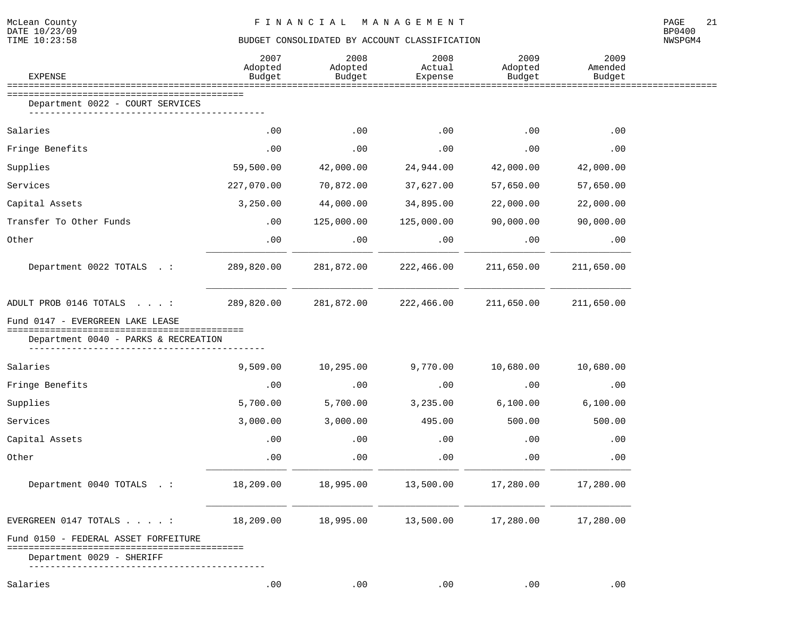| EXPENSE                                                               | 2007<br>Adopted<br>Budget | 2008<br>Adopted<br>Budget | 2008<br>Actual<br>Expense | 2009<br>Adopted<br>Budget | 2009<br>Amended<br>Budget |  |
|-----------------------------------------------------------------------|---------------------------|---------------------------|---------------------------|---------------------------|---------------------------|--|
| Department 0022 - COURT SERVICES                                      |                           |                           |                           |                           |                           |  |
|                                                                       |                           |                           |                           |                           |                           |  |
| Salaries                                                              | .00                       | .00                       | $.00 \,$                  | .00                       | .00                       |  |
| Fringe Benefits                                                       | .00                       | .00                       | $.00 \,$                  | .00                       | .00                       |  |
| Supplies                                                              | 59,500.00                 | 42,000.00                 | 24,944.00                 | 42,000.00                 | 42,000.00                 |  |
| Services                                                              | 227,070.00                | 70,872.00                 | 37,627.00                 | 57,650.00                 | 57,650.00                 |  |
| Capital Assets                                                        | 3,250.00                  | 44,000.00                 | 34,895.00                 | 22,000.00                 | 22,000.00                 |  |
| Transfer To Other Funds                                               | .00                       | 125,000.00                | 125,000.00                | 90,000.00                 | 90,000.00                 |  |
| Other                                                                 | .00                       | .00                       | .00                       | .00                       | .00                       |  |
| Department 0022 TOTALS . :                                            | 289,820.00                | 281,872.00                | 222,466.00                | 211,650.00                | 211,650.00                |  |
| ADULT PROB 0146 TOTALS :                                              | 289,820.00                | 281,872.00                | 222,466.00                | 211,650.00                | 211,650.00                |  |
| Fund 0147 - EVERGREEN LAKE LEASE<br>================================= |                           |                           |                           |                           |                           |  |
| Department 0040 - PARKS & RECREATION                                  |                           |                           |                           |                           |                           |  |
| Salaries                                                              | 9,509.00                  | 10,295.00                 | 9,770.00                  | 10,680.00                 | 10,680.00                 |  |
| Fringe Benefits                                                       | .00                       | .00                       | .00                       | .00                       | .00                       |  |
| Supplies                                                              | 5,700.00                  | 5,700.00                  | 3,235.00                  | 6,100.00                  | 6,100.00                  |  |
| Services                                                              | 3,000.00                  | 3,000.00                  | 495.00                    | 500.00                    | 500.00                    |  |
| Capital Assets                                                        | .00                       | .00                       | $.00 \,$                  | .00                       | .00                       |  |
| Other                                                                 | .00                       | .00                       | .00                       | .00                       | .00                       |  |
| Department 0040 TOTALS . :                                            | 18,209.00                 | 18,995.00                 | 13,500.00                 | 17,280.00                 | 17,280.00                 |  |
| EVERGREEN $0147$ TOTALS :                                             | 18,209.00                 | 18,995.00                 |                           | 13,500.00 17,280.00       | 17,280.00                 |  |
| Fund 0150 - FEDERAL ASSET FORFEITURE                                  |                           |                           |                           |                           |                           |  |
| Department 0029 - SHERIFF                                             |                           |                           |                           |                           |                           |  |
| Salaries                                                              | .00                       | $.00 \,$                  | $.00 \,$                  | .00                       | .00                       |  |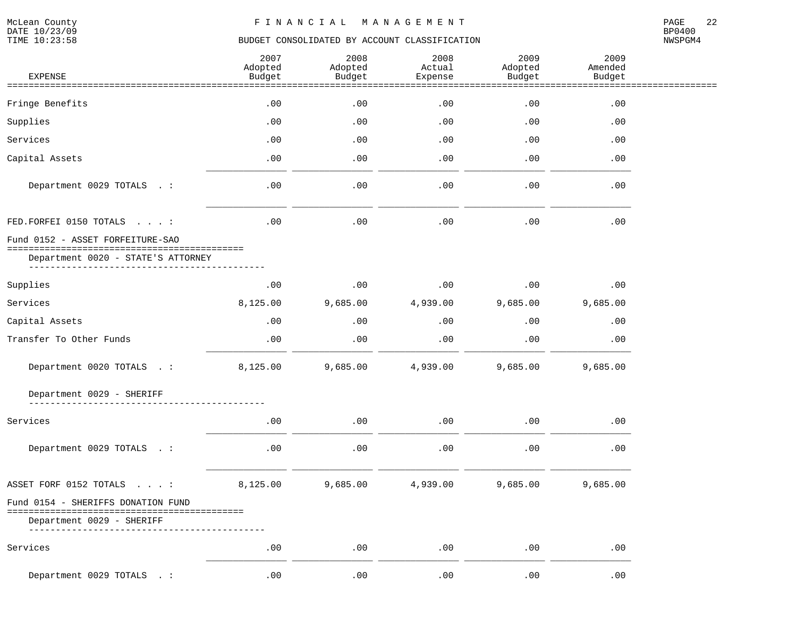| <b>EXPENSE</b>                               | 2007<br>Adopted<br>Budget | 2008<br>Adopted<br>Budget<br>=========== | 2008<br>Actual<br>Expense | 2009<br>Adopted<br>Budget<br>.============ | 2009<br>Amended<br>Budget   |  |
|----------------------------------------------|---------------------------|------------------------------------------|---------------------------|--------------------------------------------|-----------------------------|--|
| =========================<br>Fringe Benefits | .00                       | .00                                      | ==========<br>.00         | .00                                        | .00                         |  |
| Supplies                                     | .00                       | .00                                      | .00                       | .00                                        | .00                         |  |
| Services                                     | .00                       | .00                                      | .00                       | .00                                        | .00                         |  |
| Capital Assets                               | .00                       | .00                                      | .00                       | .00                                        | .00                         |  |
| Department 0029 TOTALS . :                   | .00                       | .00                                      | .00                       | .00                                        | .00                         |  |
| FED. FORFEI 0150 TOTALS :                    | .00                       | .00                                      | .00                       | .00                                        | .00                         |  |
| Fund 0152 - ASSET FORFEITURE-SAO             |                           |                                          |                           |                                            |                             |  |
| Department 0020 - STATE'S ATTORNEY           |                           |                                          |                           |                                            |                             |  |
| Supplies                                     | .00                       | .00                                      | .00                       | .00                                        | .00                         |  |
| Services                                     | 8,125.00                  | 9,685.00                                 | 4,939.00                  | 9,685.00                                   | 9,685.00                    |  |
| Capital Assets                               | .00                       | .00                                      | .00                       | .00                                        | .00                         |  |
| Transfer To Other Funds                      | .00                       | .00                                      | .00                       | .00                                        | .00                         |  |
| Department 0020 TOTALS . :                   | 8,125.00                  | 9,685.00                                 | 4,939.00                  | 9,685.00                                   | 9,685.00                    |  |
| Department 0029 - SHERIFF                    |                           |                                          |                           |                                            |                             |  |
| Services                                     | .00                       | .00                                      | .00                       | .00                                        | .00                         |  |
| Department 0029 TOTALS . :                   | .00                       | .00                                      | .00                       | .00                                        | .00                         |  |
| ASSET FORF 0152 TOTALS :                     | 8,125.00                  | 9,685.00                                 | 4,939.00                  | 9,685.00                                   | 9,685.00                    |  |
| Fund 0154 - SHERIFFS DONATION FUND           |                           |                                          |                           |                                            |                             |  |
| Department 0029 - SHERIFF                    |                           |                                          |                           |                                            |                             |  |
| Services                                     | .00                       | .00                                      | .00                       | .00                                        | .00                         |  |
| Department 0029 TOTALS<br>$\sim$ $\sim$      | .00                       | .00                                      | .00                       | .00                                        | $\boldsymbol{\mathsf{.00}}$ |  |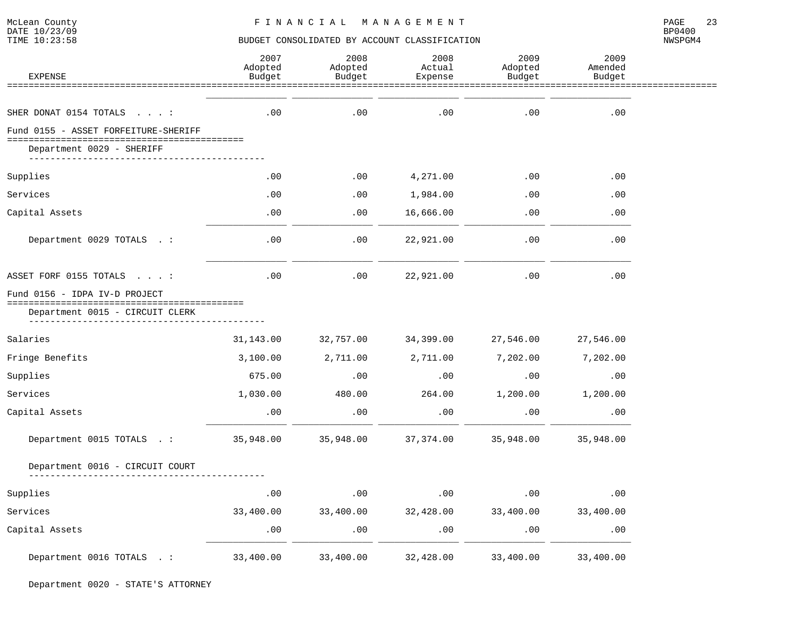| <b>EXPENSE</b>                                                                                            | 2007<br>Adopted<br>Budget | 2008<br>Adopted<br>Budget | 2008<br>Actual<br>Expense | 2009<br>Adopted<br>Budget | 2009<br>Amended<br>Budget |  |
|-----------------------------------------------------------------------------------------------------------|---------------------------|---------------------------|---------------------------|---------------------------|---------------------------|--|
| ===============                                                                                           |                           |                           |                           |                           |                           |  |
| SHER DONAT 0154 TOTALS :                                                                                  | .00                       | .00                       | .00                       | .00                       | .00                       |  |
| Fund 0155 - ASSET FORFEITURE-SHERIFF                                                                      |                           |                           |                           |                           |                           |  |
| Department 0029 - SHERIFF                                                                                 |                           |                           |                           |                           |                           |  |
| Supplies                                                                                                  | .00                       | .00                       | 4,271.00                  | .00                       | .00                       |  |
| Services                                                                                                  | .00                       | .00                       | 1,984.00                  | .00                       | .00                       |  |
| Capital Assets                                                                                            | .00                       | .00.                      | 16,666.00                 | .00                       | .00                       |  |
| Department 0029 TOTALS . :                                                                                | .00                       | .00                       | 22,921.00                 | .00                       | .00                       |  |
| ASSET FORF 0155 TOTALS :                                                                                  | .00                       | .00                       | 22,921.00                 | .00                       | .00                       |  |
| Fund 0156 - IDPA IV-D PROJECT<br>;====================================<br>Department 0015 - CIRCUIT CLERK |                           |                           |                           |                           |                           |  |
| Salaries                                                                                                  | 31,143.00                 | 32,757.00                 | 34,399.00                 | 27,546.00                 | 27,546.00                 |  |
| Fringe Benefits                                                                                           | 3,100.00                  | 2,711.00                  | 2,711.00                  | 7,202.00                  | 7,202.00                  |  |
| Supplies                                                                                                  | 675.00                    | .00                       | .00                       | .00                       | .00                       |  |
| Services                                                                                                  | 1,030.00                  | 480.00                    | 264.00                    | 1,200.00                  | 1,200.00                  |  |
| Capital Assets                                                                                            | .00                       | .00                       | .00                       | .00                       | .00                       |  |
| Department 0015 TOTALS . :                                                                                | 35,948.00                 | 35,948.00                 | 37, 374.00                | 35,948.00                 | 35,948.00                 |  |
| Department 0016 - CIRCUIT COURT                                                                           |                           |                           |                           |                           |                           |  |
| Supplies                                                                                                  | .00                       | .00                       | .00                       | .00                       | .00                       |  |
| Services                                                                                                  | 33,400.00                 | 33,400.00                 | 32,428.00                 | 33,400.00                 | 33,400.00                 |  |
| Capital Assets                                                                                            | .00                       | .00                       | .00                       | .00                       | .00                       |  |
| Department 0016 TOTALS . :                                                                                | 33,400.00                 | 33,400.00                 | 32,428.00                 | 33,400.00                 | 33,400.00                 |  |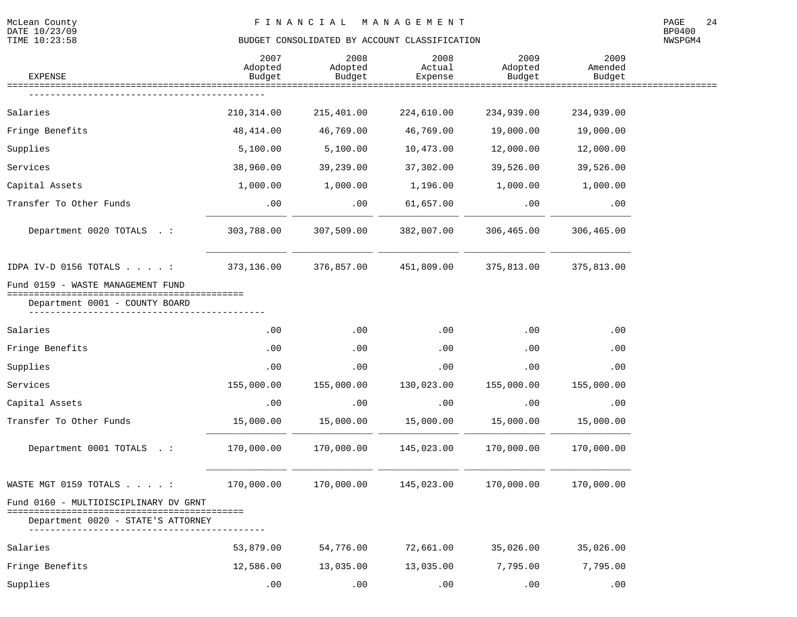McLean County<br>DATE 10/23/09<br>TIME 10:23:58

# BUDGET CONSOLIDATED BY ACCOUNT CLASSIFICATION

| <b>EXPENSE</b>                                                       | 2007<br>Adopted<br>Budget | 2008<br>Adopted<br>Budget | 2008<br>Actual<br>Expense | 2009<br>Adopted<br>Budget | 2009<br>Amended<br>Budget |  |
|----------------------------------------------------------------------|---------------------------|---------------------------|---------------------------|---------------------------|---------------------------|--|
|                                                                      |                           |                           |                           |                           |                           |  |
| Salaries                                                             | 210, 314.00               | 215,401.00                | 224,610.00                | 234,939.00                | 234,939.00                |  |
| Fringe Benefits                                                      | 48, 414.00                | 46,769.00                 | 46,769.00                 | 19,000.00                 | 19,000.00                 |  |
| Supplies                                                             | 5,100.00                  | 5,100.00                  | 10,473.00                 | 12,000.00                 | 12,000.00                 |  |
| Services                                                             | 38,960.00                 | 39,239.00                 | 37,302.00                 | 39,526.00                 | 39,526.00                 |  |
| Capital Assets                                                       | 1,000.00                  | 1,000.00                  | 1,196.00                  | 1,000.00                  | 1,000.00                  |  |
| Transfer To Other Funds                                              | .00                       | .00                       | 61,657.00                 | .00                       | .00                       |  |
| Department 0020 TOTALS . :                                           | 303,788.00                | 307,509.00                | 382,007.00                | 306,465.00                | 306,465.00                |  |
| IDPA IV-D 0156 TOTALS $\ldots$                                       | 373,136.00                | 376,857.00                | 451,809.00                | 375,813.00                | 375,813.00                |  |
| Fund 0159 - WASTE MANAGEMENT FUND<br>=============================== |                           |                           |                           |                           |                           |  |
| Department 0001 - COUNTY BOARD                                       |                           |                           |                           |                           |                           |  |
| Salaries                                                             | .00                       | .00                       | .00                       | .00                       | .00                       |  |
| Fringe Benefits                                                      | .00                       | .00                       | .00                       | .00                       | .00                       |  |
| Supplies                                                             | .00                       | .00                       | .00                       | .00                       | .00                       |  |
| Services                                                             | 155,000.00                | 155,000.00                | 130,023.00                | 155,000.00                | 155,000.00                |  |
| Capital Assets                                                       | .00                       | .00                       | .00                       | .00                       | .00                       |  |
| Transfer To Other Funds                                              | 15,000.00                 | 15,000.00                 | 15,000.00                 | 15,000.00                 | 15,000.00                 |  |
| Department 0001 TOTALS . :                                           | 170,000.00                | 170,000.00                | 145,023.00                | 170,000.00                | 170,000.00                |  |
| WASTE MGT 0159 TOTALS :                                              | 170,000.00                | 170,000.00                | 145,023.00                | 170,000.00                | 170,000.00                |  |
| Fund 0160 - MULTIDISCIPLINARY DV GRNT                                |                           |                           |                           |                           |                           |  |
| Department 0020 - STATE'S ATTORNEY                                   |                           |                           |                           |                           |                           |  |
| Salaries                                                             | 53,879.00                 | 54,776.00                 | 72,661.00                 | 35,026.00                 | 35,026.00                 |  |
| Fringe Benefits                                                      | 12,586.00                 | 13,035.00                 | 13,035.00                 | 7,795.00                  | 7,795.00                  |  |
| Supplies                                                             | .00                       | .00                       | .00                       | .00                       | .00                       |  |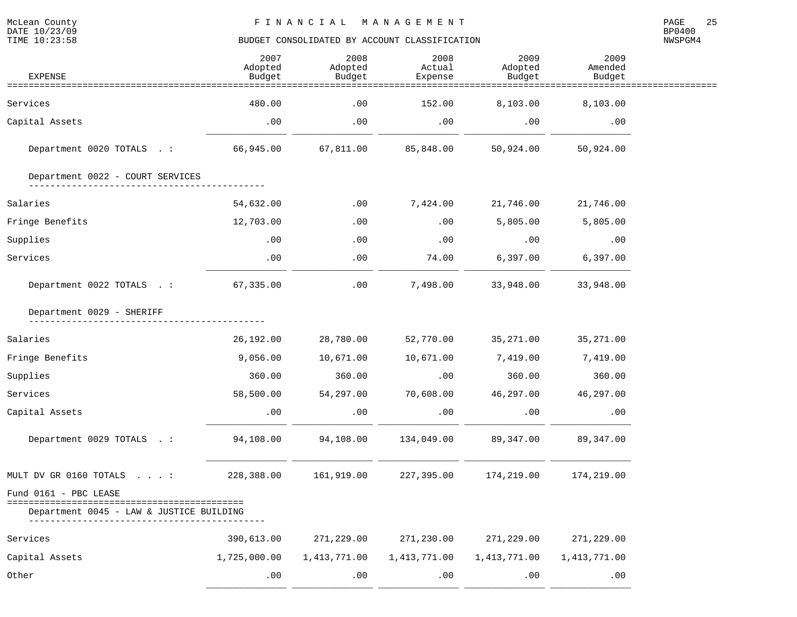NWSPGM4

| <b>EXPENSE</b>                                                    | 2007<br>Adopted<br>Budget | 2008<br>Adopted<br>Budget | 2008<br>Actual<br>Expense | 2009<br>Adopted<br>Budget | 2009<br>Amended<br>Budget |  |
|-------------------------------------------------------------------|---------------------------|---------------------------|---------------------------|---------------------------|---------------------------|--|
| ==================                                                |                           |                           |                           |                           |                           |  |
| Services                                                          | 480.00                    | .00                       | 152.00                    | 8,103.00                  | 8,103.00                  |  |
| Capital Assets                                                    | .00                       | $.00 \,$                  | .00                       | .00                       | .00                       |  |
| Department 0020 TOTALS .:                                         | 66,945.00                 | 67,811.00                 | 85,848.00                 | 50,924.00                 | 50,924.00                 |  |
| Department 0022 - COURT SERVICES                                  |                           |                           |                           |                           |                           |  |
| Salaries                                                          | 54,632.00                 | .00                       | 7,424.00                  | 21,746.00                 | 21,746.00                 |  |
| Fringe Benefits                                                   | 12,703.00                 | .00                       | .00                       | 5,805.00                  | 5,805.00                  |  |
| Supplies                                                          | .00                       | .00                       | .00                       | .00                       | .00                       |  |
| Services                                                          | .00                       | .00                       | 74.00                     | 6,397.00                  | 6,397.00                  |  |
| Department 0022 TOTALS .:                                         | 67,335.00                 | .00                       | 7,498.00                  | 33,948.00                 | 33,948.00                 |  |
| Department 0029 - SHERIFF                                         |                           |                           |                           |                           |                           |  |
| Salaries                                                          | 26,192.00                 | 28,780.00                 | 52,770.00                 | 35,271.00                 | 35,271.00                 |  |
| Fringe Benefits                                                   | 9,056.00                  | 10,671.00                 | 10,671.00                 | 7,419.00                  | 7,419.00                  |  |
| Supplies                                                          | 360.00                    | 360.00                    | .00                       | 360.00                    | 360.00                    |  |
| Services                                                          | 58,500.00                 | 54,297.00                 | 70,608.00                 | 46,297.00                 | 46,297.00                 |  |
| Capital Assets                                                    | .00                       | .00                       | .00                       | .00                       | .00                       |  |
| Department 0029 TOTALS .:                                         | 94,108.00                 | 94,108.00                 | 134,049.00                | 89,347.00                 | 89, 347.00                |  |
| MULT DV GR 0160 TOTALS :                                          | 228,388.00                | 161,919.00                | 227,395.00                | 174,219.00                | 174,219.00                |  |
| Fund 0161 - PBC LEASE<br>Department 0045 - LAW & JUSTICE BUILDING |                           |                           |                           |                           |                           |  |
| Services                                                          | 390,613.00                | 271,229.00                | 271,230.00                | 271,229.00                | 271,229.00                |  |
| Capital Assets                                                    | 1,725,000.00              | 1,413,771.00              | 1, 413, 771.00            | 1,413,771.00              | 1,413,771.00              |  |
| Other                                                             | .00                       | .00                       | .00                       | .00                       | .00                       |  |

\_\_\_\_\_\_\_\_\_\_\_\_\_\_\_ \_\_\_\_\_\_\_\_\_\_\_\_\_\_\_ \_\_\_\_\_\_\_\_\_\_\_\_\_\_\_ \_\_\_\_\_\_\_\_\_\_\_\_\_\_\_ \_\_\_\_\_\_\_\_\_\_\_\_\_\_\_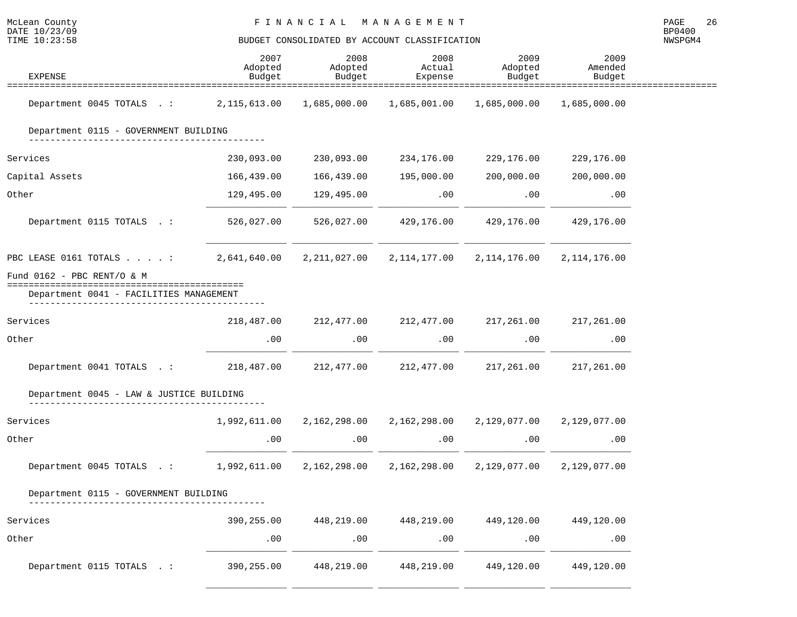| McLean County<br>DATE 10/23/09<br>TIME 10:23:58                       | FINANCIAL MANAGEMENT<br>BUDGET CONSOLIDATED BY ACCOUNT CLASSIFICATION |                           |                           |                                                                  |                           |  |  |
|-----------------------------------------------------------------------|-----------------------------------------------------------------------|---------------------------|---------------------------|------------------------------------------------------------------|---------------------------|--|--|
| <b>EXPENSE</b>                                                        | 2007<br>Adopted<br>Budget                                             | 2008<br>Adopted<br>Budget | 2008<br>Actual<br>Expense | 2009<br>Adopted<br>Budget                                        | 2009<br>Amended<br>Budget |  |  |
| Department 0045 TOTALS .: 2,115,613.00 1,685,000.00                   |                                                                       |                           |                           |                                                                  | 1,685,000.00              |  |  |
| Department 0115 - GOVERNMENT BUILDING                                 |                                                                       |                           |                           |                                                                  |                           |  |  |
| Services                                                              | 230,093.00                                                            | 230,093.00                | 234,176.00                | 229,176.00                                                       | 229,176.00                |  |  |
| Capital Assets                                                        | 166,439.00                                                            | 166,439.00                | 195,000.00                | 200,000.00                                                       | 200,000.00                |  |  |
| Other                                                                 | 129,495.00                                                            | 129,495.00                | .00                       | .00                                                              | .00                       |  |  |
| Department 0115 TOTALS .:                                             | 526,027.00                                                            | 526,027.00                | 429,176.00                | 429,176.00                                                       | 429,176.00                |  |  |
| PBC LEASE 0161 TOTALS : 2,641,640.00                                  |                                                                       |                           |                           | 2, 211, 027.00 2, 114, 177.00 2, 114, 176.00 2, 114, 176.00      |                           |  |  |
| Fund $0162$ - PBC RENT/O & M<br>===================================== |                                                                       |                           |                           |                                                                  |                           |  |  |
| Department 0041 - FACILITIES MANAGEMENT                               |                                                                       |                           |                           |                                                                  |                           |  |  |
| Services                                                              | 218,487.00                                                            | 212,477.00                |                           | 212,477.00 217,261.00                                            | 217,261.00                |  |  |
| Other                                                                 | .00                                                                   | .00                       | .00                       | .00                                                              | .00                       |  |  |
| Department 0041 TOTALS .: 218,487.00                                  |                                                                       | 212,477.00                | 212,477.00                | 217,261.00                                                       | 217,261.00                |  |  |
| Department 0045 - LAW & JUSTICE BUILDING                              |                                                                       |                           |                           |                                                                  |                           |  |  |
| Services                                                              |                                                                       |                           |                           | 1,992,611.00 2,162,298.00 2,162,298.00 2,129,077.00 2,129,077.00 |                           |  |  |
| Other                                                                 | .00                                                                   | .00                       | .00                       | .00                                                              | .00                       |  |  |
| Department 0045 TOTALS .: 1,992,611.00                                |                                                                       |                           |                           | 2,162,298.00 2,162,298.00 2,129,077.00 2,129,077.00              |                           |  |  |
| Department 0115 - GOVERNMENT BUILDING                                 |                                                                       |                           |                           |                                                                  |                           |  |  |
| Services                                                              | 390,255.00                                                            | 448,219.00                | 448,219.00                | 449,120.00                                                       | 449,120.00                |  |  |
| Other                                                                 | .00                                                                   | .00                       | .00                       | .00                                                              | .00                       |  |  |
| Department 0115 TOTALS .:                                             | 390,255.00                                                            | 448,219.00                | 448,219.00                | 449,120.00                                                       | 449,120.00                |  |  |

\_\_\_\_\_\_\_\_\_\_\_\_\_\_\_ \_\_\_\_\_\_\_\_\_\_\_\_\_\_\_ \_\_\_\_\_\_\_\_\_\_\_\_\_\_\_ \_\_\_\_\_\_\_\_\_\_\_\_\_\_\_ \_\_\_\_\_\_\_\_\_\_\_\_\_\_\_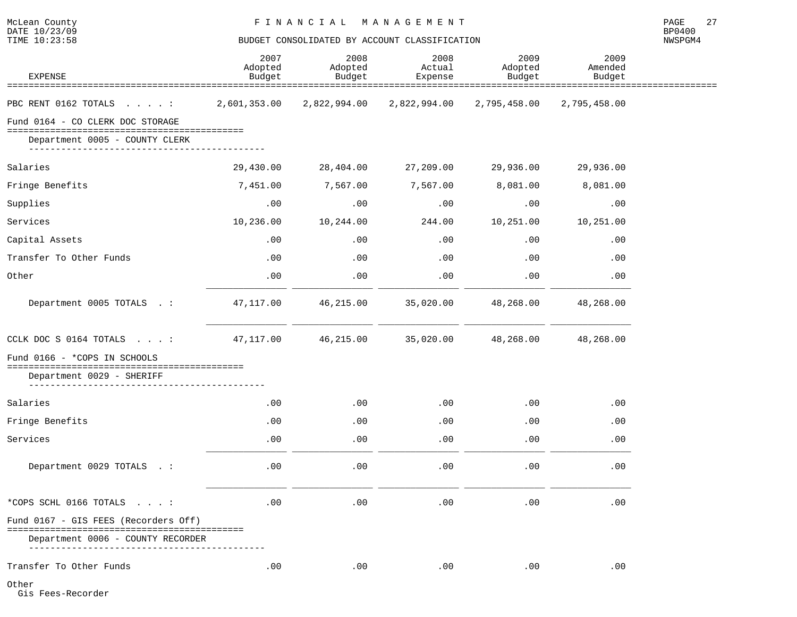NWSPGM4

| <b>EXPENSE</b>                       | 2007<br>Adopted<br>Budget | 2008<br>Adopted<br>Budget | 2008<br>Actual<br>Expense | 2009<br>Adopted<br>Budget | 2009<br>Amended<br>Budget |  |
|--------------------------------------|---------------------------|---------------------------|---------------------------|---------------------------|---------------------------|--|
|                                      |                           |                           |                           |                           |                           |  |
| PBC RENT 0162 TOTALS :               | 2,601,353.00              | 2,822,994.00              | 2,822,994.00              | 2,795,458.00              | 2,795,458.00              |  |
| Fund 0164 - CO CLERK DOC STORAGE     |                           |                           |                           |                           |                           |  |
| Department 0005 - COUNTY CLERK       |                           |                           |                           |                           |                           |  |
| Salaries                             | 29,430.00                 | 28,404.00                 | 27,209.00                 | 29,936.00                 | 29,936.00                 |  |
| Fringe Benefits                      | 7,451.00                  | 7,567.00                  | 7,567.00                  | 8,081.00                  | 8,081.00                  |  |
| Supplies                             | .00                       | .00                       | .00                       | .00                       | .00                       |  |
| Services                             | 10,236.00                 | 10,244.00                 | 244.00                    | 10,251.00                 | 10,251.00                 |  |
| Capital Assets                       | .00                       | .00                       | .00                       | .00                       | .00                       |  |
| Transfer To Other Funds              | .00                       | .00                       | .00                       | .00                       | .00                       |  |
| Other                                | .00                       | .00                       | .00                       | .00                       | .00                       |  |
| Department 0005 TOTALS . :           | 47,117.00                 | 46,215.00                 | 35,020.00                 | 48,268.00                 | 48,268.00                 |  |
| CCLK DOC S 0164 TOTALS $\ldots$ :    | 47,117.00                 | 46,215.00                 | 35,020.00                 | 48,268.00                 | 48,268.00                 |  |
| Fund 0166 - *COPS IN SCHOOLS         |                           |                           |                           |                           |                           |  |
| Department 0029 - SHERIFF            |                           |                           |                           |                           |                           |  |
| Salaries                             | .00                       | .00                       | .00                       | .00                       | .00                       |  |
| Fringe Benefits                      | .00                       | .00                       | .00                       | .00                       | .00                       |  |
| Services                             | .00                       | .00                       | .00                       | .00                       | .00                       |  |
| Department 0029 TOTALS . :           | .00                       | .00                       | .00                       | .00                       | .00                       |  |
| *COPS SCHL 0166 TOTALS :             | .00                       | .00                       | .00                       | .00                       | .00                       |  |
| Fund 0167 - GIS FEES (Recorders Off) |                           |                           |                           |                           |                           |  |
| Department 0006 - COUNTY RECORDER    |                           |                           |                           |                           |                           |  |
| Transfer To Other Funds              | .00                       | .00                       | .00                       | .00                       | .00                       |  |

Other

Gis Fees-Recorder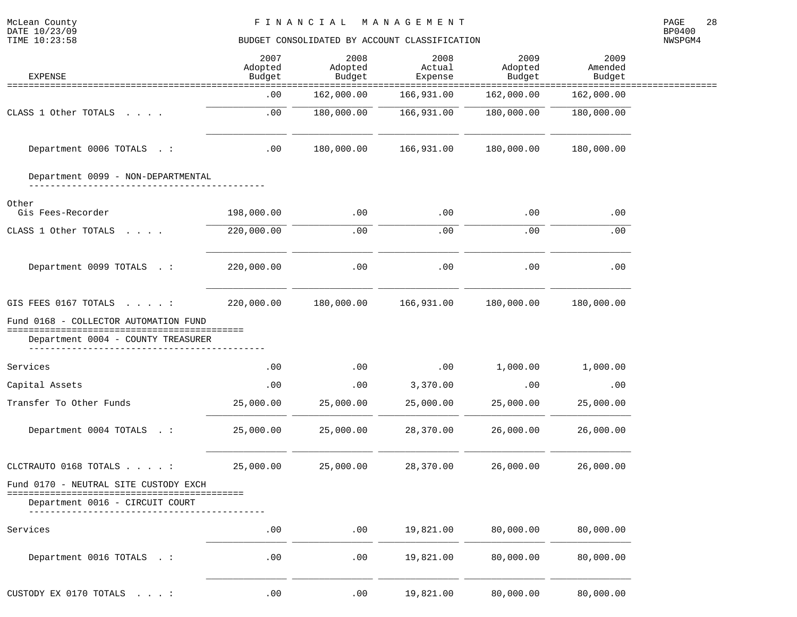| McLean County<br>DATE 10/23/09<br>TIME 10:23:58                                 | FINANCIAL MANAGEMENT<br>BUDGET CONSOLIDATED BY ACCOUNT CLASSIFICATION |                               |                             |                              |                                      |         |  |
|---------------------------------------------------------------------------------|-----------------------------------------------------------------------|-------------------------------|-----------------------------|------------------------------|--------------------------------------|---------|--|
| <b>EXPENSE</b>                                                                  | 2007<br>Adopted<br>Budget                                             | 2008<br>Adopted<br>Budget     | 2008<br>Actual<br>Expense   | 2009<br>Adopted<br>Budget    | 2009<br>Amended<br>Budget            | NWSPGM4 |  |
| ========================                                                        | .00                                                                   | ===============<br>162,000.00 | =============<br>166,931.00 | ==============<br>162,000.00 | ==============<br>===:<br>162,000.00 |         |  |
| CLASS 1 Other TOTALS                                                            | .00                                                                   | 180,000.00                    | 166,931.00                  | 180,000.00                   | 180,000.00                           |         |  |
| Department 0006 TOTALS . :                                                      | .00                                                                   | 180,000.00                    | 166,931.00                  | 180,000.00                   | 180,000.00                           |         |  |
| Department 0099 - NON-DEPARTMENTAL                                              |                                                                       |                               |                             |                              |                                      |         |  |
| Other<br>Gis Fees-Recorder                                                      | 198,000.00                                                            | .00                           | .00                         | .00                          | .00                                  |         |  |
| CLASS 1 Other TOTALS                                                            | 220,000.00                                                            | .00.                          | .00                         | .00                          | .00                                  |         |  |
| Department 0099 TOTALS . :                                                      | 220,000.00                                                            | .00                           | .00                         | .00                          | .00                                  |         |  |
| GIS FEES 0167 TOTALS :                                                          | 220,000.00                                                            | 180,000.00                    | 166,931.00                  | 180,000.00                   | 180,000.00                           |         |  |
| Fund 0168 - COLLECTOR AUTOMATION FUND                                           |                                                                       |                               |                             |                              |                                      |         |  |
| ====================<br>Department 0004 - COUNTY TREASURER                      |                                                                       |                               |                             |                              |                                      |         |  |
| Services                                                                        | .00                                                                   | .00                           | .00                         | 1,000.00                     | 1,000.00                             |         |  |
| Capital Assets                                                                  | .00                                                                   | .00                           | 3,370.00                    | .00                          | .00                                  |         |  |
| Transfer To Other Funds                                                         | 25,000.00                                                             | 25,000.00                     | 25,000.00                   | 25,000.00                    | 25,000.00                            |         |  |
| Department 0004 TOTALS . :                                                      | 25,000.00                                                             | 25,000.00                     | 28,370.00                   | 26,000.00                    | 26,000.00                            |         |  |
| CLCTRAUTO 0168 TOTALS                                                           | 25,000.00                                                             | 25,000.00                     | 28,370.00                   | 26,000.00                    | 26,000.00                            |         |  |
| Fund 0170 - NEUTRAL SITE CUSTODY EXCH<br>====================================== |                                                                       |                               |                             |                              |                                      |         |  |
| Department 0016 - CIRCUIT COURT                                                 |                                                                       |                               |                             |                              |                                      |         |  |
| Services                                                                        | .00                                                                   | .00                           | 19,821.00                   | 80,000.00                    | 80,000.00                            |         |  |
| Department 0016 TOTALS . :                                                      | .00                                                                   | .00                           | 19,821.00                   | 80,000.00                    | 80,000.00                            |         |  |
| CUSTODY EX 0170 TOTALS $\ldots$ :                                               | $\boldsymbol{\mathsf{.00}}$                                           | .00                           | 19,821.00                   | 80,000.00                    | 80,000.00                            |         |  |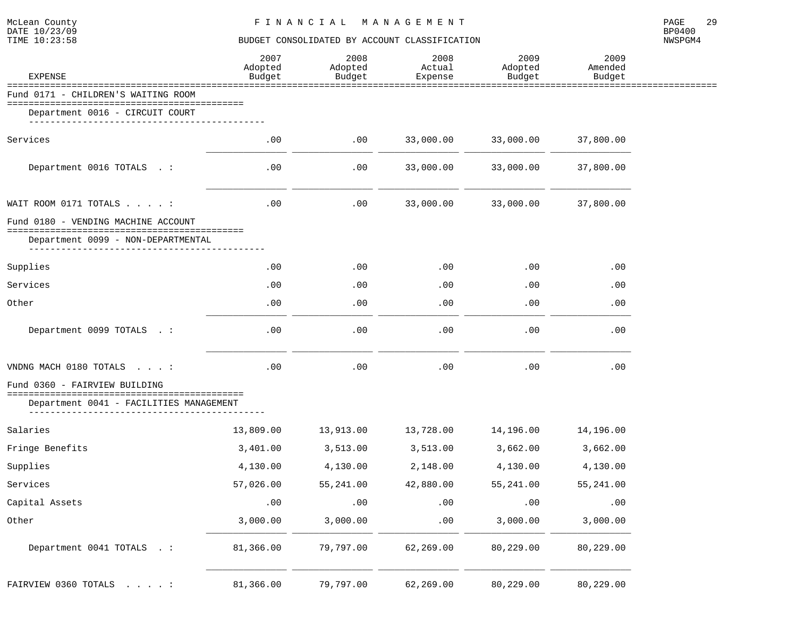| <b>EXPENSE</b>                                                               | 2007<br>Adopted<br>Budget | 2008<br>Adopted<br>Budget | 2008<br>Actual<br>Expense | 2009<br>Adopted<br>Budget | 2009<br>Amended<br>Budget |
|------------------------------------------------------------------------------|---------------------------|---------------------------|---------------------------|---------------------------|---------------------------|
| Fund 0171 - CHILDREN'S WAITING ROOM                                          |                           |                           |                           |                           |                           |
| Department 0016 - CIRCUIT COURT                                              |                           |                           |                           |                           |                           |
|                                                                              |                           |                           |                           |                           |                           |
| Services                                                                     | .00                       | .00                       | 33,000.00                 | 33,000.00                 | 37,800.00                 |
| Department 0016 TOTALS . :                                                   | .00                       | .00                       | 33,000.00                 | 33,000.00                 | 37,800.00                 |
| WAIT ROOM 0171 TOTALS :                                                      | .00                       | .00                       | 33,000.00                 | 33,000.00                 | 37,800.00                 |
| Fund 0180 - VENDING MACHINE ACCOUNT                                          |                           |                           |                           |                           |                           |
| --------------------------------------<br>Department 0099 - NON-DEPARTMENTAL |                           |                           |                           |                           |                           |
| ______________                                                               |                           |                           |                           |                           |                           |
| Supplies                                                                     | .00                       | .00                       | .00                       | .00                       | .00                       |
| Services                                                                     | .00                       | .00                       | .00                       | .00                       | .00                       |
| Other                                                                        | .00                       | .00                       | .00                       | .00                       | .00                       |
| Department 0099 TOTALS . :                                                   | .00                       | .00                       | .00                       | .00                       | .00                       |
| VNDNG MACH 0180 TOTALS :                                                     | .00                       | .00                       | .00                       | .00                       | .00                       |
| Fund 0360 - FAIRVIEW BUILDING                                                |                           |                           |                           |                           |                           |
| Department 0041 - FACILITIES MANAGEMENT                                      |                           |                           |                           |                           |                           |
| Salaries                                                                     | 13,809.00                 | 13,913.00                 | 13,728.00                 | 14,196.00                 | 14,196.00                 |
| Fringe Benefits                                                              | 3,401.00                  | 3,513.00                  | 3,513.00                  | 3,662.00                  | 3,662.00                  |
| Supplies                                                                     | 4,130.00                  | 4,130.00                  | 2,148.00                  | 4,130.00                  | 4,130.00                  |
| Services                                                                     | 57,026.00                 | 55,241.00                 | 42,880.00                 | 55,241.00                 | 55,241.00                 |
| Capital Assets                                                               | .00                       | .00                       | .00                       | .00                       | .00                       |
| $0$ ther                                                                     | 3,000.00                  | 3,000.00                  | .00                       | 3,000.00                  | 3,000.00                  |
| Department 0041 TOTALS . :                                                   | 81,366.00                 | 79,797.00                 | 62,269.00                 | 80,229.00                 | 80,229.00                 |
| FAIRVIEW 0360 TOTALS :                                                       | 81,366.00                 | 79,797.00                 | 62,269.00                 | 80,229.00                 | 80,229.00                 |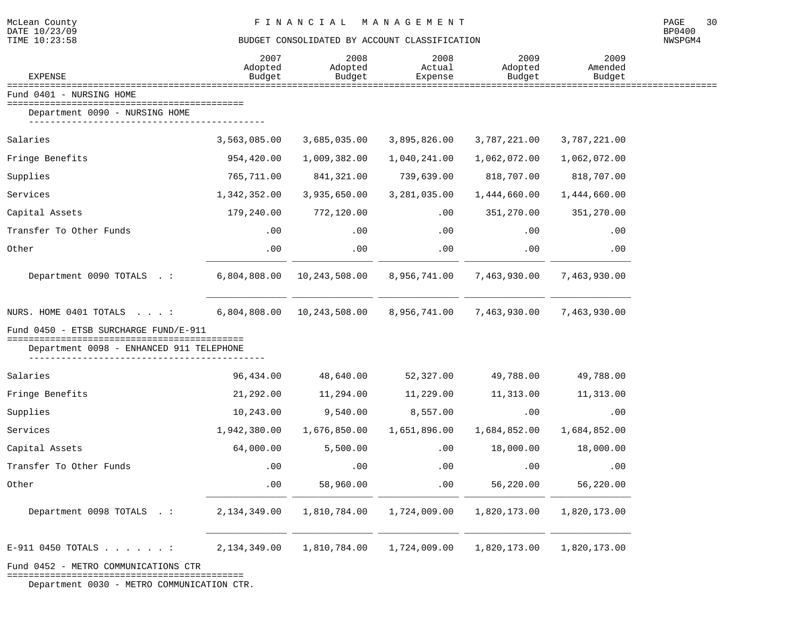============================================Department 0030 - METRO COMMUNICATION CTR.

#### BUDGET CONSOLIDATED BY ACCOUNT CLASSIFICATION

| <b>EXPENSE</b>                           | 2007<br>Adopted<br>Budget | 2008<br>Adopted<br>Budget | 2008<br>Actual<br>Expense | 2009<br>Adopted<br>Budget | 2009<br>Amended<br>Budget |  |
|------------------------------------------|---------------------------|---------------------------|---------------------------|---------------------------|---------------------------|--|
| Fund 0401 - NURSING HOME                 |                           |                           |                           |                           |                           |  |
| Department 0090 - NURSING HOME           |                           |                           |                           |                           |                           |  |
| Salaries                                 | 3,563,085.00              | 3,685,035.00              | 3,895,826.00              | 3,787,221.00              | 3,787,221.00              |  |
| Fringe Benefits                          | 954,420.00                | 1,009,382.00              | 1,040,241.00              | 1,062,072.00              | 1,062,072.00              |  |
| Supplies                                 | 765,711.00                | 841,321.00                | 739,639.00                | 818,707.00                | 818,707.00                |  |
| Services                                 | 1,342,352.00              | 3,935,650.00              | 3,281,035.00              | 1,444,660.00              | 1,444,660.00              |  |
| Capital Assets                           | 179,240.00                | 772,120.00                | .00                       | 351,270.00                | 351,270.00                |  |
| Transfer To Other Funds                  | .00                       | .00                       | .00                       | .00                       | .00                       |  |
| Other                                    | .00                       | .00                       | .00                       | .00                       | .00                       |  |
| Department 0090 TOTALS .:                | 6,804,808.00              | 10,243,508.00             | 8,956,741.00              | 7,463,930.00              | 7,463,930.00              |  |
| NURS. HOME 0401 TOTALS :                 | 6,804,808.00              | 10,243,508.00             | 8,956,741.00              | 7,463,930.00              | 7,463,930.00              |  |
| Fund 0450 - ETSB SURCHARGE FUND/E-911    |                           |                           |                           |                           |                           |  |
| Department 0098 - ENHANCED 911 TELEPHONE |                           |                           |                           |                           |                           |  |
| Salaries                                 | 96,434.00                 | 48,640.00                 | 52,327.00                 | 49,788.00                 | 49,788.00                 |  |
| Fringe Benefits                          | 21,292.00                 | 11,294.00                 | 11,229.00                 | 11,313.00                 | 11,313.00                 |  |
| Supplies                                 | 10,243.00                 | 9,540.00                  | 8,557.00                  | .00                       | .00                       |  |
| Services                                 | 1,942,380.00              | 1,676,850.00              | 1,651,896.00              | 1,684,852.00              | 1,684,852.00              |  |
| Capital Assets                           | 64,000.00                 | 5,500.00                  | .00                       | 18,000.00                 | 18,000.00                 |  |
| Transfer To Other Funds                  | .00                       | .00                       | .00                       | .00                       | .00                       |  |
| Other                                    | .00                       | 58,960.00                 | .00                       | 56,220.00                 | 56,220.00                 |  |
| Department 0098 TOTALS .:                | 2,134,349.00              | 1,810,784.00              | 1,724,009.00              | 1,820,173.00              | 1,820,173.00              |  |
| $E-911$ 0450 TOTALS :                    | 2,134,349.00              | 1,810,784.00              | 1,724,009.00              | 1,820,173.00              | 1,820,173.00              |  |
| Fund 0452 - METRO COMMUNICATIONS CTR     |                           |                           |                           |                           |                           |  |